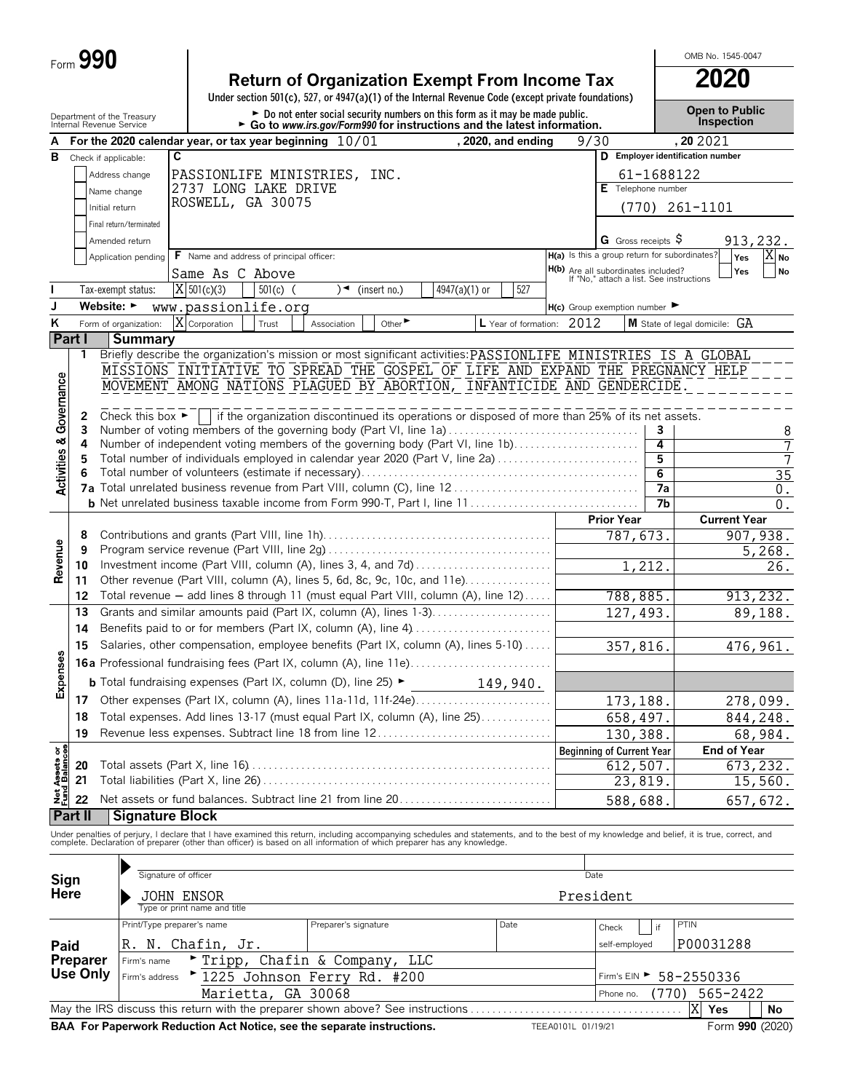|                                | Form 990 |                                                                                                                                                               |                      |                                            |            |  |                              |                             |               |                                                                                                                                                           |         |                                                                                 |                           |                 | OMB No. 1545-0047                                                                                                                                                                                                                 |
|--------------------------------|----------|---------------------------------------------------------------------------------------------------------------------------------------------------------------|----------------------|--------------------------------------------|------------|--|------------------------------|-----------------------------|---------------|-----------------------------------------------------------------------------------------------------------------------------------------------------------|---------|---------------------------------------------------------------------------------|---------------------------|-----------------|-----------------------------------------------------------------------------------------------------------------------------------------------------------------------------------------------------------------------------------|
|                                |          |                                                                                                                                                               |                      |                                            |            |  |                              |                             |               | <b>Return of Organization Exempt From Income Tax</b>                                                                                                      |         |                                                                                 |                           |                 | 2020                                                                                                                                                                                                                              |
|                                |          |                                                                                                                                                               |                      |                                            |            |  |                              |                             |               | Under section 501(c), 527, or 4947(a)(1) of the Internal Revenue Code (except private foundations)                                                        |         |                                                                                 |                           |                 | <b>Open to Public</b>                                                                                                                                                                                                             |
|                                |          | Department of the Treasury<br>Internal Revenue Service                                                                                                        |                      |                                            |            |  |                              |                             |               | ► Do not enter social security numbers on this form as it may be made public.<br>► Go to www.irs.gov/Form990 for instructions and the latest information. |         |                                                                                 |                           |                 | Inspection                                                                                                                                                                                                                        |
|                                |          | For the 2020 calendar year, or tax year beginning $10/01$                                                                                                     |                      |                                            |            |  |                              |                             |               | , 2020, and ending                                                                                                                                        |         | 9/30                                                                            |                           |                 | , 202021                                                                                                                                                                                                                          |
| в                              |          | Check if applicable:                                                                                                                                          | C                    |                                            |            |  |                              |                             |               |                                                                                                                                                           |         |                                                                                 |                           |                 | D Employer identification number                                                                                                                                                                                                  |
|                                |          | Address change                                                                                                                                                |                      | 2737 LONG LAKE DRIVE                       |            |  | PASSIONLIFE MINISTRIES, INC. |                             |               |                                                                                                                                                           |         |                                                                                 | E Telephone number        | 61-1688122      |                                                                                                                                                                                                                                   |
|                                |          | Name change                                                                                                                                                   |                      | ROSWELL, GA 30075                          |            |  |                              |                             |               |                                                                                                                                                           |         |                                                                                 |                           |                 |                                                                                                                                                                                                                                   |
|                                |          | Initial return                                                                                                                                                |                      |                                            |            |  |                              |                             |               |                                                                                                                                                           |         |                                                                                 |                           |                 | (770) 261-1101                                                                                                                                                                                                                    |
|                                |          | Final return/terminated<br>Amended return                                                                                                                     |                      |                                            |            |  |                              |                             |               |                                                                                                                                                           |         |                                                                                 | <b>G</b> Gross receipts S |                 | 913,232.                                                                                                                                                                                                                          |
|                                |          | Application pending                                                                                                                                           |                      | F Name and address of principal officer:   |            |  |                              |                             |               |                                                                                                                                                           |         |                                                                                 |                           |                 | H(a) Is this a group return for subordinates?<br>$ \overline{X} _{\mathsf{No}}$<br>Yes                                                                                                                                            |
|                                |          |                                                                                                                                                               |                      | Same As C Above                            |            |  |                              |                             |               |                                                                                                                                                           |         | H(b) Are all subordinates included?<br>If "No," attach a list. See instructions |                           |                 | Yes<br><b>No</b>                                                                                                                                                                                                                  |
|                                |          | Tax-exempt status:                                                                                                                                            |                      | $\overline{X}$ 501(c)(3)                   | $501(c)$ ( |  | )◄                           | (insert no.)                | 4947(a)(1) or | 527                                                                                                                                                       |         |                                                                                 |                           |                 |                                                                                                                                                                                                                                   |
|                                |          | Website: $\blacktriangleright$                                                                                                                                |                      | www.passionlife.org                        |            |  |                              |                             |               |                                                                                                                                                           |         | $H(c)$ Group exemption number $\blacktriangleright$                             |                           |                 |                                                                                                                                                                                                                                   |
| K                              |          | Form of organization:                                                                                                                                         | X                    | Corporation                                | Trust      |  | Association                  | Other $\blacktriangleright$ |               | L Year of formation:                                                                                                                                      |         | 2012                                                                            |                           |                 | M State of legal domicile: GA                                                                                                                                                                                                     |
|                                | Part I   | <b>Summary</b>                                                                                                                                                |                      |                                            |            |  |                              |                             |               |                                                                                                                                                           |         |                                                                                 |                           |                 |                                                                                                                                                                                                                                   |
|                                | 1        |                                                                                                                                                               |                      |                                            |            |  |                              |                             |               |                                                                                                                                                           |         |                                                                                 |                           |                 | Briefly describe the organization's mission or most significant activities: PASSIONLIFE MINISTRIES IS A GLOBAL                                                                                                                    |
|                                |          | MOVEMENT AMONG NATIONS PLAGUED BY ABORTION, INFANTICIDE AND GENDERCIDE.                                                                                       |                      |                                            |            |  |                              |                             |               |                                                                                                                                                           |         |                                                                                 |                           |                 | MISSIONS INITIATIVE TO SPREAD THE GOSPEL OF LIFE AND EXPAND THE PREGNANCY HELP                                                                                                                                                    |
| Governance                     |          |                                                                                                                                                               |                      |                                            |            |  |                              |                             |               |                                                                                                                                                           |         |                                                                                 |                           |                 |                                                                                                                                                                                                                                   |
|                                | 2        | Check this box $\blacktriangleright$ $\vdash$                                                                                                                 |                      |                                            |            |  |                              |                             |               | If the organization discontinued its operations or disposed of more than 25% of its net assets.                                                           |         |                                                                                 |                           |                 |                                                                                                                                                                                                                                   |
|                                | 3        | Number of voting members of the governing body (Part VI, line 1a)                                                                                             |                      |                                            |            |  |                              |                             |               |                                                                                                                                                           |         |                                                                                 |                           | 3               | 8                                                                                                                                                                                                                                 |
| <b>Activities &amp;</b>        | 4<br>5   | Number of independent voting members of the governing body (Part VI, line 1b)<br>Total number of individuals employed in calendar year 2020 (Part V, line 2a) |                      |                                            |            |  |                              |                             |               |                                                                                                                                                           |         |                                                                                 |                           | 4<br>5          | 7<br>7                                                                                                                                                                                                                            |
|                                |          |                                                                                                                                                               |                      |                                            |            |  |                              |                             |               |                                                                                                                                                           |         |                                                                                 |                           | 6               | $\overline{35}$                                                                                                                                                                                                                   |
|                                |          |                                                                                                                                                               |                      |                                            |            |  |                              |                             |               |                                                                                                                                                           |         |                                                                                 |                           | $\overline{7a}$ | $0$ .                                                                                                                                                                                                                             |
|                                |          |                                                                                                                                                               |                      |                                            |            |  |                              |                             |               |                                                                                                                                                           |         |                                                                                 |                           | 7b              | 0.                                                                                                                                                                                                                                |
|                                |          |                                                                                                                                                               |                      |                                            |            |  |                              |                             |               |                                                                                                                                                           |         |                                                                                 | <b>Prior Year</b>         |                 | <b>Current Year</b>                                                                                                                                                                                                               |
|                                | 8        |                                                                                                                                                               |                      |                                            |            |  |                              |                             |               |                                                                                                                                                           | 787,673 |                                                                                 | 907,938.                  |                 |                                                                                                                                                                                                                                   |
| Revenue                        |          | 9<br>Investment income (Part VIII, column (A), lines 3, 4, and 7d)<br>10<br>Other revenue (Part VIII, column (A), lines 5, 6d, 8c, 9c, 10c, and 11e)          |                      |                                            |            |  |                              |                             |               |                                                                                                                                                           | 1,212.  |                                                                                 |                           | 5,268.<br>26.   |                                                                                                                                                                                                                                   |
|                                | 11       |                                                                                                                                                               |                      |                                            |            |  |                              |                             |               |                                                                                                                                                           |         |                                                                                 |                           |                 |                                                                                                                                                                                                                                   |
|                                | 12       | Total revenue - add lines 8 through 11 (must equal Part VIII, column (A), line 12)                                                                            |                      |                                            |            |  |                              |                             |               |                                                                                                                                                           |         |                                                                                 | 788,885.                  |                 | 913, 232.                                                                                                                                                                                                                         |
|                                | 13       | Grants and similar amounts paid (Part IX, column (A), lines 1-3).                                                                                             |                      |                                            |            |  |                              |                             |               |                                                                                                                                                           |         |                                                                                 | 127, 493.                 |                 | 89,188.                                                                                                                                                                                                                           |
|                                | 14       | Benefits paid to or for members (Part IX, column (A), line 4)                                                                                                 |                      |                                            |            |  |                              |                             |               |                                                                                                                                                           |         |                                                                                 |                           |                 |                                                                                                                                                                                                                                   |
| es                             | 15       | Salaries, other compensation, employee benefits (Part IX, column (A), lines 5-10)                                                                             |                      |                                            |            |  |                              |                             |               |                                                                                                                                                           |         |                                                                                 | 357,816.                  |                 | 476,961.                                                                                                                                                                                                                          |
|                                |          | 16a Professional fundraising fees (Part IX, column (A), line 11e)                                                                                             |                      |                                            |            |  |                              |                             |               |                                                                                                                                                           |         |                                                                                 |                           |                 |                                                                                                                                                                                                                                   |
| Expense                        |          | <b>b</b> Total fundraising expenses (Part IX, column (D), line 25) ►                                                                                          |                      |                                            |            |  |                              |                             |               | 149,940.                                                                                                                                                  |         |                                                                                 |                           |                 |                                                                                                                                                                                                                                   |
|                                | 17       | Other expenses (Part IX, column (A), lines 11a-11d, 11f-24e)                                                                                                  |                      |                                            |            |  |                              |                             |               |                                                                                                                                                           |         |                                                                                 | 173,188.                  |                 | 278,099.                                                                                                                                                                                                                          |
|                                | 18       | Total expenses. Add lines 13-17 (must equal Part IX, column (A), line 25)                                                                                     |                      |                                            |            |  |                              |                             |               |                                                                                                                                                           |         |                                                                                 | 658,497.                  |                 | 844,248.                                                                                                                                                                                                                          |
|                                | 19       | Revenue less expenses. Subtract line 18 from line 12                                                                                                          |                      |                                            |            |  |                              |                             |               |                                                                                                                                                           |         |                                                                                 | 130,388                   |                 | 68,984.<br><b>End of Year</b>                                                                                                                                                                                                     |
| Net Assets or<br>Fund Balances | 20       |                                                                                                                                                               |                      |                                            |            |  |                              |                             |               |                                                                                                                                                           |         | <b>Beginning of Current Year</b>                                                | 612,507.                  |                 | 673,232.                                                                                                                                                                                                                          |
|                                | 21       |                                                                                                                                                               |                      |                                            |            |  |                              |                             |               |                                                                                                                                                           |         |                                                                                 | 23,819.                   |                 | 15,560.                                                                                                                                                                                                                           |
|                                | 22       | Net assets or fund balances. Subtract line 21 from line 20                                                                                                    |                      |                                            |            |  |                              |                             |               |                                                                                                                                                           |         |                                                                                 | 588,688                   |                 | 657,672.                                                                                                                                                                                                                          |
|                                | Part II  | <b>Signature Block</b>                                                                                                                                        |                      |                                            |            |  |                              |                             |               |                                                                                                                                                           |         |                                                                                 |                           |                 |                                                                                                                                                                                                                                   |
|                                |          |                                                                                                                                                               |                      |                                            |            |  |                              |                             |               |                                                                                                                                                           |         |                                                                                 |                           |                 | Under penalties of perjury, I declare that I have examined this return, including accompanying schedules and statements, and to the best of my knowledge and belief, it is true, correct, and<br>complete. Declaration of prepare |
|                                |          |                                                                                                                                                               |                      |                                            |            |  |                              |                             |               |                                                                                                                                                           |         |                                                                                 |                           |                 |                                                                                                                                                                                                                                   |
|                                |          |                                                                                                                                                               | Signature of officer |                                            |            |  |                              |                             |               |                                                                                                                                                           |         | Date                                                                            |                           |                 |                                                                                                                                                                                                                                   |
| Sign<br>Here                   |          |                                                                                                                                                               |                      |                                            |            |  |                              |                             |               |                                                                                                                                                           |         |                                                                                 |                           |                 |                                                                                                                                                                                                                                   |
|                                |          |                                                                                                                                                               |                      | JOHN ENSOR<br>Type or print name and title |            |  |                              |                             |               |                                                                                                                                                           |         | President                                                                       |                           |                 |                                                                                                                                                                                                                                   |
|                                |          | Print/Type preparer's name                                                                                                                                    |                      |                                            |            |  | Preparer's signature         |                             |               | Date                                                                                                                                                      |         |                                                                                 | Check                     | if              | PTIN                                                                                                                                                                                                                              |
| Paid                           |          |                                                                                                                                                               |                      | R. N. Chafin, Jr.                          |            |  |                              |                             |               |                                                                                                                                                           |         |                                                                                 | self-employed             |                 | P00031288                                                                                                                                                                                                                         |
|                                | Preparer | Firm's name                                                                                                                                                   |                      |                                            |            |  | Tripp, Chafin & Company, LLC |                             |               |                                                                                                                                                           |         |                                                                                 |                           |                 |                                                                                                                                                                                                                                   |
|                                | Use Only | Firm's address                                                                                                                                                |                      |                                            |            |  | "1225 Johnson Ferry Rd. #200 |                             |               |                                                                                                                                                           |         |                                                                                 |                           |                 | Firm's EIN > 58-2550336                                                                                                                                                                                                           |

May the IRS discuss this return with the preparer shown above? See instructions. . . . . . . . . . . . . . . . . . . . . . . . . . . . . . . . . . . . . . . . **Yes No BAA For Paperwork Reduction Act Notice, see the separate instructions.** TEEA0101L 01/19/21 Form 990 (2020)

Marietta, GA 30068 (Phone no. (770) 565-2422

Phone no.

X Yes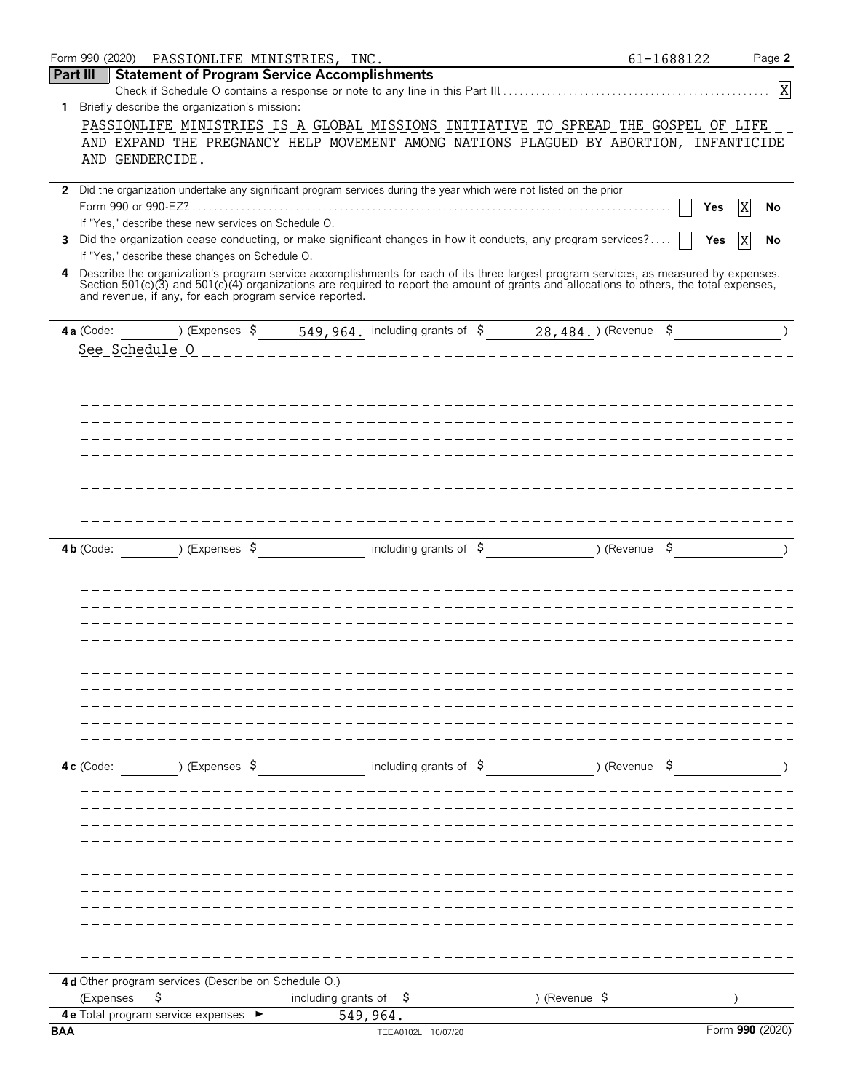|                 |             | Form 990 (2020) PASSIONLIFE MINISTRIES, INC.                                                                                                                                                        |                           |                                |            |                                                | 61-1688122 | Page 2          |
|-----------------|-------------|-----------------------------------------------------------------------------------------------------------------------------------------------------------------------------------------------------|---------------------------|--------------------------------|------------|------------------------------------------------|------------|-----------------|
| <b>Part III</b> |             | <b>Statement of Program Service Accomplishments</b>                                                                                                                                                 |                           |                                |            |                                                |            |                 |
|                 |             |                                                                                                                                                                                                     |                           |                                |            |                                                |            | $\mathbf{X}$    |
| 1               |             | Briefly describe the organization's mission:                                                                                                                                                        |                           |                                |            |                                                |            |                 |
|                 |             | PASSIONLIFE MINISTRIES IS A GLOBAL MISSIONS INITIATIVE TO SPREAD THE GOSPEL OF LIFE                                                                                                                 |                           |                                |            |                                                |            |                 |
|                 |             | AND EXPAND THE PREGNANCY HELP MOVEMENT AMONG NATIONS PLAGUED BY ABORTION, INFANTICIDE                                                                                                               |                           |                                |            |                                                |            |                 |
|                 |             | AND GENDERCIDE.                                                                                                                                                                                     |                           | ______________________         |            |                                                |            |                 |
|                 |             | 2 Did the organization undertake any significant program services during the year which were not listed on the prior                                                                                |                           |                                |            |                                                |            |                 |
|                 |             |                                                                                                                                                                                                     |                           |                                |            |                                                | Yes        | X<br>No         |
|                 |             | If "Yes," describe these new services on Schedule O.                                                                                                                                                |                           |                                |            |                                                |            |                 |
| 3               |             | Did the organization cease conducting, or make significant changes in how it conducts, any program services?                                                                                        |                           |                                |            |                                                | Yes        | ΙX<br>No        |
|                 |             | If "Yes," describe these changes on Schedule O.                                                                                                                                                     |                           |                                |            |                                                |            |                 |
| 4               |             | Describe the organization's program service accomplishments for each of its three largest program services, as measured by expenses.                                                                |                           |                                |            |                                                |            |                 |
|                 |             | Section 501(c)(3) and 501(c)(4) organizations are required to report the amount of grants and allocations to others, the total expenses,<br>and revenue, if any, for each program service reported. |                           |                                |            |                                                |            |                 |
|                 |             |                                                                                                                                                                                                     |                           |                                |            |                                                |            |                 |
|                 |             | 4a (Code: 1999) (Expenses \$19,964, including grants of \$2,484, ) (Revenue \$                                                                                                                      |                           |                                |            |                                                |            | $\rightarrow$   |
|                 |             | See Schedule 0                                                                                                                                                                                      | _________________________ |                                | __________ |                                                |            |                 |
|                 |             |                                                                                                                                                                                                     |                           |                                |            |                                                |            |                 |
|                 |             |                                                                                                                                                                                                     |                           |                                |            |                                                |            |                 |
|                 |             |                                                                                                                                                                                                     |                           |                                |            |                                                |            |                 |
|                 |             |                                                                                                                                                                                                     |                           |                                |            |                                                |            |                 |
|                 |             |                                                                                                                                                                                                     |                           |                                |            |                                                |            |                 |
|                 |             |                                                                                                                                                                                                     |                           |                                |            |                                                |            |                 |
|                 |             |                                                                                                                                                                                                     |                           |                                |            |                                                |            |                 |
|                 |             |                                                                                                                                                                                                     |                           |                                |            |                                                |            |                 |
|                 |             |                                                                                                                                                                                                     |                           |                                |            |                                                |            |                 |
|                 |             |                                                                                                                                                                                                     |                           |                                |            |                                                |            |                 |
|                 | $4b$ (Code: | ) (Expenses \$                                                                                                                                                                                      |                           |                                |            | including grants of $\beta$ (Revenue $\beta$ ) |            | $\rightarrow$   |
|                 |             |                                                                                                                                                                                                     |                           |                                |            |                                                |            |                 |
|                 |             |                                                                                                                                                                                                     |                           |                                |            |                                                |            |                 |
|                 |             |                                                                                                                                                                                                     |                           |                                |            |                                                |            |                 |
|                 |             |                                                                                                                                                                                                     |                           |                                |            |                                                |            |                 |
|                 |             |                                                                                                                                                                                                     |                           |                                |            |                                                |            |                 |
|                 |             |                                                                                                                                                                                                     |                           |                                |            |                                                |            |                 |
|                 |             |                                                                                                                                                                                                     |                           |                                |            |                                                |            |                 |
|                 |             |                                                                                                                                                                                                     |                           |                                |            |                                                |            |                 |
|                 |             |                                                                                                                                                                                                     |                           |                                |            |                                                |            |                 |
|                 |             |                                                                                                                                                                                                     |                           |                                |            |                                                |            |                 |
|                 |             |                                                                                                                                                                                                     |                           |                                |            |                                                |            |                 |
|                 |             |                                                                                                                                                                                                     |                           |                                |            |                                                |            |                 |
|                 | 4c (Code:   | ) (Expenses \$                                                                                                                                                                                      |                           | including grants of $\sqrt{5}$ |            | ) (Revenue \$                                  |            |                 |
|                 |             |                                                                                                                                                                                                     |                           |                                |            |                                                |            |                 |
|                 |             |                                                                                                                                                                                                     |                           |                                |            |                                                |            |                 |
|                 |             |                                                                                                                                                                                                     |                           |                                |            |                                                |            |                 |
|                 |             |                                                                                                                                                                                                     |                           |                                |            |                                                |            |                 |
|                 |             |                                                                                                                                                                                                     |                           |                                |            |                                                |            |                 |
|                 |             |                                                                                                                                                                                                     |                           |                                |            |                                                |            |                 |
|                 |             |                                                                                                                                                                                                     |                           |                                |            |                                                |            |                 |
|                 |             |                                                                                                                                                                                                     |                           |                                |            |                                                |            |                 |
|                 |             |                                                                                                                                                                                                     |                           |                                |            |                                                |            |                 |
|                 |             |                                                                                                                                                                                                     |                           |                                |            |                                                |            |                 |
|                 |             |                                                                                                                                                                                                     |                           |                                |            |                                                |            |                 |
|                 |             | 4d Other program services (Describe on Schedule O.)                                                                                                                                                 |                           |                                |            |                                                |            |                 |
|                 |             | \$<br>(Expenses                                                                                                                                                                                     | including grants of       | Ş.                             |            | ) (Revenue \$                                  |            |                 |
|                 |             | 4e Total program service expenses                                                                                                                                                                   | 549,964.                  |                                |            |                                                |            |                 |
| <b>BAA</b>      |             |                                                                                                                                                                                                     |                           | TEEA0102L 10/07/20             |            |                                                |            | Form 990 (2020) |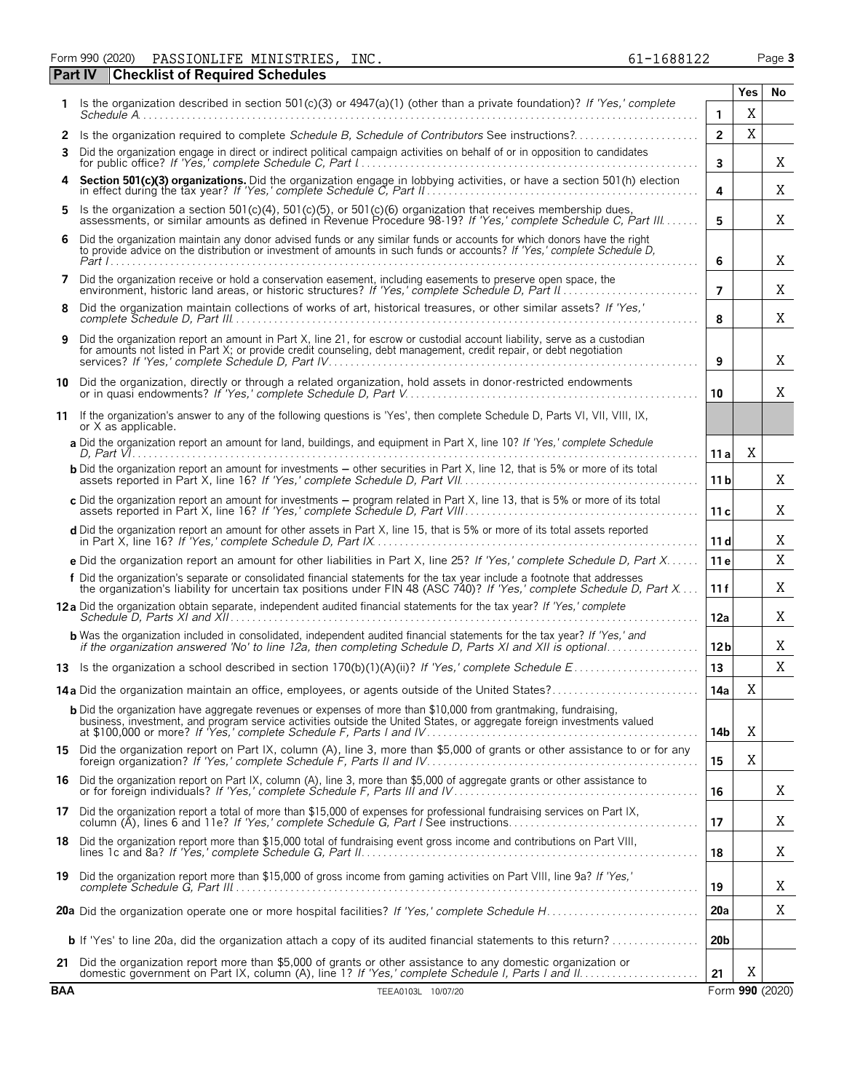Form 990 (2020) Page **3** PASSIONLIFE MINISTRIES, INC. 61-1688122

|            | <b>Checklist of Required Schedules</b><br><b>Part IV</b>                                                                                                                                                                                            |                 |             |                 |
|------------|-----------------------------------------------------------------------------------------------------------------------------------------------------------------------------------------------------------------------------------------------------|-----------------|-------------|-----------------|
|            | Is the organization described in section 501(c)(3) or 4947(a)(1) (other than a private foundation)? If 'Yes,' complete                                                                                                                              |                 | Yes         | No              |
|            |                                                                                                                                                                                                                                                     | 1               | X           |                 |
| 2          | Is the organization required to complete Schedule B, Schedule of Contributors See instructions?                                                                                                                                                     | $\overline{2}$  | X           |                 |
| 3          | Did the organization engage in direct or indirect political campaign activities on behalf of or in opposition to candidates                                                                                                                         | 3               |             | Χ               |
|            | Section 501(c)(3) organizations. Did the organization engage in lobbying activities, or have a section 501(h) election in effect during the tax year? If 'Yes,' complete Schedule C, Part II                                                        | 4               |             | Χ               |
| 5.         | Is the organization a section 501(c)(4), 501(c)(5), or 501(c)(6) organization that receives membership dues, assessments, or similar amounts as defined in Revenue Procedure 98-19? If 'Yes,' complete Schedule C, Part III                         | 5               |             | Χ               |
| 6          | Did the organization maintain any donor advised funds or any similar funds or accounts for which donors have the right<br>to provide advice on the distribution or investment of amounts in such funds or accounts? If 'Yes,' complete Schedule D,  | 6               |             | Χ               |
| 7          | Did the organization receive or hold a conservation easement, including easements to preserve open space, the                                                                                                                                       | $\overline{7}$  |             | Χ               |
| 8          | Did the organization maintain collections of works of art, historical treasures, or other similar assets? If 'Yes,'                                                                                                                                 | 8               |             | X               |
| 9          | Did the organization report an amount in Part X, line 21, for escrow or custodial account liability, serve as a custodian<br>for amounts not listed in Part X; or provide credit counseling, debt management, credit repair, or debt negotiation    | 9               |             | X               |
| 10         | Did the organization, directly or through a related organization, hold assets in donor-restricted endowments                                                                                                                                        | 10              |             | X               |
| 11         | If the organization's answer to any of the following questions is 'Yes', then complete Schedule D, Parts VI, VII, VIII, IX,<br>or X as applicable.                                                                                                  |                 |             |                 |
|            | a Did the organization report an amount for land, buildings, and equipment in Part X, line 10? If 'Yes,' complete Schedule                                                                                                                          | 11a             | Χ           |                 |
|            | <b>b</b> Did the organization report an amount for investments – other securities in Part X, line 12, that is 5% or more of its total                                                                                                               | 11 <sub>b</sub> |             | X               |
|            | c Did the organization report an amount for investments - program related in Part X, line 13, that is 5% or more of its total                                                                                                                       | 11c             |             | X               |
|            | d Did the organization report an amount for other assets in Part X, line 15, that is 5% or more of its total assets reported                                                                                                                        | 11d             |             | X               |
|            | e Did the organization report an amount for other liabilities in Part X, line 25? If 'Yes,' complete Schedule D, Part X                                                                                                                             | 11 e            |             | X               |
|            | f Did the organization's separate or consolidated financial statements for the tax year include a footnote that addresses<br>the organization's liability for uncertain tax positions under FIN 48 (ASC 740)? If 'Yes,' complete Schedule D, Part X | 11f             |             | X               |
|            | 12a Did the organization obtain separate, independent audited financial statements for the tax year? If 'Yes,' complete                                                                                                                             | 12a             |             | Χ               |
|            | <b>b</b> Was the organization included in consolidated, independent audited financial statements for the tax year? If 'Yes,' and<br>if the organization answered 'No' to line 12a, then completing Schedule D, Parts XI and XII is optional         | 12 <sub>b</sub> |             | Χ               |
|            |                                                                                                                                                                                                                                                     | 13              |             | X               |
|            | 14a Did the organization maintain an office, employees, or agents outside of the United States?                                                                                                                                                     | 14a             | X           |                 |
|            | <b>b</b> Did the organization have aggregate revenues or expenses of more than \$10,000 from grantmaking, fundraising,<br>business, investment, and program service activities outside the United States, or aggregate foreign investments valued   | 14b             | $\mathbf X$ |                 |
|            | 15 Did the organization report on Part IX, column (A), line 3, more than \$5,000 of grants or other assistance to or for any foreign organization? If 'Yes,' complete Schedule F, Parts II and IV                                                   | 15              | X           |                 |
|            | 16 Did the organization report on Part IX, column (A), line 3, more than \$5,000 of aggregate grants or other assistance to<br>or for foreign individuals? If 'Yes,' complete Schedule F, Parts III and IV                                          | 16              |             | Χ               |
|            | 17 Did the organization report a total of more than \$15,000 of expenses for professional fundraising services on Part IX,<br>column (A), lines 6 and 11e? If 'Yes,' complete Schedule G, Part I See instructions                                   | 17              |             | X               |
|            | 18 Did the organization report more than \$15,000 total of fundraising event gross income and contributions on Part VIII,                                                                                                                           | 18              |             | X               |
|            | 19 Did the organization report more than \$15,000 of gross income from gaming activities on Part VIII, line 9a? If 'Yes,'                                                                                                                           | 19              |             | X               |
|            |                                                                                                                                                                                                                                                     | 20a             |             | Χ               |
|            | <b>b</b> If 'Yes' to line 20a, did the organization attach a copy of its audited financial statements to this return?                                                                                                                               | 20 <sub>b</sub> |             |                 |
| 21         | Did the organization report more than \$5,000 of grants or other assistance to any domestic organization or                                                                                                                                         | 21              | X           |                 |
| <b>BAA</b> | TEEA0103L 10/07/20                                                                                                                                                                                                                                  |                 |             | Form 990 (2020) |

|               |  |  | IONLIIL MINISIRILS, INC. |
|---------------|--|--|--------------------------|
|               |  |  |                          |
| $\sim$ $\sim$ |  |  |                          |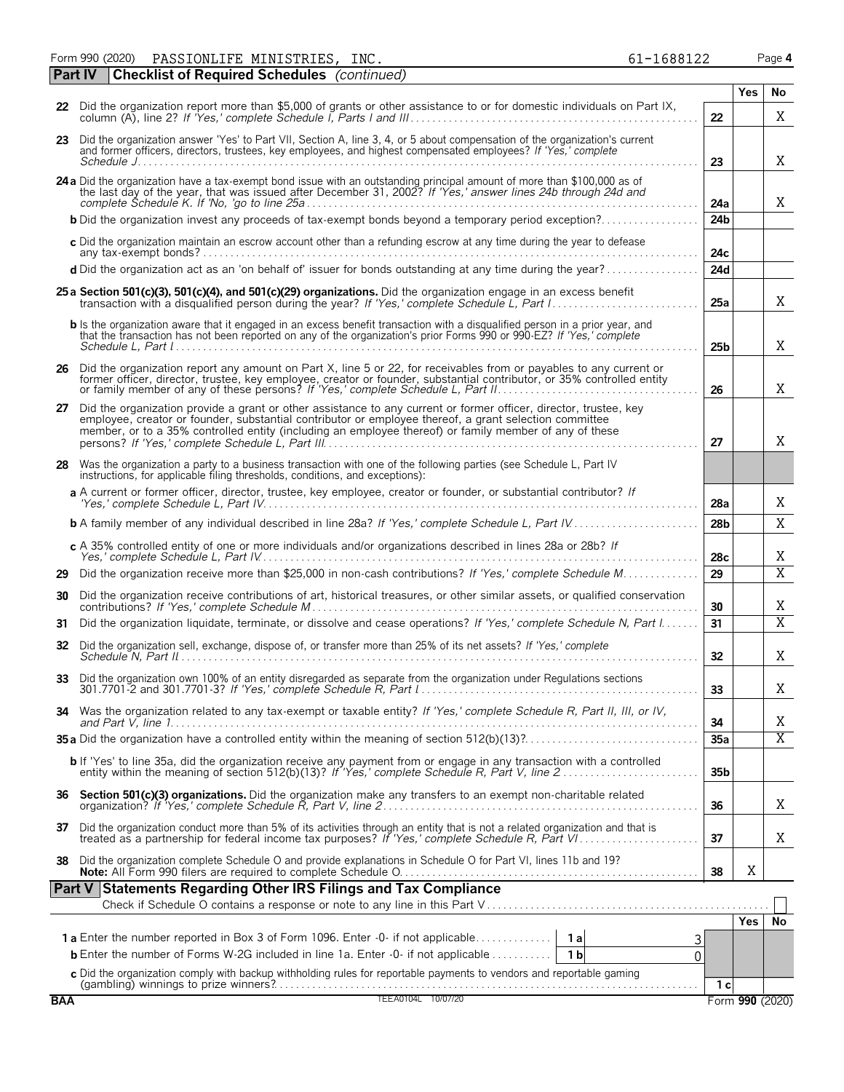Form 990 (2020) Page **4** PASSIONLIFE MINISTRIES, INC. 61-1688122

|            | Part IV | <b>Checklist of Required Schedules</b> (continued)                                                                                                                                                                                                                                                                                    |                 |     |                         |
|------------|---------|---------------------------------------------------------------------------------------------------------------------------------------------------------------------------------------------------------------------------------------------------------------------------------------------------------------------------------------|-----------------|-----|-------------------------|
|            |         |                                                                                                                                                                                                                                                                                                                                       |                 | Yes | No                      |
|            |         | 22 Did the organization report more than \$5,000 of grants or other assistance to or for domestic individuals on Part IX,                                                                                                                                                                                                             | 22              |     | Χ                       |
|            |         | 23 Did the organization answer 'Yes' to Part VII, Section A, line 3, 4, or 5 about compensation of the organization's current<br>and former officers, directors, trustees, key employees, and highest compensated employees? If 'Yes,' complete                                                                                       | 23              |     | X                       |
|            |         | 24 a Did the organization have a tax-exempt bond issue with an outstanding principal amount of more than \$100,000 as of the last day of the year, that was issued after December 31, 2002? If 'Yes,' answer lines 24b through                                                                                                        | 24a             |     | X                       |
|            |         | <b>b</b> Did the organization invest any proceeds of tax-exempt bonds beyond a temporary period exception?                                                                                                                                                                                                                            | 24 <sub>b</sub> |     |                         |
|            |         | c Did the organization maintain an escrow account other than a refunding escrow at any time during the year to defease                                                                                                                                                                                                                | 24c             |     |                         |
|            |         | d Did the organization act as an 'on behalf of' issuer for bonds outstanding at any time during the year?                                                                                                                                                                                                                             | 24d             |     |                         |
|            |         | 25 a Section 501(c)(3), 501(c)(4), and 501(c)(29) organizations. Did the organization engage in an excess benefit                                                                                                                                                                                                                     | 25a             |     | X                       |
|            |         | <b>b</b> Is the organization aware that it engaged in an excess benefit transaction with a disqualified person in a prior year, and<br>that the transaction has not been reported on any of the organization's prior Forms 990 or 990-EZ? If 'Yes,' complete                                                                          | 25 <sub>b</sub> |     | X                       |
|            |         | 26 Did the organization report any amount on Part X, line 5 or 22, for receivables from or payables to any current or<br>former officer, director, trustee, key employee, creator or founder, substantial contributor, or 35% controlled entity<br>or family member of any of these persons? If 'Yes,' complete Schedule L, Part II   | 26              |     | Χ                       |
| 27         |         | Did the organization provide a grant or other assistance to any current or former officer, director, trustee, key<br>employee, creator or founder, substantial contributor or employee thereof, a grant selection committee<br>member, or to a 35% controlled entity (including an employee thereof) or family member of any of these | 27              |     | X                       |
| 28         |         | Was the organization a party to a business transaction with one of the following parties (see Schedule L, Part IV<br>instructions, for applicable filing thresholds, conditions, and exceptions):                                                                                                                                     |                 |     |                         |
|            |         | a A current or former officer, director, trustee, key employee, creator or founder, or substantial contributor? If                                                                                                                                                                                                                    | 28a             |     | Χ                       |
|            |         | <b>b</b> A family member of any individual described in line 28a? If 'Yes,' complete Schedule L, Part IV                                                                                                                                                                                                                              | 28 <sub>b</sub> |     | X                       |
|            |         | c A 35% controlled entity of one or more individuals and/or organizations described in lines 28a or 28b? If                                                                                                                                                                                                                           | 28c             |     | Χ                       |
| 29         |         | Did the organization receive more than \$25,000 in non-cash contributions? If 'Yes,' complete Schedule M                                                                                                                                                                                                                              | 29              |     | $\overline{\mathrm{X}}$ |
| 30         |         | Did the organization receive contributions of art, historical treasures, or other similar assets, or qualified conservation                                                                                                                                                                                                           | 30              |     | Χ                       |
| 31         |         | Did the organization liquidate, terminate, or dissolve and cease operations? If 'Yes,' complete Schedule N, Part I                                                                                                                                                                                                                    | 31              |     | X                       |
| 32         |         | Did the organization sell, exchange, dispose of, or transfer more than 25% of its net assets? If 'Yes,' complete                                                                                                                                                                                                                      | 32              |     | X                       |
|            |         | Did the organization own 100% of an entity disregarded as separate from the organization under Regulations sections                                                                                                                                                                                                                   | 33              |     | Χ                       |
| 34         |         | Was the organization related to any tax-exempt or taxable entity? If 'Yes,' complete Schedule R, Part II, III, or IV,                                                                                                                                                                                                                 | 34              |     | Χ                       |
|            |         |                                                                                                                                                                                                                                                                                                                                       | 35a             |     | $\overline{X}$          |
|            |         | <b>b</b> If 'Yes' to line 35a, did the organization receive any payment from or engage in any transaction with a controlled entity within the meaning of section 512(b)(13)? If 'Yes,' complete Schedule R, Part V, line 2                                                                                                            | 35 <sub>b</sub> |     |                         |
|            |         |                                                                                                                                                                                                                                                                                                                                       | 36              |     | Χ                       |
|            |         | 37 Did the organization conduct more than 5% of its activities through an entity that is not a related organization and that is treated as a partnership for federal income tax purposes? If 'Yes,' complete Schedule R, Part                                                                                                         | 37              |     | Χ                       |
| 38         |         | Did the organization complete Schedule O and provide explanations in Schedule O for Part VI, lines 11b and 19?                                                                                                                                                                                                                        | 38              | Χ   |                         |
|            |         | Part V Statements Regarding Other IRS Filings and Tax Compliance                                                                                                                                                                                                                                                                      |                 |     |                         |
|            |         |                                                                                                                                                                                                                                                                                                                                       |                 |     |                         |
|            |         | 3                                                                                                                                                                                                                                                                                                                                     |                 | Yes | l No                    |
|            |         | <b>b</b> Enter the number of Forms W-2G included in line 1a. Enter -0- if not applicable<br>1 b<br>0                                                                                                                                                                                                                                  |                 |     |                         |
|            |         |                                                                                                                                                                                                                                                                                                                                       |                 |     |                         |
| <b>BAA</b> |         | C Did the organization comply with backup withholding rules for reportable payments to vendors and reportable gaming<br>(gambling) winnings to prize winners?<br>TEEA0104L 10/07/20                                                                                                                                                   | 1c              |     | Form 990 (2020)         |
|            |         |                                                                                                                                                                                                                                                                                                                                       |                 |     |                         |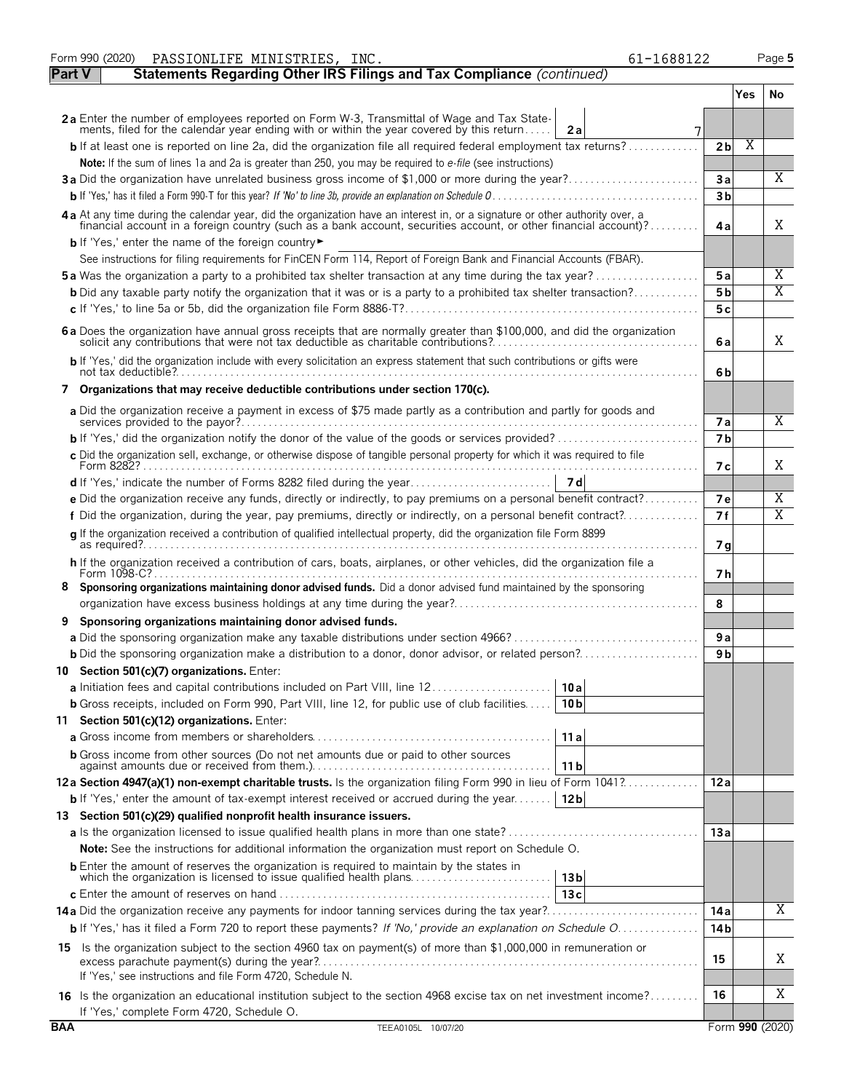|               | Form 990 (2020)<br>PASSIONLIFE MINISTRIES, INC.<br>61-1688122                                                                                                                                                                  |                |     | Page 5          |
|---------------|--------------------------------------------------------------------------------------------------------------------------------------------------------------------------------------------------------------------------------|----------------|-----|-----------------|
| <b>Part V</b> | Statements Regarding Other IRS Filings and Tax Compliance (continued)                                                                                                                                                          |                |     |                 |
|               |                                                                                                                                                                                                                                |                | Yes | No.             |
|               | 2a Enter the number of employees reported on Form W-3, Transmittal of Wage and Tax State-<br>ments, filed for the calendar year ending with or within the year covered by this return<br>2a                                    |                |     |                 |
|               | <b>b</b> If at least one is reported on line 2a, did the organization file all required federal employment tax returns?                                                                                                        | 2 <sub>b</sub> | Χ   |                 |
|               | Note: If the sum of lines 1a and 2a is greater than 250, you may be required to e-file (see instructions)                                                                                                                      |                |     |                 |
|               | 3a Did the organization have unrelated business gross income of \$1,000 or more during the year?                                                                                                                               | 3a             |     | X               |
|               |                                                                                                                                                                                                                                | 3 <sub>b</sub> |     |                 |
|               | 4 a At any time during the calendar year, did the organization have an interest in, or a signature or other authority over, a financial account in a foreign country (such as a bank account, securities account, or other fin | 4a             |     | X               |
|               | <b>b</b> If 'Yes,' enter the name of the foreign country                                                                                                                                                                       |                |     |                 |
|               | See instructions for filing requirements for FinCEN Form 114, Report of Foreign Bank and Financial Accounts (FBAR).                                                                                                            |                |     |                 |
|               | <b>5a</b> Was the organization a party to a prohibited tax shelter transaction at any time during the tax year?                                                                                                                | 5a             |     | Χ               |
|               | <b>b</b> Did any taxable party notify the organization that it was or is a party to a prohibited tax shelter transaction?                                                                                                      | 5 b            |     | X               |
|               |                                                                                                                                                                                                                                | 5 c            |     |                 |
|               | 6 a Does the organization have annual gross receipts that are normally greater than \$100,000, and did the organization solicit any contributions that were not tax deductible as charitable contributions?                    | 6a             |     | X               |
|               | b If 'Yes,' did the organization include with every solicitation an express statement that such contributions or gifts were                                                                                                    | 6b             |     |                 |
|               | 7 Organizations that may receive deductible contributions under section 170(c).                                                                                                                                                |                |     |                 |
|               | a Did the organization receive a payment in excess of \$75 made partly as a contribution and partly for goods and                                                                                                              | <b>7a</b>      |     | X               |
|               |                                                                                                                                                                                                                                | 7 <sub>b</sub> |     |                 |
|               | c Did the organization sell, exchange, or otherwise dispose of tangible personal property for which it was required to file                                                                                                    |                |     |                 |
|               |                                                                                                                                                                                                                                | 7 с            |     | X               |
|               |                                                                                                                                                                                                                                |                |     |                 |
|               | e Did the organization receive any funds, directly or indirectly, to pay premiums on a personal benefit contract?                                                                                                              | <b>7e</b>      |     | Χ               |
|               | f Did the organization, during the year, pay premiums, directly or indirectly, on a personal benefit contract?                                                                                                                 | 7f             |     | Χ               |
|               | g If the organization received a contribution of qualified intellectual property, did the organization file Form 8899                                                                                                          | 7 <sub>q</sub> |     |                 |
|               | h If the organization received a contribution of cars, boats, airplanes, or other vehicles, did the organization file a                                                                                                        | 7 h            |     |                 |
| 8.            | Sponsoring organizations maintaining donor advised funds. Did a donor advised fund maintained by the sponsoring                                                                                                                |                |     |                 |
|               |                                                                                                                                                                                                                                | 8              |     |                 |
| 9             | Sponsoring organizations maintaining donor advised funds.                                                                                                                                                                      |                |     |                 |
|               | a Did the sponsoring organization make any taxable distributions under section 4966?                                                                                                                                           | 9a             |     |                 |
|               |                                                                                                                                                                                                                                | 9 <sub>b</sub> |     |                 |
|               | 10 Section 501(c)(7) organizations. Enter:                                                                                                                                                                                     |                |     |                 |
|               | a Initiation fees and capital contributions included on Part VIII, line 12<br>10a                                                                                                                                              |                |     |                 |
|               | <b>b</b> Gross receipts, included on Form 990, Part VIII, line 12, for public use of club facilities<br>10 <sub>b</sub>                                                                                                        |                |     |                 |
|               | 11 Section 501(c)(12) organizations. Enter:                                                                                                                                                                                    |                |     |                 |
|               | 11a                                                                                                                                                                                                                            |                |     |                 |
|               | <b>b</b> Gross income from other sources (Do not net amounts due or paid to other sources<br>11 b                                                                                                                              |                |     |                 |
|               | 12a Section 4947(a)(1) non-exempt charitable trusts. Is the organization filing Form 990 in lieu of Form 1041?                                                                                                                 | 12a            |     |                 |
|               | <b>b</b> If 'Yes,' enter the amount of tax-exempt interest received or accrued during the year<br>12 <sub>b</sub>                                                                                                              |                |     |                 |
|               | 13 Section 501(c)(29) qualified nonprofit health insurance issuers.                                                                                                                                                            |                |     |                 |
|               |                                                                                                                                                                                                                                | 13a            |     |                 |
|               | <b>Note:</b> See the instructions for additional information the organization must report on Schedule O.                                                                                                                       |                |     |                 |
|               | <b>b</b> Enter the amount of reserves the organization is required to maintain by the states in<br>13 <sub>b</sub>                                                                                                             |                |     |                 |
|               | 13c                                                                                                                                                                                                                            |                |     |                 |
|               |                                                                                                                                                                                                                                | 14 a           |     | Χ               |
|               | b If 'Yes,' has it filed a Form 720 to report these payments? If 'No,' provide an explanation on Schedule O                                                                                                                    | 14 b           |     |                 |
|               | 15 Is the organization subject to the section 4960 tax on payment(s) of more than \$1,000,000 in remuneration or                                                                                                               | 15             |     | Χ               |
|               | If 'Yes,' see instructions and file Form 4720, Schedule N.                                                                                                                                                                     |                |     |                 |
|               | 16 Is the organization an educational institution subject to the section 4968 excise tax on net investment income?                                                                                                             | 16             |     | Χ               |
|               | If 'Yes,' complete Form 4720, Schedule O.                                                                                                                                                                                      |                |     |                 |
| <b>BAA</b>    | TEEA0105L 10/07/20                                                                                                                                                                                                             |                |     | Form 990 (2020) |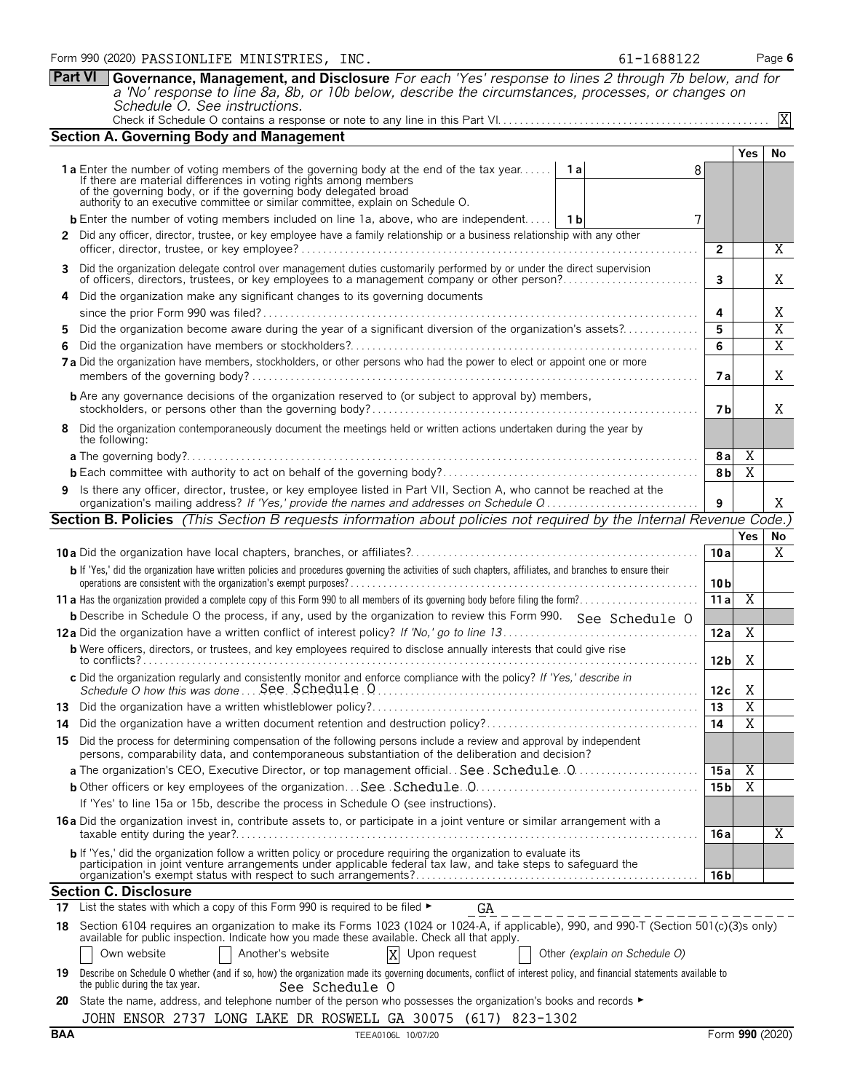| Form 990 (2020) PASSIONLIFE MINISTRIES, | INC. | 61-1688122 | Page 6 |
|-----------------------------------------|------|------------|--------|
|-----------------------------------------|------|------------|--------|

**Part VI Governance, Management, and Disclosure** *For each 'Yes' response to lines 2 through 7b below, and for a 'No' response to line 8a, 8b, or 10b below, describe the circumstances, processes, or changes on Schedule O. See instructions.* Check if Schedule O contains a response or note to any line in this Part VI. . . . . . . . . . . . . . . . . . . . . . . . . . . . . . . . . . . . . . . . . . . . . . . . . . X

|                                                                                                                                                                                                                                   | <b>Section A. Governing Body and Management</b>                                                                                                                                                                                                                                                                                |                 |                |                     |  |  |  |  |  |
|-----------------------------------------------------------------------------------------------------------------------------------------------------------------------------------------------------------------------------------|--------------------------------------------------------------------------------------------------------------------------------------------------------------------------------------------------------------------------------------------------------------------------------------------------------------------------------|-----------------|----------------|---------------------|--|--|--|--|--|
|                                                                                                                                                                                                                                   |                                                                                                                                                                                                                                                                                                                                |                 | Yes            | <b>No</b>           |  |  |  |  |  |
|                                                                                                                                                                                                                                   | 1a Enter the number of voting members of the governing body at the end of the tax year<br>1a<br>8                                                                                                                                                                                                                              |                 |                |                     |  |  |  |  |  |
|                                                                                                                                                                                                                                   | If there are material differences in voting rights among members of the governing body, or if the governing body delegated broad                                                                                                                                                                                               |                 |                |                     |  |  |  |  |  |
|                                                                                                                                                                                                                                   | authority to an executive committee or similar committee, explain on Schedule O.                                                                                                                                                                                                                                               |                 |                |                     |  |  |  |  |  |
|                                                                                                                                                                                                                                   | <b>b</b> Enter the number of voting members included on line 1a, above, who are independent   1b                                                                                                                                                                                                                               |                 |                |                     |  |  |  |  |  |
|                                                                                                                                                                                                                                   | 2 Did any officer, director, trustee, or key employee have a family relationship or a business relationship with any other                                                                                                                                                                                                     | $\overline{2}$  |                | $\overline{X}$      |  |  |  |  |  |
|                                                                                                                                                                                                                                   | 3 Did the organization delegate control over management duties customarily performed by or under the direct supervision                                                                                                                                                                                                        |                 |                |                     |  |  |  |  |  |
|                                                                                                                                                                                                                                   |                                                                                                                                                                                                                                                                                                                                | $\mathbf{3}$    |                | Χ                   |  |  |  |  |  |
| 4                                                                                                                                                                                                                                 | Did the organization make any significant changes to its governing documents                                                                                                                                                                                                                                                   |                 |                |                     |  |  |  |  |  |
|                                                                                                                                                                                                                                   |                                                                                                                                                                                                                                                                                                                                | 4               |                | Χ<br>$\overline{X}$ |  |  |  |  |  |
| Did the organization become aware during the year of a significant diversion of the organization's assets?                                                                                                                        |                                                                                                                                                                                                                                                                                                                                |                 |                |                     |  |  |  |  |  |
| 6.                                                                                                                                                                                                                                |                                                                                                                                                                                                                                                                                                                                | 6               |                | $\overline{X}$      |  |  |  |  |  |
| 7a Did the organization have members, stockholders, or other persons who had the power to elect or appoint one or more                                                                                                            |                                                                                                                                                                                                                                                                                                                                |                 |                |                     |  |  |  |  |  |
| <b>b</b> Are any governance decisions of the organization reserved to (or subject to approval by) members,                                                                                                                        |                                                                                                                                                                                                                                                                                                                                |                 |                |                     |  |  |  |  |  |
|                                                                                                                                                                                                                                   | 8 Did the organization contemporaneously document the meetings held or written actions undertaken during the year by<br>the following:                                                                                                                                                                                         |                 |                |                     |  |  |  |  |  |
|                                                                                                                                                                                                                                   |                                                                                                                                                                                                                                                                                                                                | 8a              | Χ              |                     |  |  |  |  |  |
|                                                                                                                                                                                                                                   |                                                                                                                                                                                                                                                                                                                                | 8b              | $\overline{X}$ |                     |  |  |  |  |  |
|                                                                                                                                                                                                                                   | 9 Is there any officer, director, trustee, or key employee listed in Part VII, Section A, who cannot be reached at the                                                                                                                                                                                                         |                 |                |                     |  |  |  |  |  |
|                                                                                                                                                                                                                                   | organization's mailing address? If 'Yes,' provide the names and addresses on Schedule Q<br>Section B. Policies (This Section B requests information about policies not required by the Internal Revenue Code.)                                                                                                                 | 9               |                | X                   |  |  |  |  |  |
|                                                                                                                                                                                                                                   |                                                                                                                                                                                                                                                                                                                                |                 | <b>Yes</b>     | No                  |  |  |  |  |  |
|                                                                                                                                                                                                                                   |                                                                                                                                                                                                                                                                                                                                | 10a             |                | X                   |  |  |  |  |  |
|                                                                                                                                                                                                                                   | b If 'Yes,' did the organization have written policies and procedures governing the activities of such chapters, affiliates, and branches to ensure their                                                                                                                                                                      | 10 <sub>b</sub> |                |                     |  |  |  |  |  |
|                                                                                                                                                                                                                                   |                                                                                                                                                                                                                                                                                                                                | 11a             | $\overline{X}$ |                     |  |  |  |  |  |
|                                                                                                                                                                                                                                   | <b>b</b> Describe in Schedule O the process, if any, used by the organization to review this Form 990. See Schedule O                                                                                                                                                                                                          |                 |                |                     |  |  |  |  |  |
|                                                                                                                                                                                                                                   |                                                                                                                                                                                                                                                                                                                                | 12a             | X              |                     |  |  |  |  |  |
|                                                                                                                                                                                                                                   | <b>b</b> Were officers, directors, or trustees, and key employees required to disclose annually interests that could give rise                                                                                                                                                                                                 | 12 bl           | Χ              |                     |  |  |  |  |  |
|                                                                                                                                                                                                                                   | c Did the organization regularly and consistently monitor and enforce compliance with the policy? If 'Yes,' describe in                                                                                                                                                                                                        | 12c             | X              |                     |  |  |  |  |  |
|                                                                                                                                                                                                                                   |                                                                                                                                                                                                                                                                                                                                | 13              | $\overline{X}$ |                     |  |  |  |  |  |
|                                                                                                                                                                                                                                   |                                                                                                                                                                                                                                                                                                                                | 14              | $\overline{X}$ |                     |  |  |  |  |  |
|                                                                                                                                                                                                                                   | 15 Did the process for determining compensation of the following persons include a review and approval by independent<br>persons, comparability data, and contemporaneous substantiation of the deliberation and decision?                                                                                                     |                 |                |                     |  |  |  |  |  |
|                                                                                                                                                                                                                                   |                                                                                                                                                                                                                                                                                                                                | 15a             | X              |                     |  |  |  |  |  |
|                                                                                                                                                                                                                                   |                                                                                                                                                                                                                                                                                                                                | 15 <sub>b</sub> | Χ              |                     |  |  |  |  |  |
|                                                                                                                                                                                                                                   | If 'Yes' to line 15a or 15b, describe the process in Schedule O (see instructions).                                                                                                                                                                                                                                            |                 |                |                     |  |  |  |  |  |
|                                                                                                                                                                                                                                   | 16 a Did the organization invest in, contribute assets to, or participate in a joint venture or similar arrangement with a                                                                                                                                                                                                     | 16 a            |                | X                   |  |  |  |  |  |
| b If 'Yes,' did the organization follow a written policy or procedure requiring the organization to evaluate its<br>participation in joint venture arrangements under applicable federal tax law, and take steps to safeguard the |                                                                                                                                                                                                                                                                                                                                |                 |                |                     |  |  |  |  |  |
|                                                                                                                                                                                                                                   |                                                                                                                                                                                                                                                                                                                                | 16 b            |                |                     |  |  |  |  |  |
| 17                                                                                                                                                                                                                                | <b>Section C. Disclosure</b><br>List the states with which a copy of this Form 990 is required to be filed ►                                                                                                                                                                                                                   |                 |                |                     |  |  |  |  |  |
|                                                                                                                                                                                                                                   | GA                                                                                                                                                                                                                                                                                                                             |                 |                |                     |  |  |  |  |  |
| 18                                                                                                                                                                                                                                | Section 6104 requires an organization to make its Forms 1023 (1024 or 1024-A, if applicable), 990, and 990-T (Section 501(c)(3)s only)<br>available for public inspection. Indicate how you made these available. Check all that apply.<br>X Upon request<br>Another's website<br>Own website<br>Other (explain on Schedule O) |                 |                |                     |  |  |  |  |  |
| 19                                                                                                                                                                                                                                | Describe on Schedule O whether (and if so, how) the organization made its governing documents, conflict of interest policy, and financial statements available to                                                                                                                                                              |                 |                |                     |  |  |  |  |  |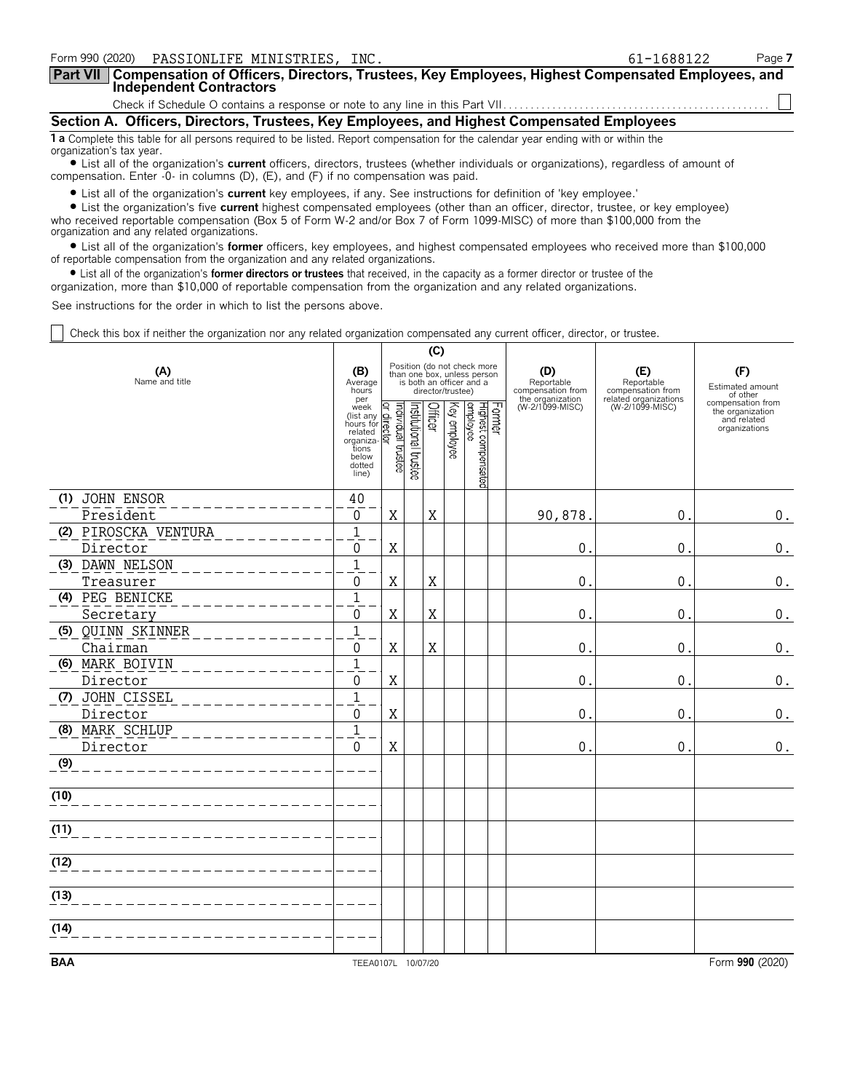| Form 990 (2020)  PASSIONLIFE MINISTRIES, INC.                                                                                                                                                                                                                                                        | 61-1688122 | Page 7 |  |  |  |  |  |  |
|------------------------------------------------------------------------------------------------------------------------------------------------------------------------------------------------------------------------------------------------------------------------------------------------------|------------|--------|--|--|--|--|--|--|
| Part VII   Compensation of Officers, Directors, Trustees, Key Employees, Highest Compensated Employees, and<br><b>Independent Contractors</b>                                                                                                                                                        |            |        |  |  |  |  |  |  |
|                                                                                                                                                                                                                                                                                                      |            |        |  |  |  |  |  |  |
| Section A. Officers, Directors, Trustees, Key Employees, and Highest Compensated Employees                                                                                                                                                                                                           |            |        |  |  |  |  |  |  |
| 1 a Complete this table for all persons required to be listed. Report compensation for the calendar year ending with or within the<br>organization's tax year.<br>I ict all of the organization's current officers directors trustees (whether individuals or organizations) regardless of amount of |            |        |  |  |  |  |  |  |

? List all of the organization's **current** officers, directors, trustees (whether individuals or organizations), regardless of amount of compensation. Enter -0- in columns (D), (E), and (F) if no compensation was paid.

? List all of the organization's **current** key employees, if any. See instructions for definition of 'key employee.'

? List the organization's five **current** highest compensated employees (other than an officer, director, trustee, or key employee) who received reportable compensation (Box 5 of Form W-2 and/or Box 7 of Form 1099-MISC) of more than \$100,000 from the organization and any related organizations.

? List all of the organization's **former** officers, key employees, and highest compensated employees who received more than \$100,000 of reportable compensation from the organization and any related organizations.

? List all of the organization's **former directors or trustees** that received, in the capacity as a former director or trustee of the

organization, more than \$10,000 of reportable compensation from the organization and any related organizations.

See instructions for the order in which to list the persons above.

Check this box if neither the organization nor any related organization compensated any current officer, director, or trustee.

|                       |                                                                                            | (C)                               |                       |         |                   |                                                                                        |  |                                        |                                          |                                                                       |
|-----------------------|--------------------------------------------------------------------------------------------|-----------------------------------|-----------------------|---------|-------------------|----------------------------------------------------------------------------------------|--|----------------------------------------|------------------------------------------|-----------------------------------------------------------------------|
| (A)<br>Name and title | (B)<br>Average<br>hours<br>per                                                             |                                   |                       |         | director/trustee) | Position (do not check more<br>than one box, unless person<br>is both an officer and a |  | (D)<br>Reportable<br>compensation from | (E)<br>Reportable<br>compensation from   | (F)<br>Estimated amount<br>of other                                   |
|                       | week<br>(list any<br>hours for<br>related<br>organiza<br>tions<br>below<br>dotted<br>line) | Individual trustee<br>qirect<br>₫ | Institutional trustee | Officer | Key employee      | Former<br>Highest compensated<br>employee                                              |  | the organization<br>(W-2/1099-MISC)    | related organizations<br>(W-2/1099-MISC) | compensation from<br>the organization<br>and related<br>organizations |
| (1) JOHN ENSOR        | 40                                                                                         |                                   |                       |         |                   |                                                                                        |  |                                        |                                          |                                                                       |
| President             | $\mathbf 0$                                                                                | X                                 |                       | X       |                   |                                                                                        |  | 90,878.                                | $\mathbf 0$                              | 0.                                                                    |
| (2) PIROSCKA VENTURA  | $\mathbf 1$                                                                                |                                   |                       |         |                   |                                                                                        |  |                                        |                                          |                                                                       |
| Director              | $\Omega$                                                                                   | X                                 |                       |         |                   |                                                                                        |  | $\mathbf 0$                            | $\mathbf 0$                              | $0$ .                                                                 |
| (3) DAWN NELSON       | $\overline{1}$                                                                             |                                   |                       |         |                   |                                                                                        |  |                                        |                                          |                                                                       |
| Treasurer             | $\Omega$                                                                                   | $\rm X$                           |                       | X       |                   |                                                                                        |  | $\mathbf 0$                            | $\mathbf 0$                              | $0$ .                                                                 |
| (4) PEG BENICKE       | $\overline{1}$                                                                             |                                   |                       |         |                   |                                                                                        |  |                                        |                                          |                                                                       |
| Secretary             | $\mathbf{0}$                                                                               | Χ                                 |                       | X       |                   |                                                                                        |  | 0                                      | $\mathbf 0$                              | 0.                                                                    |
| (5) QUINN SKINNER     | $\mathbf{1}$                                                                               |                                   |                       |         |                   |                                                                                        |  |                                        |                                          |                                                                       |
| Chairman              | $\Omega$                                                                                   | X                                 |                       | X       |                   |                                                                                        |  | 0                                      | 0                                        | 0.                                                                    |
| (6) MARK BOIVIN       | $\mathbf{1}$                                                                               |                                   |                       |         |                   |                                                                                        |  |                                        |                                          |                                                                       |
| Director              | $\Omega$                                                                                   | $\rm X$                           |                       |         |                   |                                                                                        |  | 0                                      | $\mathbf 0$                              | $0_{.}$                                                               |
| (7) JOHN CISSEL       | $\overline{1}$                                                                             |                                   |                       |         |                   |                                                                                        |  |                                        |                                          |                                                                       |
| Director              | $\Omega$                                                                                   | $\mathbf X$                       |                       |         |                   |                                                                                        |  | $\Omega$                               | $\mathbf 0$                              | $\boldsymbol{0}$ .                                                    |
| (8) MARK SCHLUP       | $\mathbf{1}$                                                                               |                                   |                       |         |                   |                                                                                        |  |                                        |                                          |                                                                       |
| Director              | $\mathbf{0}$                                                                               | X                                 |                       |         |                   |                                                                                        |  | $\mathbf 0$                            | $\mathbf 0$                              | 0.                                                                    |
| (9)                   |                                                                                            |                                   |                       |         |                   |                                                                                        |  |                                        |                                          |                                                                       |
| (10)                  |                                                                                            |                                   |                       |         |                   |                                                                                        |  |                                        |                                          |                                                                       |
| (11)                  |                                                                                            |                                   |                       |         |                   |                                                                                        |  |                                        |                                          |                                                                       |
| (12)                  |                                                                                            |                                   |                       |         |                   |                                                                                        |  |                                        |                                          |                                                                       |
| (13)                  |                                                                                            |                                   |                       |         |                   |                                                                                        |  |                                        |                                          |                                                                       |
| (14)                  |                                                                                            |                                   |                       |         |                   |                                                                                        |  |                                        |                                          |                                                                       |
| <b>BAA</b>            | TEEA0107L 10/07/20                                                                         |                                   |                       |         |                   |                                                                                        |  |                                        |                                          | Form 990 (2020)                                                       |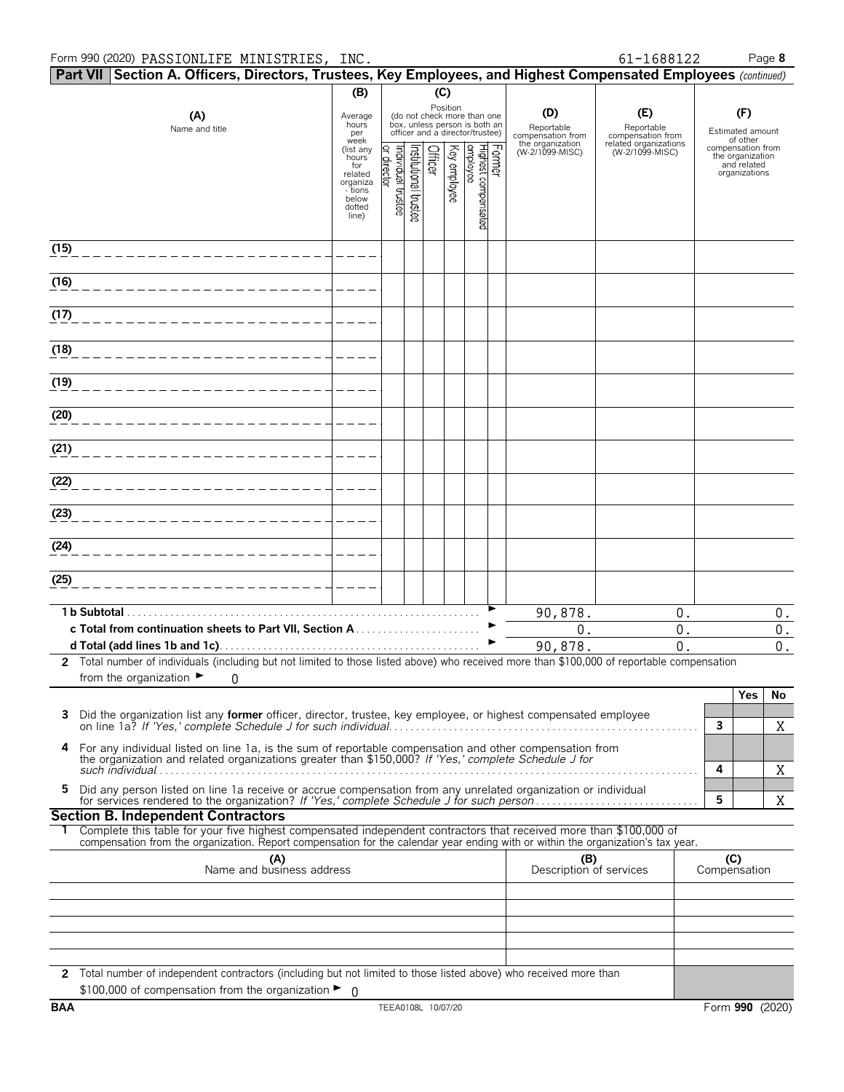#### Form 990 (2020) Page **8** PASSIONLIFE MINISTRIES, INC. 61-1688122

|                   | Part VII Section A. Officers, Directors, Trustees, Key Employees, and Highest Compensated Employees (continued)                                                                                                                                        |                                 |                              |                      |         |              |                                                                                                 |        |                                        |                                          |                     |                                                      |  |
|-------------------|--------------------------------------------------------------------------------------------------------------------------------------------------------------------------------------------------------------------------------------------------------|---------------------------------|------------------------------|----------------------|---------|--------------|-------------------------------------------------------------------------------------------------|--------|----------------------------------------|------------------------------------------|---------------------|------------------------------------------------------|--|
|                   |                                                                                                                                                                                                                                                        | (B)                             |                              |                      |         | (C)          |                                                                                                 |        |                                        |                                          |                     |                                                      |  |
|                   | (A)<br>Name and title                                                                                                                                                                                                                                  | Average<br>hours<br>per<br>week |                              |                      |         | Position     | (do not check more than one<br>box, unless person is both an<br>officer and a director/trustee) |        | (D)<br>Reportable<br>compensation from | (E)<br>Reportable<br>compensation from   |                     | (F)<br>Estimated amount<br>of other                  |  |
|                   |                                                                                                                                                                                                                                                        | (list any<br>hours<br>for       |                              |                      | Officer |              |                                                                                                 | Former | the organization<br>(W-2/1099-MISC)    | related organizations<br>(W-2/1099-MISC) |                     | compensation from<br>the organization<br>and related |  |
|                   |                                                                                                                                                                                                                                                        | related<br>organiza             | Individual trustee<br>rector | nstitutional trustee |         | Key employee | Highest compensated<br>employee                                                                 |        |                                        |                                          |                     | organizations                                        |  |
|                   |                                                                                                                                                                                                                                                        | - tions<br>below<br>dotted      |                              |                      |         |              |                                                                                                 |        |                                        |                                          |                     |                                                      |  |
|                   |                                                                                                                                                                                                                                                        | line)                           |                              |                      |         |              |                                                                                                 |        |                                        |                                          |                     |                                                      |  |
| (15)              |                                                                                                                                                                                                                                                        |                                 |                              |                      |         |              |                                                                                                 |        |                                        |                                          |                     |                                                      |  |
| $\overline{(16)}$ |                                                                                                                                                                                                                                                        |                                 |                              |                      |         |              |                                                                                                 |        |                                        |                                          |                     |                                                      |  |
| (17)              |                                                                                                                                                                                                                                                        |                                 |                              |                      |         |              |                                                                                                 |        |                                        |                                          |                     |                                                      |  |
| (18)              |                                                                                                                                                                                                                                                        |                                 |                              |                      |         |              |                                                                                                 |        |                                        |                                          |                     |                                                      |  |
| (19)              |                                                                                                                                                                                                                                                        |                                 |                              |                      |         |              |                                                                                                 |        |                                        |                                          |                     |                                                      |  |
| (20)              |                                                                                                                                                                                                                                                        |                                 |                              |                      |         |              |                                                                                                 |        |                                        |                                          |                     |                                                      |  |
| (21)              |                                                                                                                                                                                                                                                        |                                 |                              |                      |         |              |                                                                                                 |        |                                        |                                          |                     |                                                      |  |
| (22)              |                                                                                                                                                                                                                                                        |                                 |                              |                      |         |              |                                                                                                 |        |                                        |                                          |                     |                                                      |  |
|                   |                                                                                                                                                                                                                                                        |                                 |                              |                      |         |              |                                                                                                 |        |                                        |                                          |                     |                                                      |  |
| (23)              |                                                                                                                                                                                                                                                        |                                 |                              |                      |         |              |                                                                                                 |        |                                        |                                          |                     |                                                      |  |
| (24)              |                                                                                                                                                                                                                                                        |                                 |                              |                      |         |              |                                                                                                 |        |                                        |                                          |                     |                                                      |  |
| (25)              |                                                                                                                                                                                                                                                        |                                 |                              |                      |         |              |                                                                                                 |        |                                        |                                          |                     |                                                      |  |
|                   |                                                                                                                                                                                                                                                        |                                 |                              |                      |         |              |                                                                                                 |        | 90,878.                                | 0.                                       |                     | 0.                                                   |  |
|                   |                                                                                                                                                                                                                                                        |                                 |                              |                      |         |              |                                                                                                 |        | 0.<br>90,878.                          | 0.<br>$\overline{0}$ .                   |                     | $\mathbf 0$ .<br>$0$ .                               |  |
|                   | 2 Total number of individuals (including but not limited to those listed above) who received more than \$100,000 of reportable compensation                                                                                                            |                                 |                              |                      |         |              |                                                                                                 |        |                                        |                                          |                     |                                                      |  |
|                   | from the organization $\blacktriangleright$<br>$\overline{0}$                                                                                                                                                                                          |                                 |                              |                      |         |              |                                                                                                 |        |                                        |                                          |                     |                                                      |  |
| 3                 |                                                                                                                                                                                                                                                        |                                 |                              |                      |         |              |                                                                                                 |        |                                        |                                          |                     | Yes<br>No                                            |  |
|                   | Did the organization list any former officer, director, trustee, key employee, or highest compensated employee                                                                                                                                         |                                 |                              |                      |         |              |                                                                                                 |        |                                        |                                          | $\mathbf{3}$        | Χ                                                    |  |
| 4                 | For any individual listed on line 1a, is the sum of reportable compensation and other compensation from<br>the organization and related organizations greater than \$150,000? If 'Yes,' complete Schedule J for                                        |                                 |                              |                      |         |              |                                                                                                 |        |                                        |                                          | 4                   | X                                                    |  |
| 5.                | Did any person listed on line 1a receive or accrue compensation from any unrelated organization or individual<br>for services rendered to the organization? If 'Yes,' complete Schedule J for such person                                              |                                 |                              |                      |         |              |                                                                                                 |        |                                        |                                          | 5                   | X                                                    |  |
|                   | <b>Section B. Independent Contractors</b>                                                                                                                                                                                                              |                                 |                              |                      |         |              |                                                                                                 |        |                                        |                                          |                     |                                                      |  |
|                   | Complete this table for your five highest compensated independent contractors that received more than \$100,000 of<br>compensation from the organization. Report compensation for the calendar year ending with or within the organization's tax year. |                                 |                              |                      |         |              |                                                                                                 |        |                                        |                                          |                     |                                                      |  |
|                   | (A)<br>Name and business address                                                                                                                                                                                                                       |                                 |                              |                      |         |              |                                                                                                 |        | (B)<br>Description of services         |                                          | (C)<br>Compensation |                                                      |  |
|                   |                                                                                                                                                                                                                                                        |                                 |                              |                      |         |              |                                                                                                 |        |                                        |                                          |                     |                                                      |  |
|                   |                                                                                                                                                                                                                                                        |                                 |                              |                      |         |              |                                                                                                 |        |                                        |                                          |                     |                                                      |  |
|                   |                                                                                                                                                                                                                                                        |                                 |                              |                      |         |              |                                                                                                 |        |                                        |                                          |                     |                                                      |  |
|                   | 2 Total number of independent contractors (including but not limited to those listed above) who received more than                                                                                                                                     |                                 |                              |                      |         |              |                                                                                                 |        |                                        |                                          |                     |                                                      |  |
|                   | \$100,000 of compensation from the organization $\blacktriangleright$ 0                                                                                                                                                                                |                                 |                              |                      |         |              |                                                                                                 |        |                                        |                                          |                     |                                                      |  |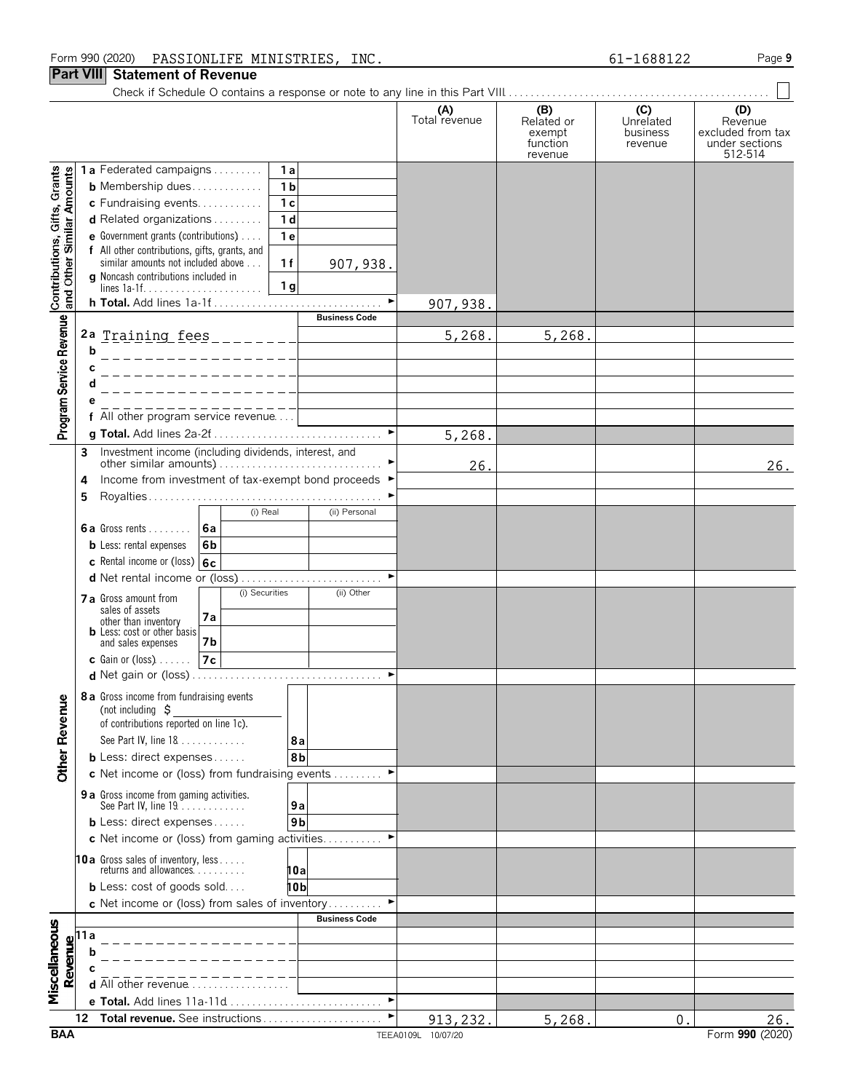#### Form 990 (2020) Page **9** PASSIONLIFE MINISTRIES, INC. 61-1688122

#### **Part VIII Statement of Revenue**

|                                                           |                                             |                                                                                                            | (A)<br>Total revenue | (B)<br>Related or<br>exempt<br>function<br>revenue | (C)<br>Unrelated<br>business<br>revenue | (D)<br>Revenue<br>excluded from tax<br>under sections<br>512-514 |
|-----------------------------------------------------------|---------------------------------------------|------------------------------------------------------------------------------------------------------------|----------------------|----------------------------------------------------|-----------------------------------------|------------------------------------------------------------------|
|                                                           |                                             | 1a Federated campaigns<br>1a                                                                               |                      |                                                    |                                         |                                                                  |
| Contributions, Gifts, Grants<br>and Other Similar Amounts |                                             | 1 <sub>b</sub><br><b>b</b> Membership dues                                                                 |                      |                                                    |                                         |                                                                  |
|                                                           |                                             | c Fundraising events<br>1 <sub>c</sub>                                                                     |                      |                                                    |                                         |                                                                  |
|                                                           |                                             | d Related organizations<br>1 <sub>d</sub>                                                                  |                      |                                                    |                                         |                                                                  |
|                                                           |                                             | 1e<br><b>e</b> Government grants (contributions) $\ldots$<br>f All other contributions, gifts, grants, and |                      |                                                    |                                         |                                                                  |
|                                                           |                                             | similar amounts not included above<br>1f<br>907, 938.                                                      |                      |                                                    |                                         |                                                                  |
|                                                           |                                             | g Noncash contributions included in<br>1 <sub>g</sub>                                                      |                      |                                                    |                                         |                                                                  |
|                                                           |                                             | $\blacktriangleright$                                                                                      | <u>907,938.</u>      |                                                    |                                         |                                                                  |
|                                                           |                                             | <b>Business Code</b>                                                                                       |                      |                                                    |                                         |                                                                  |
| Program Service Revenue                                   |                                             | 2a Training fees _________                                                                                 | 5,268.               | 5,268.                                             |                                         |                                                                  |
|                                                           | b                                           |                                                                                                            |                      |                                                    |                                         |                                                                  |
|                                                           |                                             |                                                                                                            |                      |                                                    |                                         |                                                                  |
|                                                           |                                             |                                                                                                            |                      |                                                    |                                         |                                                                  |
|                                                           |                                             |                                                                                                            |                      |                                                    |                                         |                                                                  |
|                                                           |                                             | f All other program service revenue<br>$\blacktriangleright$                                               |                      |                                                    |                                         |                                                                  |
|                                                           |                                             |                                                                                                            | 5,268.               |                                                    |                                         |                                                                  |
|                                                           | 3                                           |                                                                                                            | 26.                  |                                                    |                                         | 26.                                                              |
|                                                           | 4                                           | Income from investment of tax-exempt bond proceeds ▶                                                       |                      |                                                    |                                         |                                                                  |
|                                                           | 5                                           |                                                                                                            |                      |                                                    |                                         |                                                                  |
|                                                           |                                             | (i) Real<br>(ii) Personal                                                                                  |                      |                                                    |                                         |                                                                  |
|                                                           |                                             | <b>6a</b> Gross rents<br><u> 6a</u>                                                                        |                      |                                                    |                                         |                                                                  |
|                                                           |                                             | <b>b</b> Less: rental expenses<br>6b                                                                       |                      |                                                    |                                         |                                                                  |
|                                                           |                                             | c Rental income or (loss) $6c$                                                                             |                      |                                                    |                                         |                                                                  |
|                                                           |                                             | (i) Securities<br>(ii) Other                                                                               |                      |                                                    |                                         |                                                                  |
|                                                           |                                             | 7 a Gross amount from<br>sales of assets                                                                   |                      |                                                    |                                         |                                                                  |
|                                                           |                                             | 7a<br>other than inventory                                                                                 |                      |                                                    |                                         |                                                                  |
|                                                           |                                             | <b>b</b> Less: cost or other basis<br>7b<br>and sales expenses                                             |                      |                                                    |                                         |                                                                  |
|                                                           |                                             | 7c<br>$c$ Gain or (loss) $\ldots$ .                                                                        |                      |                                                    |                                         |                                                                  |
|                                                           |                                             |                                                                                                            |                      |                                                    |                                         |                                                                  |
|                                                           |                                             | <b>8a</b> Gross income from fundraising events                                                             |                      |                                                    |                                         |                                                                  |
|                                                           |                                             | (not including $\zeta$                                                                                     |                      |                                                    |                                         |                                                                  |
|                                                           |                                             | of contributions reported on line 1c).                                                                     |                      |                                                    |                                         |                                                                  |
|                                                           |                                             | See Part IV, line 18<br>8а<br><b>b</b> Less: direct expenses<br>8b                                         |                      |                                                    |                                         |                                                                  |
| <b>Other Revenue</b>                                      |                                             | c Net income or (loss) from fundraising events                                                             |                      |                                                    |                                         |                                                                  |
|                                                           |                                             | 9 a Gross income from gaming activities.                                                                   |                      |                                                    |                                         |                                                                  |
|                                                           |                                             | See Part IV, line 19.<br>9a                                                                                |                      |                                                    |                                         |                                                                  |
|                                                           |                                             | <b>b</b> Less: direct expenses<br>9 <sub>b</sub>                                                           |                      |                                                    |                                         |                                                                  |
|                                                           |                                             | c Net income or (loss) from gaming activities                                                              |                      |                                                    |                                         |                                                                  |
|                                                           |                                             | <b>10a</b> Gross sales of inventory, less<br>returns and allowances.                                       |                      |                                                    |                                         |                                                                  |
|                                                           |                                             | 10a                                                                                                        |                      |                                                    |                                         |                                                                  |
|                                                           |                                             | <b>b</b> Less: cost of goods sold<br>10 bl<br>c Net income or (loss) from sales of inventory               |                      |                                                    |                                         |                                                                  |
|                                                           |                                             | <b>Business Code</b>                                                                                       |                      |                                                    |                                         |                                                                  |
| Miscellaneous                                             |                                             |                                                                                                            |                      |                                                    |                                         |                                                                  |
|                                                           | Revenue<br>$\frac{1}{a}$ b<br>$\frac{1}{b}$ |                                                                                                            |                      |                                                    |                                         |                                                                  |
|                                                           |                                             |                                                                                                            |                      |                                                    |                                         |                                                                  |
|                                                           |                                             | d All other revenue                                                                                        |                      |                                                    |                                         |                                                                  |
|                                                           |                                             | e Total. Add lines 11a-11d<br>▶                                                                            |                      |                                                    |                                         |                                                                  |
|                                                           | 12                                          | Total revenue. See instructions                                                                            | 913, 232.            | 5,268.                                             | 0                                       | 26.                                                              |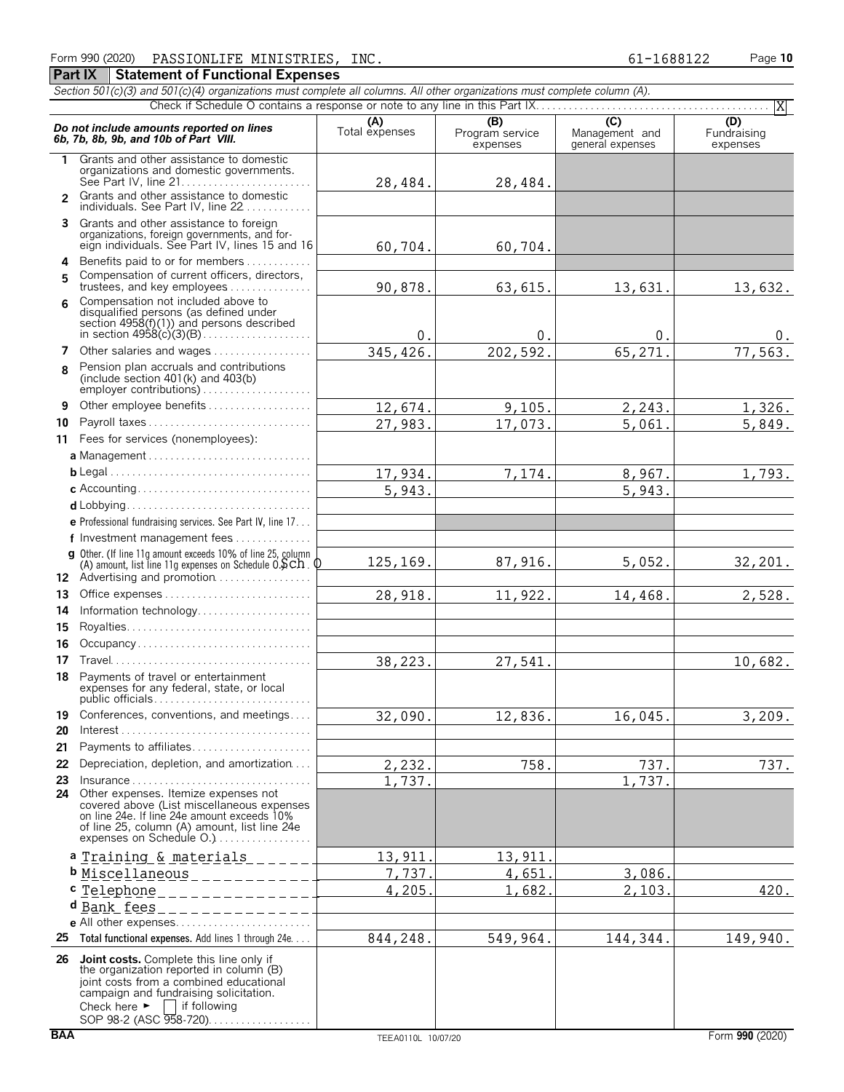**Part IX | Statement of Functional Expenses** 

|                | Section 501(c)(3) and 501(c)(4) organizations must complete all columns. All other organizations must complete column (A).                                                                                                    |                       |                                    |                                                      |                                |  |  |  |  |  |
|----------------|-------------------------------------------------------------------------------------------------------------------------------------------------------------------------------------------------------------------------------|-----------------------|------------------------------------|------------------------------------------------------|--------------------------------|--|--|--|--|--|
|                | X                                                                                                                                                                                                                             |                       |                                    |                                                      |                                |  |  |  |  |  |
|                | Do not include amounts reported on lines<br>6b, 7b, 8b, 9b, and 10b of Part VIII.                                                                                                                                             | (A)<br>Total expenses | (B)<br>Program service<br>expenses | $\overline{C}$<br>Management and<br>general expenses | (D)<br>Fundraising<br>expenses |  |  |  |  |  |
| 1.             | Grants and other assistance to domestic<br>organizations and domestic governments.                                                                                                                                            |                       |                                    |                                                      |                                |  |  |  |  |  |
| $\overline{2}$ | Grants and other assistance to domestic<br>individuals. See Part IV, line 22                                                                                                                                                  | 28,484.               | 28,484.                            |                                                      |                                |  |  |  |  |  |
|                | 3 Grants and other assistance to foreign<br>organizations, foreign governments, and for-<br>eign individuals. See Part IV, lines 15 and 16                                                                                    | 60,704.               | 60,704.                            |                                                      |                                |  |  |  |  |  |
| 4              | Benefits paid to or for members                                                                                                                                                                                               |                       |                                    |                                                      |                                |  |  |  |  |  |
| 5              | Compensation of current officers, directors,                                                                                                                                                                                  |                       |                                    |                                                      |                                |  |  |  |  |  |
|                | trustees, and key employees                                                                                                                                                                                                   | 90,878.               | 63,615.                            | 13,631.                                              | 13,632.                        |  |  |  |  |  |
| ĥ              | Compensation not included above to<br>disqualified persons (as defined under<br>section 4958(f)(1)) and persons described                                                                                                     | 0.                    | 0.                                 | 0.                                                   | 0.                             |  |  |  |  |  |
|                | 7 Other salaries and wages                                                                                                                                                                                                    | 345,426.              | 202,592.                           | 65,271.                                              | 77,563.                        |  |  |  |  |  |
| 8              | Pension plan accruals and contributions<br>(include section $401(k)$ and $403(b)$                                                                                                                                             |                       |                                    |                                                      |                                |  |  |  |  |  |
| 9              | Other employee benefits                                                                                                                                                                                                       | 12,674.               | 9,105.                             | 2,243.                                               | 1,326.                         |  |  |  |  |  |
| 10             | Payroll taxes                                                                                                                                                                                                                 | 27,983.               | 17,073.                            | 5,061.                                               | 5,849.                         |  |  |  |  |  |
| 11             | Fees for services (nonemployees):                                                                                                                                                                                             |                       |                                    |                                                      |                                |  |  |  |  |  |
|                | a Management                                                                                                                                                                                                                  |                       |                                    |                                                      |                                |  |  |  |  |  |
|                |                                                                                                                                                                                                                               | 17,934.               | 7,174.                             | 8,967.                                               | 1,793.                         |  |  |  |  |  |
|                |                                                                                                                                                                                                                               | 5,943.                |                                    | 5,943.                                               |                                |  |  |  |  |  |
|                |                                                                                                                                                                                                                               |                       |                                    |                                                      |                                |  |  |  |  |  |
|                | <b>e</b> Professional fundraising services. See Part IV, line $17$                                                                                                                                                            |                       |                                    |                                                      |                                |  |  |  |  |  |
|                | f Investment management fees                                                                                                                                                                                                  |                       |                                    |                                                      |                                |  |  |  |  |  |
|                | g Other. (If line 11g amount exceeds 10% of line 25, column<br>(A) amount, list line 11g expenses on Schedule $0.5ch$ . $0$<br>12 Advertising and promotion                                                                   | 125,169.              | 87,916.                            | 5,052.                                               | 32,201.                        |  |  |  |  |  |
| 13             | Office expenses                                                                                                                                                                                                               | 28,918.               | 11,922.                            | 14,468.                                              | 2,528.                         |  |  |  |  |  |
| 14             | Information technology                                                                                                                                                                                                        |                       |                                    |                                                      |                                |  |  |  |  |  |
| 15             |                                                                                                                                                                                                                               |                       |                                    |                                                      |                                |  |  |  |  |  |
| 16             | Occupancy                                                                                                                                                                                                                     |                       |                                    |                                                      |                                |  |  |  |  |  |
| 17             |                                                                                                                                                                                                                               | 38,223.               | 27,541.                            |                                                      | 10,682.                        |  |  |  |  |  |
| 18.            | Payments of travel or entertainment<br>expenses for any federal, state, or local<br>public officials                                                                                                                          |                       |                                    |                                                      |                                |  |  |  |  |  |
| 19             | Conferences, conventions, and meetings                                                                                                                                                                                        | 32,090.               | 12,836.                            | 16,045.                                              | 3,209.                         |  |  |  |  |  |
| 20             | $Interest \dots \dots \dots \dots \dots \dots \dots \dots \dots \dots \dots \dots \dots \dots \dots$                                                                                                                          |                       |                                    |                                                      |                                |  |  |  |  |  |
| 21             | Payments to affiliates                                                                                                                                                                                                        |                       |                                    |                                                      |                                |  |  |  |  |  |
| 22             | Depreciation, depletion, and amortization                                                                                                                                                                                     | 2,232.                | 758.                               | 737.                                                 | 737.                           |  |  |  |  |  |
| 23             | Insurance<br>24 Other expenses. Itemize expenses not                                                                                                                                                                          | 1,737.                |                                    | 1,737.                                               |                                |  |  |  |  |  |
|                | covered above (List miscellaneous expenses<br>on line 24e. If line 24e amount exceeds 10%<br>of line 25, column (A) amount, list line 24e<br>expenses on Schedule O.)                                                         |                       |                                    |                                                      |                                |  |  |  |  |  |
|                | a Training & materials                                                                                                                                                                                                        | 13,911                | 13,911                             |                                                      |                                |  |  |  |  |  |
|                | <b>b</b> Miscellaneous<br>$- - - - - - - - -$                                                                                                                                                                                 | 7,737.                | 4,651                              | 3,086.                                               |                                |  |  |  |  |  |
|                | c Telephone<br>_____________                                                                                                                                                                                                  | 4,205.                | 682                                | 2,103.                                               | 420.                           |  |  |  |  |  |
|                | d Bank fees                                                                                                                                                                                                                   |                       |                                    |                                                      |                                |  |  |  |  |  |
|                | e All other expenses                                                                                                                                                                                                          |                       |                                    |                                                      |                                |  |  |  |  |  |
|                | 25 Total functional expenses. Add lines 1 through 24e                                                                                                                                                                         | 844,248.              | 549,964.                           | 144,344.                                             | 149,940.                       |  |  |  |  |  |
| 26             | Joint costs. Complete this line only if<br>the organization reported in column (B)<br>joint costs from a combined educational<br>campaign and fundraising solicitation.<br>Check here $\blacktriangleright$  <br>if following |                       |                                    |                                                      |                                |  |  |  |  |  |

SOP 98-2 (ASC 958-720). . . . . . . . . . . . . . . . .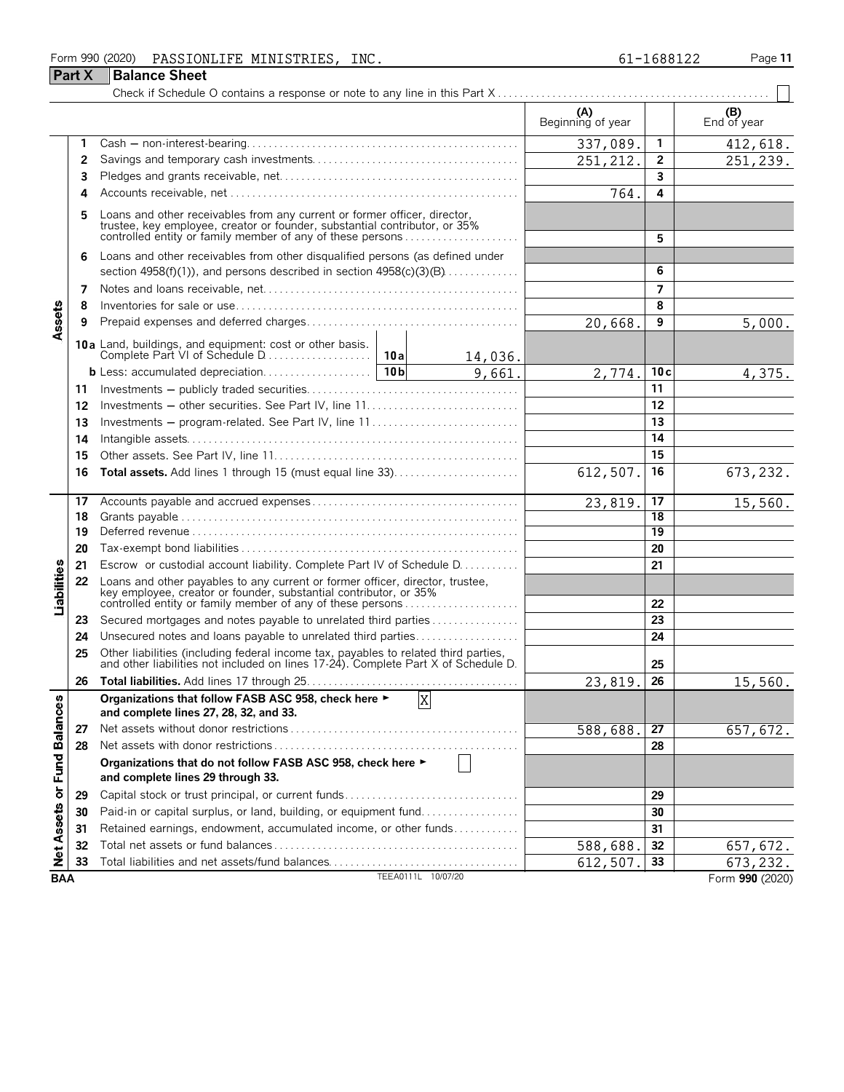#### Form 990 (2020) Page **11** PASSIONLIFE MINISTRIES, INC. 61-1688122

| -1688122 |  |
|----------|--|
|          |  |

|                             | <b>Part X</b> | <b>Balance Sheet</b>                                                                                                                                                                                            |                          |                       |                        |
|-----------------------------|---------------|-----------------------------------------------------------------------------------------------------------------------------------------------------------------------------------------------------------------|--------------------------|-----------------------|------------------------|
|                             |               |                                                                                                                                                                                                                 |                          |                       |                        |
|                             |               |                                                                                                                                                                                                                 | (A)<br>Beginning of year |                       | $( B )$<br>End of year |
|                             | 1             |                                                                                                                                                                                                                 | 337,089.                 | 1                     | 412,618.               |
|                             | 2             |                                                                                                                                                                                                                 | 251, 212.                | $\mathbf{2}$          | 251,239.               |
|                             | 3             |                                                                                                                                                                                                                 |                          | 3                     |                        |
|                             | 4             |                                                                                                                                                                                                                 | 764                      | 4                     |                        |
|                             | 5             | Loans and other receivables from any current or former officer, director, trustee, key employee, creator or founder, substantial contributor, or 35% controlled entity or family member of any of these persons |                          | 5                     |                        |
|                             | 6             | Loans and other receivables from other disqualified persons (as defined under                                                                                                                                   |                          |                       |                        |
|                             |               | section 4958(f)(1)), and persons described in section $4958(c)(3)(B)$                                                                                                                                           |                          | 6                     |                        |
|                             | 7             |                                                                                                                                                                                                                 |                          | $\overline{ }$        |                        |
|                             | 8             |                                                                                                                                                                                                                 |                          | 8                     |                        |
| Assets                      | 9             |                                                                                                                                                                                                                 | 20,668.                  | 9                     | 5,000.                 |
|                             |               | 14,036.                                                                                                                                                                                                         |                          |                       |                        |
|                             |               | 9,661.                                                                                                                                                                                                          | 2,774.                   | 10c                   | 4,375.                 |
|                             | 11            |                                                                                                                                                                                                                 |                          | 11                    |                        |
|                             | 12            |                                                                                                                                                                                                                 |                          | 12                    |                        |
|                             | 13            | Investments - program-related. See Part IV, line 11                                                                                                                                                             |                          | 13                    |                        |
|                             | 14            |                                                                                                                                                                                                                 |                          | 14                    |                        |
|                             | 15            |                                                                                                                                                                                                                 |                          | 15                    |                        |
|                             | 16            | <b>Total assets.</b> Add lines 1 through 15 (must equal line 33)                                                                                                                                                | 612,507.                 | 16                    | 673,232.               |
|                             | 17            |                                                                                                                                                                                                                 | 23,819.                  | 17                    | 15,560.                |
|                             | 18            |                                                                                                                                                                                                                 |                          | $\overline{18}$<br>19 |                        |
|                             | 19            |                                                                                                                                                                                                                 |                          | 20                    |                        |
|                             | 20            | Escrow or custodial account liability. Complete Part IV of Schedule D.                                                                                                                                          |                          | 21                    |                        |
|                             | 21<br>22      | Loans and other payables to any current or former officer, director, trustee,                                                                                                                                   |                          |                       |                        |
| Liabilities                 |               | key employee, creator or founder, substantial contributor, or 35%<br>controlled entity or family member of any of these persons                                                                                 |                          | 22                    |                        |
|                             | 23            | Secured mortgages and notes payable to unrelated third parties                                                                                                                                                  |                          | 23                    |                        |
|                             | 24            | Unsecured notes and loans payable to unrelated third parties                                                                                                                                                    |                          | 24                    |                        |
|                             | 25            | Other liabilities (including federal income tax, payables to related third parties, and other liabilities not included on lines 17-24). Complete Part X of Schedule D.                                          |                          | 25                    |                        |
|                             | 26            |                                                                                                                                                                                                                 | 23,819.                  | 26                    | 15,560.                |
|                             |               | Organizations that follow FASB ASC 958, check here ►<br>$\mathbf X$<br>and complete lines 27, 28, 32, and 33.                                                                                                   |                          |                       |                        |
|                             | 27            |                                                                                                                                                                                                                 | 588,688.                 | 27                    | 657,672.               |
|                             | 28            |                                                                                                                                                                                                                 |                          | 28                    |                        |
| Net Assets or Fund Balances |               | Organizations that do not follow FASB ASC 958, check here ►<br>and complete lines 29 through 33.                                                                                                                |                          |                       |                        |
|                             | 29            | Capital stock or trust principal, or current funds                                                                                                                                                              |                          | 29                    |                        |
|                             | 30            | Paid-in or capital surplus, or land, building, or equipment fund                                                                                                                                                |                          | 30                    |                        |
|                             | 31            | Retained earnings, endowment, accumulated income, or other funds                                                                                                                                                |                          | 31                    |                        |
|                             | 32            |                                                                                                                                                                                                                 | 588,688                  | 32                    | 657,672.               |
|                             | 33            | Total liabilities and net assets/fund balances                                                                                                                                                                  | 612,507.                 | 33                    | 673,232.               |
| <b>BAA</b>                  |               | TEEA0111L 10/07/20                                                                                                                                                                                              |                          |                       | Form 990 (2020)        |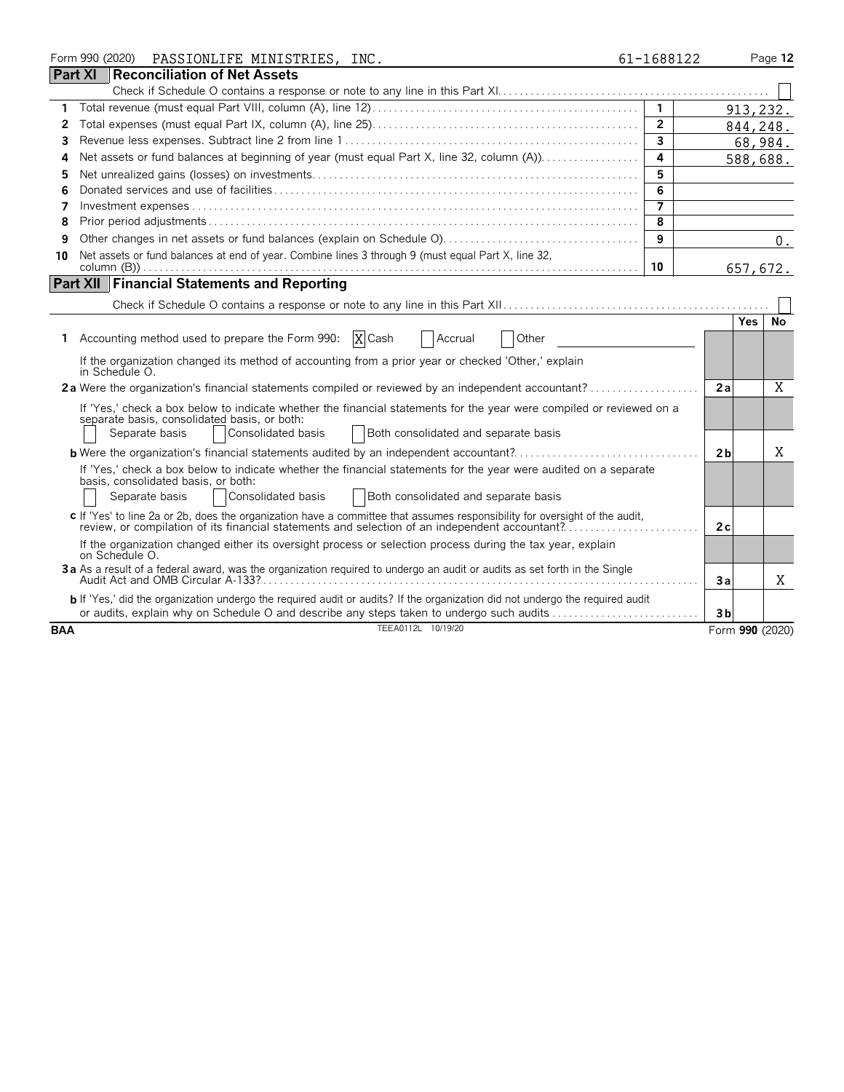|                | Form 990 (2020) | PASSIONLIFE MINISTRIES, INC.                                                                                                                                                                                                                         | 61-1688122              |                |      | Page 12         |
|----------------|-----------------|------------------------------------------------------------------------------------------------------------------------------------------------------------------------------------------------------------------------------------------------------|-------------------------|----------------|------|-----------------|
| <b>Part XI</b> |                 | Reconciliation of Net Assets                                                                                                                                                                                                                         |                         |                |      |                 |
|                |                 |                                                                                                                                                                                                                                                      |                         |                |      |                 |
| 1              |                 |                                                                                                                                                                                                                                                      | $\mathbf{1}$            |                |      | 913, 232.       |
| 2              |                 |                                                                                                                                                                                                                                                      | $\overline{2}$          |                |      | 844,248.        |
| 3              |                 |                                                                                                                                                                                                                                                      | $\overline{\mathbf{3}}$ |                |      | 68,984.         |
| 4              |                 | Net assets or fund balances at beginning of year (must equal Part X, line 32, column (A)).                                                                                                                                                           | 4                       |                |      | 588,688.        |
| 5              |                 |                                                                                                                                                                                                                                                      | 5                       |                |      |                 |
| 6              |                 |                                                                                                                                                                                                                                                      | $\overline{6}$          |                |      |                 |
| 7              |                 |                                                                                                                                                                                                                                                      | $\overline{\mathbf{z}}$ |                |      |                 |
| 8              |                 |                                                                                                                                                                                                                                                      | $\overline{8}$          |                |      |                 |
| 9              |                 |                                                                                                                                                                                                                                                      | 9                       |                |      | 0.              |
| 10             |                 | Net assets or fund balances at end of year. Combine lines 3 through 9 (must equal Part X, line 32,                                                                                                                                                   | 10                      |                |      | 657,672.        |
|                |                 | <b>Part XII Financial Statements and Reporting</b>                                                                                                                                                                                                   |                         |                |      |                 |
|                |                 |                                                                                                                                                                                                                                                      |                         |                |      |                 |
|                |                 |                                                                                                                                                                                                                                                      |                         |                | Yes. | No.             |
| 1              |                 | Accounting method used to prepare the Form 990: $X$ Cash<br>Other<br>Accrual                                                                                                                                                                         |                         |                |      |                 |
|                | in Schedule O.  | If the organization changed its method of accounting from a prior year or checked 'Other,' explain                                                                                                                                                   |                         |                |      |                 |
|                |                 | 2a Were the organization's financial statements compiled or reviewed by an independent accountant?                                                                                                                                                   |                         | 2a             |      | X               |
|                |                 | If 'Yes,' check a box below to indicate whether the financial statements for the year were compiled or reviewed on a<br>separate basis, consolidated basis, or both:<br>Both consolidated and separate basis<br>Separate basis<br>Consolidated basis |                         |                |      |                 |
|                |                 | <b>b</b> Were the organization's financial statements audited by an independent accountant?                                                                                                                                                          |                         | 2 <sub>b</sub> |      | X               |
|                |                 | If 'Yes,' check a box below to indicate whether the financial statements for the year were audited on a separate                                                                                                                                     |                         |                |      |                 |
|                |                 | basis, consolidated basis, or both:<br>Consolidated basis<br>Both consolidated and separate basis<br>Separate basis                                                                                                                                  |                         |                |      |                 |
|                |                 | c If 'Yes' to line 2a or 2b, does the organization have a committee that assumes responsibility for oversight of the audit,<br>review, or compilation of its financial statements and selection of an independent accountant?                        |                         | 2c             |      |                 |
|                | on Schedule O.  | If the organization changed either its oversight process or selection process during the tax year, explain                                                                                                                                           |                         |                |      |                 |
|                |                 | 3a As a result of a federal award, was the organization required to undergo an audit or audits as set forth in the Single                                                                                                                            |                         | 3a             |      | X               |
|                |                 | b If 'Yes,' did the organization undergo the required audit or audits? If the organization did not undergo the required audit<br>or audits, explain why on Schedule O and describe any steps taken to undergo such audits                            |                         | 3 <sub>b</sub> |      |                 |
| <b>BAA</b>     |                 | TEEA0112L 10/19/20                                                                                                                                                                                                                                   |                         |                |      | Form 990 (2020) |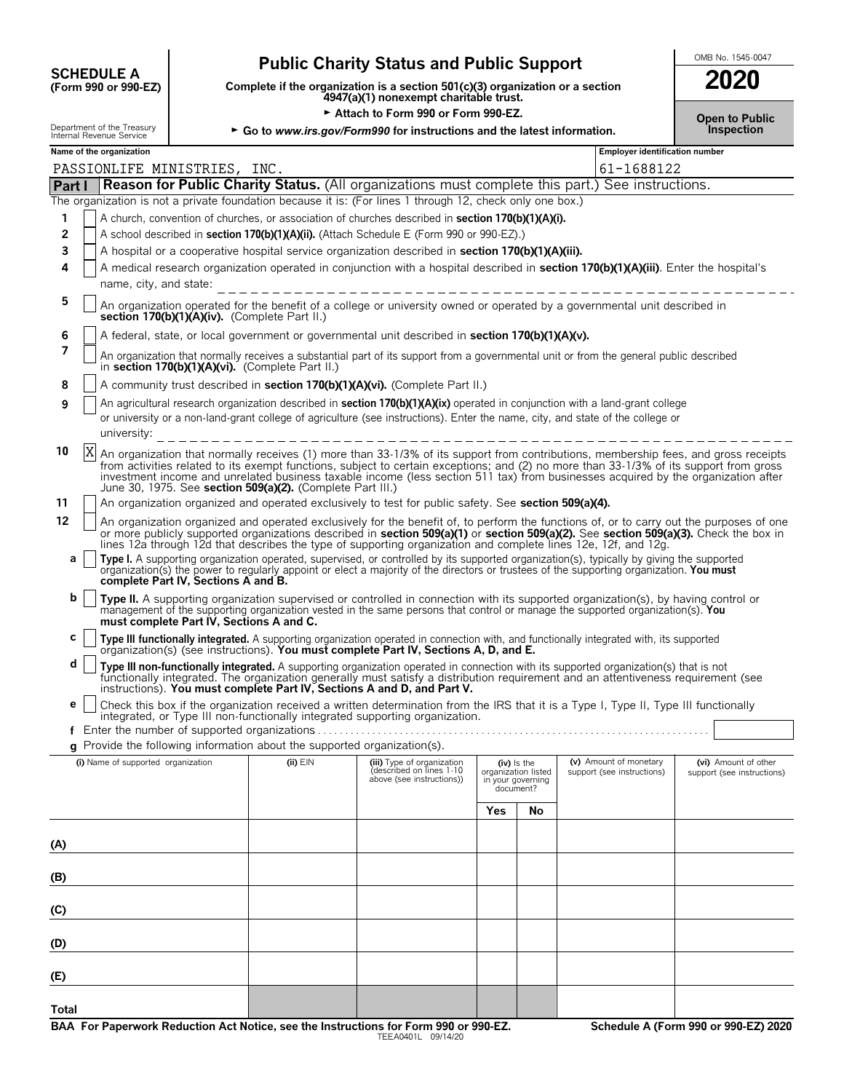| <b>SCHEDULE A</b>    |  |  |
|----------------------|--|--|
| (Form 990 or 990-FZ) |  |  |

# Public Charity Status and Public Support<br>
Complete if the organization is a section 501(c)(3) organization or a section

**COMPOSCHEDULE A**<br>(Form 990 or 990-EZ) Complete if the organization is a section 501(c)(3) organization or a section<br>4947(a)(1) nonexempt charitable trust.

 $\triangleright$  Attach to Form 990 or Form 990-EZ.<br>artment of the Treasury

| 2020                                                 |  |
|------------------------------------------------------|--|
| <b>Open to Public</b><br>المنافذ والمعاملة والمستحدث |  |

|                | Internal Revenue Service | spartment or the measury |                                          |                                                                          | Go to www.irs.gov/Form990 for instructions and the latest information.                                                                                                                                                                                                                                                                                                                                             |     |                                                       |                            | <b>Inspection</b>                     |  |  |  |
|----------------|--------------------------|--------------------------|------------------------------------------|--------------------------------------------------------------------------|--------------------------------------------------------------------------------------------------------------------------------------------------------------------------------------------------------------------------------------------------------------------------------------------------------------------------------------------------------------------------------------------------------------------|-----|-------------------------------------------------------|----------------------------|---------------------------------------|--|--|--|
|                | Name of the organization |                          |                                          |                                                                          |                                                                                                                                                                                                                                                                                                                                                                                                                    |     |                                                       |                            | <b>Employer identification number</b> |  |  |  |
|                |                          |                          | PASSIONLIFE MINISTRIES, INC.             |                                                                          |                                                                                                                                                                                                                                                                                                                                                                                                                    |     |                                                       | 61-1688122                 |                                       |  |  |  |
| Part I         |                          |                          |                                          |                                                                          | Reason for Public Charity Status. (All organizations must complete this part.) See instructions.                                                                                                                                                                                                                                                                                                                   |     |                                                       |                            |                                       |  |  |  |
|                |                          |                          |                                          |                                                                          | The organization is not a private foundation because it is: (For lines 1 through 12, check only one box.)<br>A church, convention of churches, or association of churches described in <b>section 170(b)(1)(A)(i).</b>                                                                                                                                                                                             |     |                                                       |                            |                                       |  |  |  |
| 1<br>2         |                          |                          |                                          |                                                                          | A school described in section 170(b)(1)(A)(ii). (Attach Schedule E (Form 990 or 990-EZ).)                                                                                                                                                                                                                                                                                                                          |     |                                                       |                            |                                       |  |  |  |
| 3              |                          |                          |                                          |                                                                          | A hospital or a cooperative hospital service organization described in section 170(b)(1)(A)(iii).                                                                                                                                                                                                                                                                                                                  |     |                                                       |                            |                                       |  |  |  |
| 4              |                          |                          |                                          |                                                                          | A medical research organization operated in conjunction with a hospital described in section 170(b)(1)(A)(iii). Enter the hospital's                                                                                                                                                                                                                                                                               |     |                                                       |                            |                                       |  |  |  |
|                |                          |                          | name, city, and state:                   |                                                                          |                                                                                                                                                                                                                                                                                                                                                                                                                    |     |                                                       |                            |                                       |  |  |  |
| 5              |                          |                          |                                          | section 170(b)(1)(A)(iv). (Complete Part II.)                            | An organization operated for the benefit of a college or university owned or operated by a governmental unit described in                                                                                                                                                                                                                                                                                          |     |                                                       |                            |                                       |  |  |  |
| 6              |                          |                          |                                          |                                                                          | A federal, state, or local government or governmental unit described in section 170(b)(1)(A)(v).                                                                                                                                                                                                                                                                                                                   |     |                                                       |                            |                                       |  |  |  |
| 7              |                          |                          |                                          | in section 170(b)(1)(A)(vi). (Complete Part II.)                         | An organization that normally receives a substantial part of its support from a governmental unit or from the general public described                                                                                                                                                                                                                                                                             |     |                                                       |                            |                                       |  |  |  |
| 8              |                          |                          |                                          |                                                                          | A community trust described in <b>section 170(b)(1)(A)(vi).</b> (Complete Part II.)                                                                                                                                                                                                                                                                                                                                |     |                                                       |                            |                                       |  |  |  |
| 9              |                          |                          |                                          |                                                                          | An agricultural research organization described in <b>section 170(b)(1)(A)(ix)</b> operated in conjunction with a land-grant college                                                                                                                                                                                                                                                                               |     |                                                       |                            |                                       |  |  |  |
|                |                          |                          |                                          |                                                                          | or university or a non-land-grant college of agriculture (see instructions). Enter the name, city, and state of the college or                                                                                                                                                                                                                                                                                     |     |                                                       |                            |                                       |  |  |  |
|                |                          | university:              |                                          |                                                                          |                                                                                                                                                                                                                                                                                                                                                                                                                    |     |                                                       |                            |                                       |  |  |  |
| 10             | X                        |                          |                                          | June 30, 1975. See section 509(a)(2). (Complete Part III.)               | An organization that normally receives (1) more than 33-1/3% of its support from contributions, membership fees, and gross receipts<br>from activities related to its exempt functions, subject to certain exceptions; and (2) no more than 33-1/3% of its support from gross<br>investment income and unrelated business taxable income (less section 511 tax) from businesses acquired by the organization after |     |                                                       |                            |                                       |  |  |  |
| 11             |                          |                          |                                          |                                                                          | An organization organized and operated exclusively to test for public safety. See section 509(a)(4).                                                                                                                                                                                                                                                                                                               |     |                                                       |                            |                                       |  |  |  |
| 12             |                          |                          |                                          |                                                                          | An organization organized and operated exclusively for the benefit of, to perform the functions of, or to carry out the purposes of one<br>or more publicly supported organizations described in section 509(a)(1) or section 509(a)(2). See section 509(a)(3). Check the box in<br>lines 12a through 12d that describes the type of supporting organization and complete lines 12e, 12f, and 12g.                 |     |                                                       |                            |                                       |  |  |  |
| а              |                          |                          | complete Part IV, Sections A and B.      |                                                                          | Type I. A supporting organization operated, supervised, or controlled by its supported organization(s), typically by giving the supported<br>organization(s) the power to regularly appoint or elect a majority of the directors or trustees of the supporting organization. You must                                                                                                                              |     |                                                       |                            |                                       |  |  |  |
| b              |                          |                          | must complete Part IV, Sections A and C. |                                                                          | Type II. A supporting organization supervised or controlled in connection with its supported organization(s), by having control or<br>management of the supporting organization vested in the same persons that control or manage the supported organization(s). You                                                                                                                                               |     |                                                       |                            |                                       |  |  |  |
| с              |                          |                          |                                          |                                                                          | Type III functionally integrated. A supporting organization operated in connection with, and functionally integrated with, its supported<br>organization(s) (see instructions). You must complete Part IV, Sections A, D, and E.                                                                                                                                                                                   |     |                                                       |                            |                                       |  |  |  |
| d              |                          |                          |                                          |                                                                          | Type III non-functionally integrated. A supporting organization operated in connection with its supported organization(s) that is not<br>functionally integrated. The organization generally must satisfy a distribution requirement and an attentiveness requirement (see<br>instructions). You must complete Part IV, Sections A and D, and Part V.                                                              |     |                                                       |                            |                                       |  |  |  |
| е              |                          |                          |                                          |                                                                          | Check this box if the organization received a written determination from the IRS that it is a Type I, Type II, Type III functionally                                                                                                                                                                                                                                                                               |     |                                                       |                            |                                       |  |  |  |
|                |                          |                          |                                          |                                                                          | integrated, or Type III non-functionally integrated supporting organization.                                                                                                                                                                                                                                                                                                                                       |     |                                                       |                            |                                       |  |  |  |
|                |                          |                          |                                          | g Provide the following information about the supported organization(s). |                                                                                                                                                                                                                                                                                                                                                                                                                    |     |                                                       |                            |                                       |  |  |  |
|                |                          |                          | (i) Name of supported organization       | $(ii)$ $EIN$                                                             | (iii) Type of organization                                                                                                                                                                                                                                                                                                                                                                                         |     | $(iv)$ is the                                         | (v) Amount of monetary     | (vi) Amount of other                  |  |  |  |
|                |                          |                          |                                          |                                                                          | (described on lines 1-10<br>above (see instructions))                                                                                                                                                                                                                                                                                                                                                              |     | organization listed<br>in your governing<br>document? | support (see instructions) | support (see instructions)            |  |  |  |
|                |                          |                          |                                          |                                                                          |                                                                                                                                                                                                                                                                                                                                                                                                                    | Yes | No                                                    |                            |                                       |  |  |  |
| (A)            |                          |                          |                                          |                                                                          |                                                                                                                                                                                                                                                                                                                                                                                                                    |     |                                                       |                            |                                       |  |  |  |
| (B)            |                          |                          |                                          |                                                                          |                                                                                                                                                                                                                                                                                                                                                                                                                    |     |                                                       |                            |                                       |  |  |  |
| $\overline{c}$ |                          |                          |                                          |                                                                          |                                                                                                                                                                                                                                                                                                                                                                                                                    |     |                                                       |                            |                                       |  |  |  |
| (D)            |                          |                          |                                          |                                                                          |                                                                                                                                                                                                                                                                                                                                                                                                                    |     |                                                       |                            |                                       |  |  |  |
| (E)            |                          |                          |                                          |                                                                          |                                                                                                                                                                                                                                                                                                                                                                                                                    |     |                                                       |                            |                                       |  |  |  |
|                |                          |                          |                                          |                                                                          |                                                                                                                                                                                                                                                                                                                                                                                                                    |     |                                                       |                            |                                       |  |  |  |

**Total**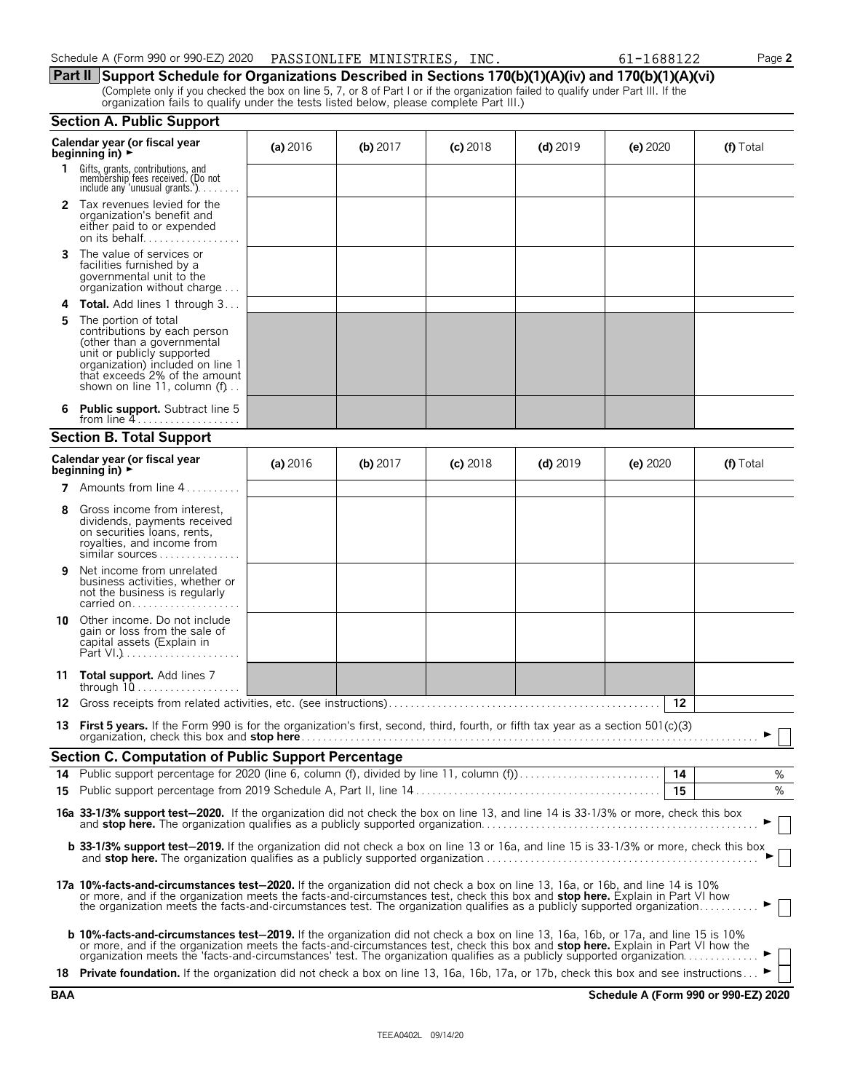| Schedule A (Form 990 or 990-EZ) 2020  PASSIONLIFE MINISTRIES, INC. |  | 61-1688122 | Page 2 |
|--------------------------------------------------------------------|--|------------|--------|
|--------------------------------------------------------------------|--|------------|--------|

**Part II Support Schedule for Organizations Described in Sections 170(b)(1)(A)(iv) and 170(b)(1)(A)(vi)** (Complete only if you checked the box on line 5, 7, or 8 of Part I or if the organization failed to qualify under Part III. If the organization fails to qualify under the tests listed below, please complete Part III.)

|                                                              | <b>Section A. Public Support</b>                                                                                                                                                                                                                                                                                                                                                                        |          |            |            |            |            |           |  |  |
|--------------------------------------------------------------|---------------------------------------------------------------------------------------------------------------------------------------------------------------------------------------------------------------------------------------------------------------------------------------------------------------------------------------------------------------------------------------------------------|----------|------------|------------|------------|------------|-----------|--|--|
| Calendar year (or fiscal year<br>beginning in) $\rightarrow$ |                                                                                                                                                                                                                                                                                                                                                                                                         | (a) 2016 | (b) $2017$ | $(c)$ 2018 | $(d)$ 2019 | (e) $2020$ | (f) Total |  |  |
| 1.                                                           | Gifts, grants, contributions, and<br>membership fees received. (Do not<br>include any 'unusual grants.')                                                                                                                                                                                                                                                                                                |          |            |            |            |            |           |  |  |
| 2                                                            | Tax revenues levied for the<br>organization's benefit and<br>either paid to or expended                                                                                                                                                                                                                                                                                                                 |          |            |            |            |            |           |  |  |
| 3                                                            | The value of services or<br>facilities furnished by a<br>governmental unit to the<br>organization without charge                                                                                                                                                                                                                                                                                        |          |            |            |            |            |           |  |  |
| 4                                                            | <b>Total.</b> Add lines 1 through 3                                                                                                                                                                                                                                                                                                                                                                     |          |            |            |            |            |           |  |  |
| 5                                                            | The portion of total<br>contributions by each person<br>(other than a governmental<br>unit or publicly supported<br>organization) included on line 1<br>that exceeds 2% of the amount<br>shown on line 11, column (f)                                                                                                                                                                                   |          |            |            |            |            |           |  |  |
| 6                                                            | <b>Public support.</b> Subtract line 5<br>from line $4$                                                                                                                                                                                                                                                                                                                                                 |          |            |            |            |            |           |  |  |
|                                                              | <b>Section B. Total Support</b>                                                                                                                                                                                                                                                                                                                                                                         |          |            |            |            |            |           |  |  |
|                                                              | Calendar year (or fiscal year<br>beginning in) $\rightarrow$                                                                                                                                                                                                                                                                                                                                            | (a) 2016 | $(b)$ 2017 | $(c)$ 2018 | $(d)$ 2019 | (e) $2020$ | (f) Total |  |  |
|                                                              | <b>7</b> Amounts from line $4$                                                                                                                                                                                                                                                                                                                                                                          |          |            |            |            |            |           |  |  |
| 8                                                            | Gross income from interest,<br>dividends, payments received<br>on securities loans, rents,<br>royalties, and income from<br>similar sources                                                                                                                                                                                                                                                             |          |            |            |            |            |           |  |  |
| 9                                                            | Net income from unrelated<br>business activities, whether or<br>not the business is regularly<br>carried on                                                                                                                                                                                                                                                                                             |          |            |            |            |            |           |  |  |
| 10                                                           | Other income. Do not include<br>gain or loss from the sale of<br>capital assets (Explain in                                                                                                                                                                                                                                                                                                             |          |            |            |            |            |           |  |  |
|                                                              | 11 Total support. Add lines 7<br>through $10$                                                                                                                                                                                                                                                                                                                                                           |          |            |            |            |            |           |  |  |
| 12                                                           |                                                                                                                                                                                                                                                                                                                                                                                                         |          |            |            |            | 12         |           |  |  |
|                                                              | 13 First 5 years. If the Form 990 is for the organization's first, second, third, fourth, or fifth tax year as a section 501(c)(3)                                                                                                                                                                                                                                                                      |          |            |            |            |            |           |  |  |
|                                                              | <b>Section C. Computation of Public Support Percentage</b>                                                                                                                                                                                                                                                                                                                                              |          |            |            |            |            |           |  |  |
|                                                              |                                                                                                                                                                                                                                                                                                                                                                                                         |          |            |            |            |            | %         |  |  |
|                                                              |                                                                                                                                                                                                                                                                                                                                                                                                         |          |            |            |            | 15         | %         |  |  |
|                                                              | 16a 33-1/3% support test-2020. If the organization did not check the box on line 13, and line 14 is 33-1/3% or more, check this box                                                                                                                                                                                                                                                                     |          |            |            |            |            |           |  |  |
|                                                              | <b>b 33-1/3% support test-2019.</b> If the organization did not check a box on line 13 or 16a, and line 15 is 33-1/3% or more, check this box                                                                                                                                                                                                                                                           |          |            |            |            |            |           |  |  |
|                                                              | 17a 10%-facts-and-circumstances test-2020. If the organization did not check a box on line 13, 16a, or 16b, and line 14 is 10%<br>or more, and if the organization meets the facts-and-circumstances test, check this box and stop here. Explain in Part VI how<br>the organization meets the facts-and-circumstances test. The organization qualifies as a publicly supported organization             |          |            |            |            |            |           |  |  |
|                                                              | <b>b 10%-facts-and-circumstances test-2019.</b> If the organization did not check a box on line 13, 16a, 16b, or 17a, and line 15 is 10%<br>or more, and if the organization meets the facts-and-circumstances test, check this box and stop here. Explain in Part VI how the<br>organization meets the 'facts-and-circumstances' test. The organization qualifies as a publicly supported organization |          |            |            |            |            |           |  |  |
|                                                              | 18 Private foundation. If the organization did not check a box on line 13, 16a, 16b, 17a, or 17b, check this box and see instructions                                                                                                                                                                                                                                                                   |          |            |            |            |            |           |  |  |

**BAA Schedule A (Form 990 or 990-EZ) 2020**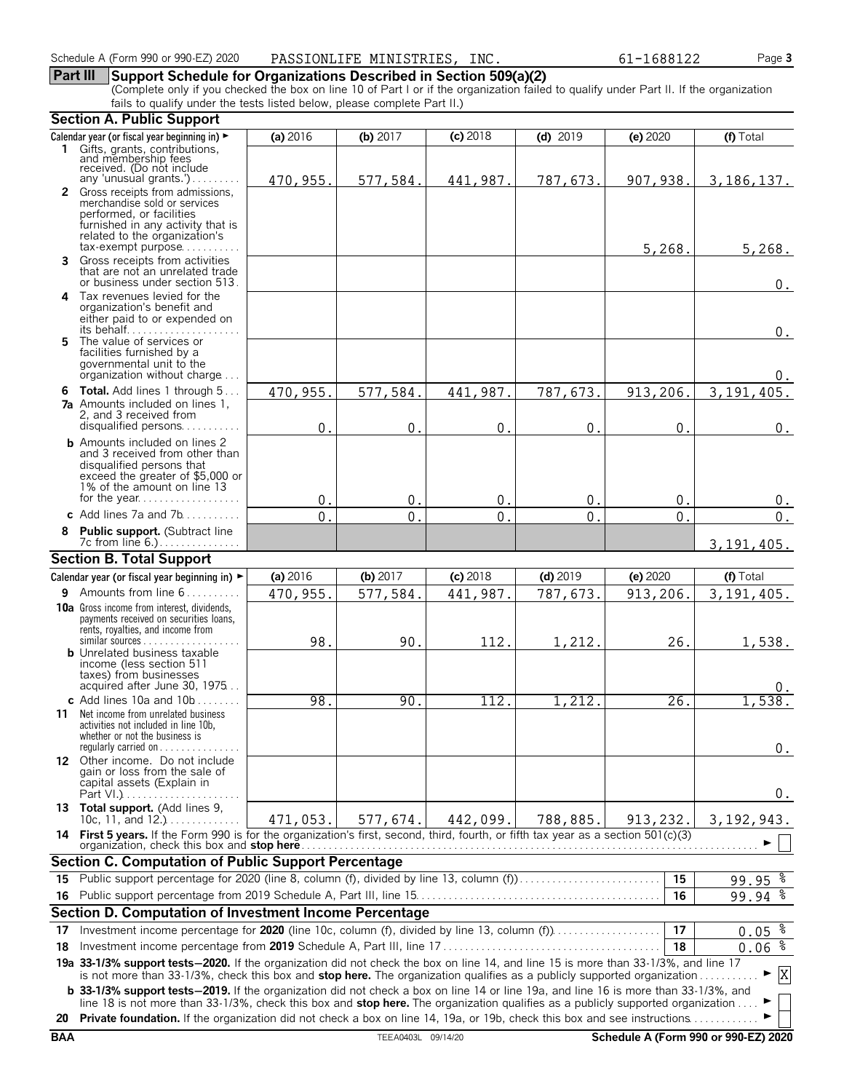#### **Part III Support Schedule for Organizations Described in Section 509(a)(2)**

(Complete only if you checked the box on line 10 of Part I or if the organization failed to qualify under Part II. If the organization fails to qualify under the tests listed below, please complete Part II.)

|            | <b>Section A. Public Support</b>                                                                                                                                                                                                                                      |                  |                    |              |                |             |                                      |
|------------|-----------------------------------------------------------------------------------------------------------------------------------------------------------------------------------------------------------------------------------------------------------------------|------------------|--------------------|--------------|----------------|-------------|--------------------------------------|
|            | Calendar year (or fiscal year beginning in) ►                                                                                                                                                                                                                         | (a) 2016         | (b) $2017$         | (c) 2018     | $(d)$ 2019     | (e) 2020    | (f) Total                            |
|            | 1 Gifts, grants, contributions,                                                                                                                                                                                                                                       |                  |                    |              |                |             |                                      |
|            | and membership fees<br>received. (Do not include                                                                                                                                                                                                                      |                  |                    |              |                |             |                                      |
|            | any 'unusual grants.')<br>2 Gross receipts from admissions,                                                                                                                                                                                                           | 470,955.         | 577,584.           | 441,987.     | 787,673        | 907,938.    | 3, 186, 137.                         |
|            | merchandise sold or services                                                                                                                                                                                                                                          |                  |                    |              |                |             |                                      |
|            | performed, or facilities                                                                                                                                                                                                                                              |                  |                    |              |                |             |                                      |
|            | furnished in any activity that is<br>related to the organization's                                                                                                                                                                                                    |                  |                    |              |                |             |                                      |
|            | $tax\text{-}exempt$ purpose                                                                                                                                                                                                                                           |                  |                    |              |                | 5,268.      | 5,268.                               |
|            | 3 Gross receipts from activities                                                                                                                                                                                                                                      |                  |                    |              |                |             |                                      |
|            | that are not an unrelated trade<br>or business under section 513.                                                                                                                                                                                                     |                  |                    |              |                |             | $0$ .                                |
|            | 4 Tax revenues levied for the                                                                                                                                                                                                                                         |                  |                    |              |                |             |                                      |
|            | organization's benefit and                                                                                                                                                                                                                                            |                  |                    |              |                |             |                                      |
|            | either paid to or expended on<br>its behalf                                                                                                                                                                                                                           |                  |                    |              |                |             | $0$ .                                |
|            | 5 The value of services or                                                                                                                                                                                                                                            |                  |                    |              |                |             |                                      |
|            | facilities furnished by a                                                                                                                                                                                                                                             |                  |                    |              |                |             |                                      |
|            | governmental unit to the<br>organization without charge                                                                                                                                                                                                               |                  |                    |              |                |             | 0.                                   |
|            | <b>6 Total.</b> Add lines 1 through 5                                                                                                                                                                                                                                 | 470,955.         | 577,584            | 441,987.     | 787,673        | 913,206.    | 3, 191, 405.                         |
|            | <b>7a</b> Amounts included on lines 1.                                                                                                                                                                                                                                |                  |                    |              |                |             |                                      |
|            | 2, and 3 received from<br>disqualified persons                                                                                                                                                                                                                        |                  |                    |              |                |             |                                      |
|            | <b>b</b> Amounts included on lines 2                                                                                                                                                                                                                                  | $\mathbf 0$      | $\pmb{0}$          | $\mathbf{0}$ | $\mathbf 0$    | $\Omega$    | $0$ .                                |
|            | and 3 received from other than                                                                                                                                                                                                                                        |                  |                    |              |                |             |                                      |
|            | disqualified persons that                                                                                                                                                                                                                                             |                  |                    |              |                |             |                                      |
|            | exceed the greater of \$5,000 or<br>1% of the amount on line 13                                                                                                                                                                                                       |                  |                    |              |                |             |                                      |
|            |                                                                                                                                                                                                                                                                       | 0.               | $\mathbf{0}$       | $0$ .        | $\mathbf{0}$   | $\mathbf 0$ | 0.                                   |
|            | c Add lines 7a and $7b$                                                                                                                                                                                                                                               | $\overline{0}$ . | 0                  | $\Omega$     | $\overline{0}$ | $\Omega$    | 0.                                   |
|            | Public support. (Subtract line                                                                                                                                                                                                                                        |                  |                    |              |                |             |                                      |
|            | <b>Section B. Total Support</b>                                                                                                                                                                                                                                       |                  |                    |              |                |             | 3, 191, 405.                         |
|            |                                                                                                                                                                                                                                                                       | (a) 2016         | (b) 2017           | $(c)$ 2018   | $(d)$ 2019     | (e) 2020    | (f) Total                            |
|            | Calendar year (or fiscal year beginning in) ►<br><b>9</b> Amounts from line $6$                                                                                                                                                                                       | 470,955.         | 577,584.           | 441,987.     | 787,673.       | 913,206.    | 3, 191, 405.                         |
|            | <b>10a</b> Gross income from interest, dividends,                                                                                                                                                                                                                     |                  |                    |              |                |             |                                      |
|            | payments received on securities loans,                                                                                                                                                                                                                                |                  |                    |              |                |             |                                      |
|            | rents, royalties, and income from<br>similar sources                                                                                                                                                                                                                  | 98.              | 90.                | 112.         |                | 26.         |                                      |
|            | <b>b</b> Unrelated business taxable                                                                                                                                                                                                                                   |                  |                    |              | 1,212.         |             | 1,538.                               |
|            | income (less section 511                                                                                                                                                                                                                                              |                  |                    |              |                |             |                                      |
|            | taxes) from businesses<br>acquired after June 30, 1975                                                                                                                                                                                                                |                  |                    |              |                |             |                                      |
|            | c Add lines $10a$ and $10b$                                                                                                                                                                                                                                           | 98.              | 90                 | 112.         | 1,212          | 26.         | 1,538.                               |
|            | <b>11</b> Net income from unrelated business                                                                                                                                                                                                                          |                  |                    |              |                |             |                                      |
|            | activities not included in line 10b,<br>whether or not the business is                                                                                                                                                                                                |                  |                    |              |                |             |                                      |
|            | regularly carried on $\dots\dots\dots\dots\dots$                                                                                                                                                                                                                      |                  |                    |              |                |             | $0$ .                                |
|            | 12 Other income. Do not include                                                                                                                                                                                                                                       |                  |                    |              |                |             |                                      |
|            | gain or loss from the sale of<br>capital assets (Explain in                                                                                                                                                                                                           |                  |                    |              |                |             |                                      |
|            |                                                                                                                                                                                                                                                                       |                  |                    |              |                |             | $0$ .                                |
|            | 13 Total support. (Add lines 9,                                                                                                                                                                                                                                       |                  |                    |              |                |             |                                      |
|            | 10c, 11, and $12.$ )<br>14 First 5 years. If the Form 990 is for the organization's first, second, third, fourth, or fifth tax year as a section 501(c)(3)                                                                                                            | 471,053.         | 577,674.           | 442,099.     | 788,885.       | 913, 232.   | 3, 192, 943.                         |
|            | organization, check this box and <b>stop here</b>                                                                                                                                                                                                                     |                  |                    |              |                |             |                                      |
|            | Section C. Computation of Public Support Percentage                                                                                                                                                                                                                   |                  |                    |              |                |             |                                      |
| 15.        | Public support percentage for 2020 (line 8, column (f), divided by line 13, column (f)                                                                                                                                                                                |                  |                    |              |                | 15          | $99.95$ $%$                          |
|            |                                                                                                                                                                                                                                                                       |                  |                    |              |                | 16          | 99.94 %                              |
|            | Section D. Computation of Investment Income Percentage                                                                                                                                                                                                                |                  |                    |              |                |             |                                      |
| 17         |                                                                                                                                                                                                                                                                       |                  |                    |              |                | 17          | $0.05$ $%$                           |
| 18         |                                                                                                                                                                                                                                                                       |                  |                    |              |                | 18          | $0.06\frac{2}{3}$                    |
|            | 19a 33-1/3% support tests-2020. If the organization did not check the box on line 14, and line 15 is more than 33-1/3%, and line 17                                                                                                                                   |                  |                    |              |                |             | ▶                                    |
|            | is not more than 33-1/3%, check this box and stop here. The organization qualifies as a publicly supported organization<br><b>b</b> 33-1/3% support tests-2019. If the organization did not check a box on line 14 or line 19a, and line 16 is more than 33-1/3%, and |                  |                    |              |                |             | X                                    |
|            | line 18 is not more than 33-1/3%, check this box and stop here. The organization qualifies as a publicly supported organization                                                                                                                                       |                  |                    |              |                |             |                                      |
| 20         | <b>Private foundation.</b> If the organization did not check a box on line 14, 19a, or 19b, check this box and see instructions                                                                                                                                       |                  |                    |              |                |             |                                      |
| <b>BAA</b> |                                                                                                                                                                                                                                                                       |                  | TEEA0403L 09/14/20 |              |                |             | Schedule A (Form 990 or 990-EZ) 2020 |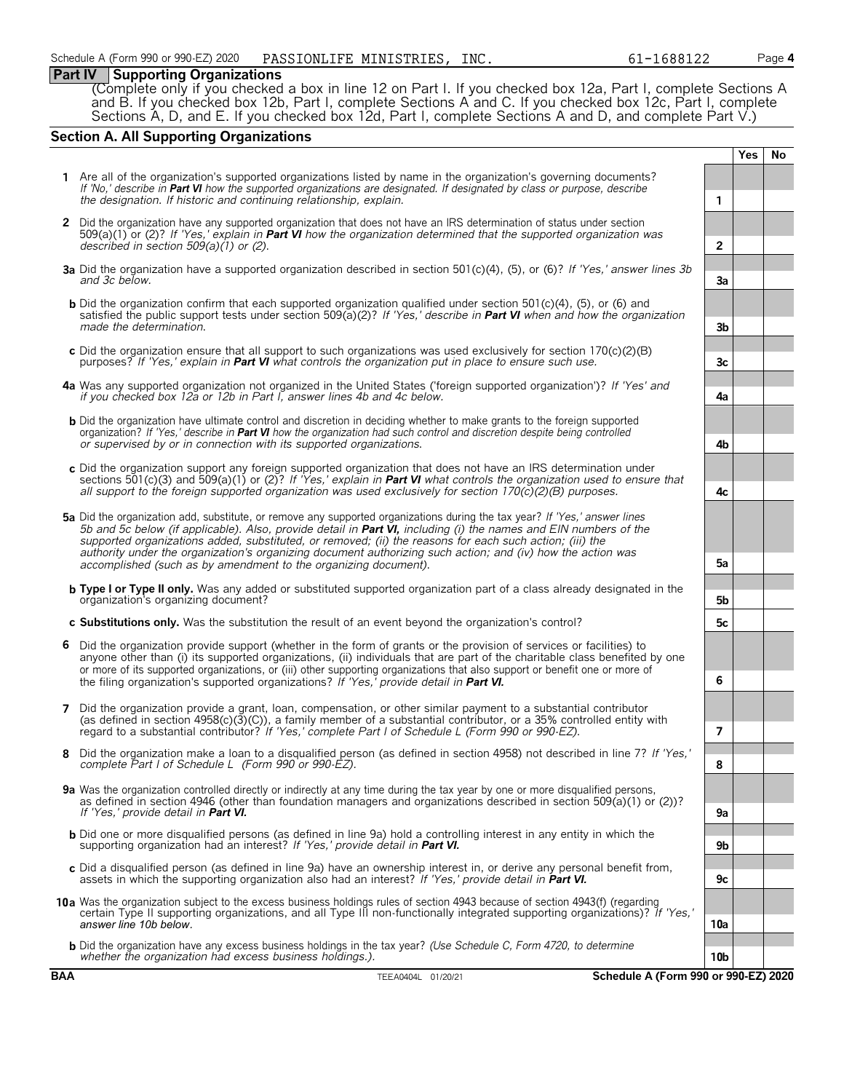#### **Part IV Supporting Organizations**

(Complete only if you checked a box in line 12 on Part I. If you checked box 12a, Part I, complete Sections A and B. If you checked box 12b, Part I, complete Sections A and C. If you checked box 12c, Part I, complete Sections A, D, and E. If you checked box 12d, Part I, complete Sections A and D, and complete Part V.)

#### **Section A. All Supporting Organizations**

|   |                                                                                                                                                                                                                                                                                                                                                                                                                                                                                                                                                      |                 | Yes | <b>No</b> |
|---|------------------------------------------------------------------------------------------------------------------------------------------------------------------------------------------------------------------------------------------------------------------------------------------------------------------------------------------------------------------------------------------------------------------------------------------------------------------------------------------------------------------------------------------------------|-----------------|-----|-----------|
|   | 1 Are all of the organization's supported organizations listed by name in the organization's governing documents?<br>If 'No,' describe in Part VI how the supported organizations are designated. If designated by class or purpose, describe<br>the designation. If historic and continuing relationship, explain.                                                                                                                                                                                                                                  | $\mathbf{1}$    |     |           |
|   | 2 Did the organization have any supported organization that does not have an IRS determination of status under section<br>509(a)(1) or (2)? If 'Yes,' explain in Part VI how the organization determined that the supported organization was<br>described in section $509(a)(1)$ or (2).                                                                                                                                                                                                                                                             | $\overline{2}$  |     |           |
|   | 3a Did the organization have a supported organization described in section 501(c)(4), (5), or (6)? If 'Yes,' answer lines 3b<br>and 3c below.                                                                                                                                                                                                                                                                                                                                                                                                        | 3a              |     |           |
|   | <b>b</b> Did the organization confirm that each supported organization qualified under section 501(c)(4), (5), or (6) and<br>satisfied the public support tests under section 509( $a(2)$ ? If 'Yes,' describe in Part VI when and how the organization<br>made the determination.                                                                                                                                                                                                                                                                   | 3 <sub>b</sub>  |     |           |
|   | c Did the organization ensure that all support to such organizations was used exclusively for section $170(c)(2)(B)$<br>purposes? If 'Yes,' explain in <b>Part VI</b> what controls the organization put in place to ensure such use.                                                                                                                                                                                                                                                                                                                | 3 <sub>c</sub>  |     |           |
|   | 4a Was any supported organization not organized in the United States ('foreign supported organization')? If 'Yes' and<br>if you checked box 12a or 12b in Part I, answer lines 4b and 4c below.                                                                                                                                                                                                                                                                                                                                                      | 4a              |     |           |
|   | <b>b</b> Did the organization have ultimate control and discretion in deciding whether to make grants to the foreign supported<br>organization? If 'Yes,' describe in <b>Part VI</b> how the organization had such control and discretion despite being controlled<br>or supervised by or in connection with its supported organizations.                                                                                                                                                                                                            | 4b              |     |           |
|   | c Did the organization support any foreign supported organization that does not have an IRS determination under<br>sections 501(c)(3) and 509(a)(1) or (2)? If 'Yes,' explain in <b>Part VI</b> what controls the organization used to ensure that<br>all support to the foreign supported organization was used exclusively for section $170(c)(2)(B)$ purposes.                                                                                                                                                                                    | 4c              |     |           |
|   | 5a Did the organization add, substitute, or remove any supported organizations during the tax year? If 'Yes,' answer lines<br>5b and 5c below (if applicable). Also, provide detail in <b>Part VI</b> , including (i) the names and EIN numbers of the<br>supported organizations added, substituted, or removed; (ii) the reasons for each such action; (iii) the<br>authority under the organization's organizing document authorizing such action; and (iv) how the action was<br>accomplished (such as by amendment to the organizing document). | 5a              |     |           |
|   | <b>b</b> Type I or Type II only. Was any added or substituted supported organization part of a class already designated in the<br>organization's organizing document?                                                                                                                                                                                                                                                                                                                                                                                | 5b              |     |           |
|   | c Substitutions only. Was the substitution the result of an event beyond the organization's control?                                                                                                                                                                                                                                                                                                                                                                                                                                                 | 5c              |     |           |
| 6 | Did the organization provide support (whether in the form of grants or the provision of services or facilities) to<br>anyone other than (i) its supported organizations, (ii) individuals that are part of the charitable class benefited by one<br>or more of its supported organizations, or (iii) other supporting organizations that also support or benefit one or more of<br>the filing organization's supported organizations? If 'Yes,' provide detail in Part VI.                                                                           | 6               |     |           |
| 7 | Did the organization provide a grant, loan, compensation, or other similar payment to a substantial contributor<br>(as defined in section $4958(c)(3)(c)$ ), a family member of a substantial contributor, or a 35% controlled entity with<br>regard to a substantial contributor? If 'Yes,' complete Part I of Schedule L (Form 990 or 990-EZ).                                                                                                                                                                                                     | 7               |     |           |
| 8 | Did the organization make a loan to a disqualified person (as defined in section 4958) not described in line 7? If 'Yes,'<br>complete Part I of Schedule L (Form 990 or 990-EZ).                                                                                                                                                                                                                                                                                                                                                                     | 8               |     |           |
|   | 9a Was the organization controlled directly or indirectly at any time during the tax year by one or more disqualified persons,<br>as defined in section 4946 (other than foundation managers and organizations described in section 509(a)(1) or (2))?<br>If 'Yes,' provide detail in <b>Part VI.</b>                                                                                                                                                                                                                                                | 9a              |     |           |
|   | <b>b</b> Did one or more disqualified persons (as defined in line 9a) hold a controlling interest in any entity in which the<br>supporting organization had an interest? If 'Yes,' provide detail in Part VI.                                                                                                                                                                                                                                                                                                                                        | 9b              |     |           |
|   | c Did a disqualified person (as defined in line 9a) have an ownership interest in, or derive any personal benefit from,<br>assets in which the supporting organization also had an interest? If 'Yes,' provide detail in <b>Part VI.</b>                                                                                                                                                                                                                                                                                                             | 9c              |     |           |
|   | 10a Was the organization subject to the excess business holdings rules of section 4943 because of section 4943(f) (regarding<br>certain Type II supporting organizations, and all Type III non-functionally integrated supporting organizations)? If 'Yes,'<br>answer line 10b below.                                                                                                                                                                                                                                                                | 10a             |     |           |
|   | <b>b</b> Did the organization have any excess business holdings in the tax year? (Use Schedule C, Form 4720, to determine<br>whether the organization had excess business holdings.).                                                                                                                                                                                                                                                                                                                                                                | 10 <sub>b</sub> |     |           |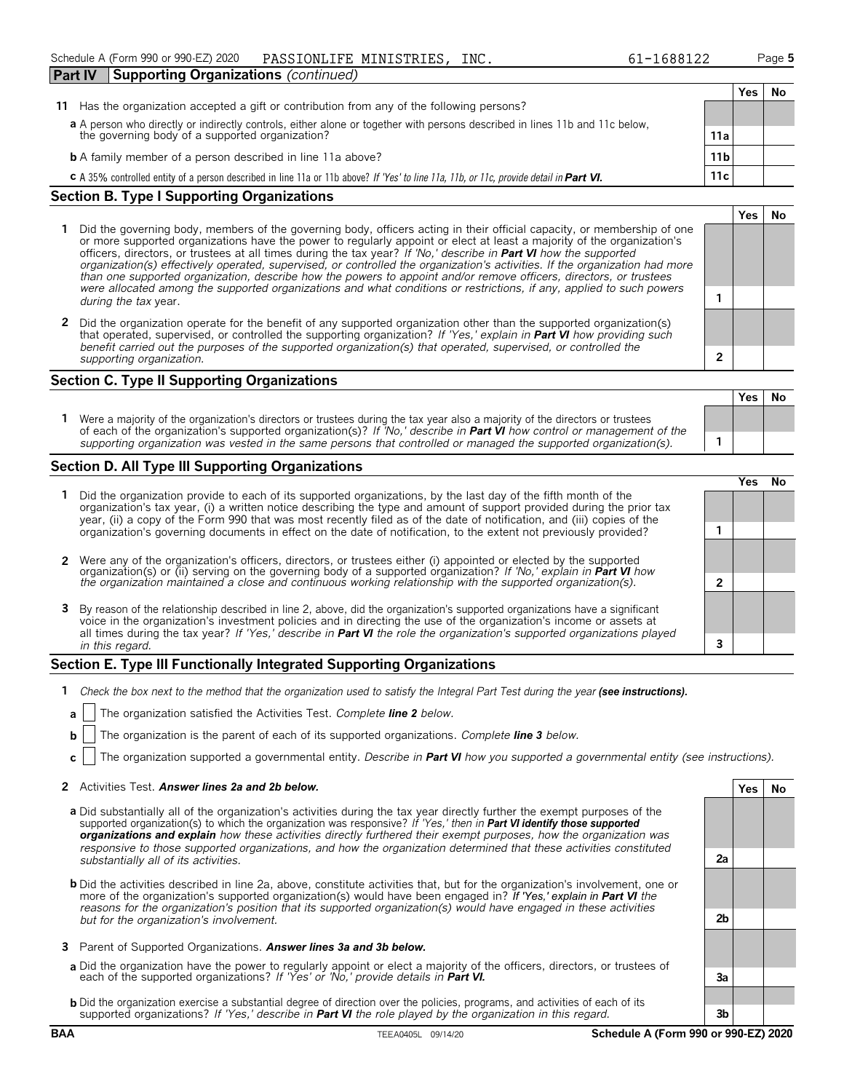| <b>Part IV</b><br><b>Supporting Organizations</b> (continued)                                                                           |                 |      |    |
|-----------------------------------------------------------------------------------------------------------------------------------------|-----------------|------|----|
|                                                                                                                                         |                 | Yes. | N0 |
| Has the organization accepted a gift or contribution from any of the following persons?<br>11.                                          |                 |      |    |
| a A person who directly or indirectly controls, either alone or together with persons described in lines 11b and 11c below,             |                 |      |    |
| the governing body of a supported organization?                                                                                         | 11a             |      |    |
| <b>b</b> A family member of a person described in line 11a above?                                                                       | 11 <sub>b</sub> |      |    |
| c A 35% controlled entity of a person described in line 11a or 11b above? If 'Yes' to line 11a, 11b, or 11c, provide detail in Part VI. | 11c             |      |    |

#### **Section B. Type I Supporting Organizations**

- **1** Did the governing body, members of the governing body, officers acting in their official capacity, or membership of one or more supported organizations have the power to regularly appoint or elect at least a majority of the organization's officers, directors, or trustees at all times during the tax year? *If 'No,' describe in Part VI how the supported organization(s) effectively operated, supervised, or controlled the organization's activities. If the organization had more than one supported organization, describe how the powers to appoint and/or remove officers, directors, or trustees were allocated among the supported organizations and what conditions or restrictions, if any, applied to such powers* **<sup>1</sup>** *during the tax* year.
- **2** Did the organization operate for the benefit of any supported organization other than the supported organization(s) that operated, supervised, or controlled the supporting organization? *If 'Yes,' explain in Part VI how providing such benefit carried out the purposes of the supported organization(s) that operated, supervised, or controlled the supporting organization.* **2**

#### **Section C. Type II Supporting Organizations**

**Yes No 1** Were a majority of the organization's directors or trustees during the tax year also a majority of the directors or trustees of each of the organization's supported organization(s)? *If 'No,' describe in Part VI how control or management of the supporting organization was vested in the same persons that controlled or managed the supported organization(s).* **1**

#### **Section D. All Type III Supporting Organizations**

|  |                                                                                                                                                                                                                                                                                                                                                                                       |  | ∕e< |  |
|--|---------------------------------------------------------------------------------------------------------------------------------------------------------------------------------------------------------------------------------------------------------------------------------------------------------------------------------------------------------------------------------------|--|-----|--|
|  | 1 Did the organization provide to each of its supported organizations, by the last day of the fifth month of the<br>organization's tax year, (i) a written notice describing the type and amount of support provided during the prior tax<br>year, (ii) a copy of the Form 990 that was most recently filed as of the date of notification, and (iii) copies of the                   |  |     |  |
|  | organization's governing documents in effect on the date of notification, to the extent not previously provided?                                                                                                                                                                                                                                                                      |  |     |  |
|  | 2 Were any of the organization's officers, directors, or trustees either (i) appointed or elected by the supported organization(s) or (ii) serving on the governing body of a supported organization? If 'No,' explain in Part                                                                                                                                                        |  |     |  |
|  |                                                                                                                                                                                                                                                                                                                                                                                       |  |     |  |
|  | 3 By reason of the relationship described in line 2, above, did the organization's supported organizations have a significant<br>voice in the organization's investment policies and in directing the use of the organization's income or assets at<br>all times during the tax year? If 'Yes,' describe in <b>Part VI</b> the role the organization's supported organizations played |  |     |  |
|  | in this regard.                                                                                                                                                                                                                                                                                                                                                                       |  |     |  |

#### **Section E. Type III Functionally Integrated Supporting Organizations**

- **1** *Check the box next to the method that the organization used to satisfy the Integral Part Test during the year (see instructions).*
	- **a** The organization satisfied the Activities Test. *Complete line 2 below.*
	- **b** The organization is the parent of each of its supported organizations. *Complete line 3 below.*
	- **c** The organization supported a governmental entity. *Describe in Part VI how you supported a governmental entity (see instructions).*

#### **2** Activities Test. *Answer lines 2a and 2b below.* **Yes No**

- **a** Did substantially all of the organization's activities during the tax year directly further the exempt purposes of the supported organization(s) to which the organization was responsive? *If 'Yes,' then in Part VI identify those supported organizations and explain how these activities directly furthered their exempt purposes, how the organization was responsive to those supported organizations, and how the organization determined that these activities constituted substantially all of its activities.* **2a**
- **b** Did the activities described in line 2a, above, constitute activities that, but for the organization's involvement, one or more of the organization's supported organization(s) would have been engaged in? *If 'Yes,' explain in Part VI the reasons for the organization's position that its supported organization(s) would have engaged in these activities but for the organization's involvement.* **2b**
- **3** Parent of Supported Organizations. *Answer lines 3a and 3b below.*
- **a** Did the organization have the power to regularly appoint or elect a majority of the officers, directors, or trustees of each of the supported organizations? *If 'Yes' or 'No,' provide details in Part VI.* **3a**
- **b** Did the organization exercise a substantial degree of direction over the policies, programs, and activities of each of its supported organizations? *If 'Yes,' describe in Part VI the role played by the organization in this regard.* **3b**

**Yes No**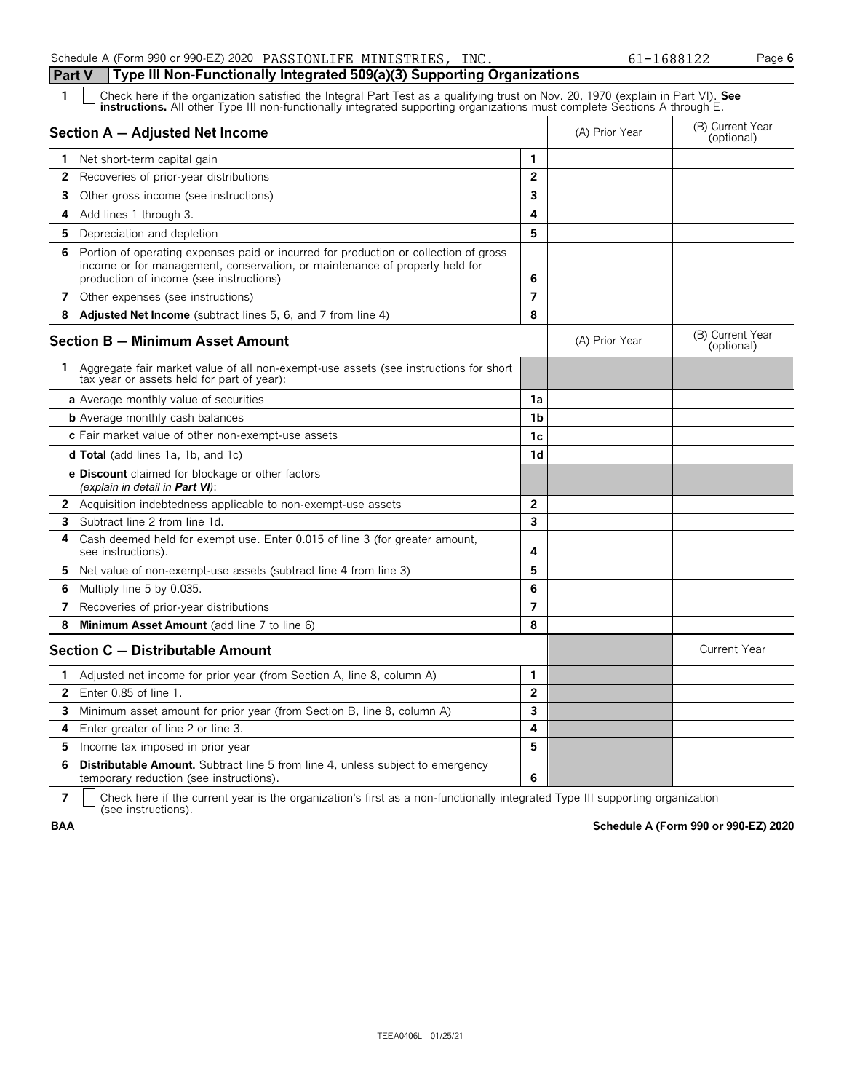|                                | Schedule A (Form 990 or 990-EZ) 2020 PASSIONLIFE MINISTRIES, INC.                                                                                                                                                                                             |                         |                | 61-1688122                     | Page 6 |
|--------------------------------|---------------------------------------------------------------------------------------------------------------------------------------------------------------------------------------------------------------------------------------------------------------|-------------------------|----------------|--------------------------------|--------|
| Part V                         | Type III Non-Functionally Integrated 509(a)(3) Supporting Organizations                                                                                                                                                                                       |                         |                |                                |        |
| 1                              | Check here if the organization satisfied the Integral Part Test as a qualifying trust on Nov. 20, 1970 (explain in Part VI). See<br>instructions. All other Type III non-functionally integrated supporting organizations must complete Sections A through E. |                         |                |                                |        |
|                                | Section A - Adjusted Net Income                                                                                                                                                                                                                               |                         | (A) Prior Year | (B) Current Year<br>(optional) |        |
| 1 Net short-term capital gain  |                                                                                                                                                                                                                                                               | 1                       |                |                                |        |
| $\mathbf{2}$                   | Recoveries of prior-year distributions                                                                                                                                                                                                                        | $\overline{2}$          |                |                                |        |
| 3                              | Other gross income (see instructions)                                                                                                                                                                                                                         | 3                       |                |                                |        |
| 4<br>Add lines 1 through 3.    |                                                                                                                                                                                                                                                               | 4                       |                |                                |        |
| 5                              | Depreciation and depletion                                                                                                                                                                                                                                    | 5                       |                |                                |        |
| 6                              | Portion of operating expenses paid or incurred for production or collection of gross<br>income or for management, conservation, or maintenance of property held for<br>production of income (see instructions)                                                | 6                       |                |                                |        |
| 7                              | Other expenses (see instructions)                                                                                                                                                                                                                             | $\overline{7}$          |                |                                |        |
| 8                              | <b>Adjusted Net Income</b> (subtract lines 5, 6, and 7 from line 4)                                                                                                                                                                                           | 8                       |                |                                |        |
|                                | <b>Section B - Minimum Asset Amount</b>                                                                                                                                                                                                                       |                         | (A) Prior Year | (B) Current Year<br>(optional) |        |
|                                | 1 Aggregate fair market value of all non-exempt-use assets (see instructions for short<br>tax year or assets held for part of year):                                                                                                                          |                         |                |                                |        |
|                                | <b>a</b> Average monthly value of securities                                                                                                                                                                                                                  | 1a                      |                |                                |        |
|                                | <b>b</b> Average monthly cash balances                                                                                                                                                                                                                        | 1 <sub>b</sub>          |                |                                |        |
|                                | c Fair market value of other non-exempt-use assets                                                                                                                                                                                                            | 1c                      |                |                                |        |
|                                | d Total (add lines 1a, 1b, and 1c)                                                                                                                                                                                                                            | 1 <sub>d</sub>          |                |                                |        |
|                                | <b>e Discount</b> claimed for blockage or other factors<br>(explain in detail in <b>Part VI</b> ):                                                                                                                                                            |                         |                |                                |        |
|                                | 2 Acquisition indebtedness applicable to non-exempt-use assets                                                                                                                                                                                                | $\overline{2}$          |                |                                |        |
| 3                              | Subtract line 2 from line 1d.                                                                                                                                                                                                                                 | $\overline{\mathbf{3}}$ |                |                                |        |
| 4<br>see instructions).        | Cash deemed held for exempt use. Enter 0.015 of line 3 (for greater amount,                                                                                                                                                                                   | 4                       |                |                                |        |
| 5                              | Net value of non-exempt-use assets (subtract line 4 from line 3)                                                                                                                                                                                              | 5                       |                |                                |        |
| 6<br>Multiply line 5 by 0.035. |                                                                                                                                                                                                                                                               | 6                       |                |                                |        |
| 7                              | Recoveries of prior-year distributions                                                                                                                                                                                                                        | $\overline{7}$          |                |                                |        |
| 8                              | Minimum Asset Amount (add line 7 to line 6)                                                                                                                                                                                                                   | 8                       |                |                                |        |
|                                | Section C - Distributable Amount                                                                                                                                                                                                                              |                         |                | <b>Current Year</b>            |        |
| 1.                             | Adjusted net income for prior year (from Section A, line 8, column A)                                                                                                                                                                                         | 1                       |                |                                |        |
| Enter 0.85 of line 1.<br>2     |                                                                                                                                                                                                                                                               | $\overline{2}$          |                |                                |        |
| 3                              | Minimum asset amount for prior year (from Section B, line 8, column A)                                                                                                                                                                                        | 3                       |                |                                |        |
| 4                              | Enter greater of line 2 or line 3.                                                                                                                                                                                                                            | 4                       |                |                                |        |

**5** Income tax imposed in prior year **5 6 Distributable Amount.** Subtract line 5 from line 4, unless subject to emergency temporary reduction (see instructions). **6**

**7**  $\mid$  Check here if the current year is the organization's first as a non-functionally integrated Type III supporting organization (see instructions).

**BAA Schedule A (Form 990 or 990-EZ) 2020**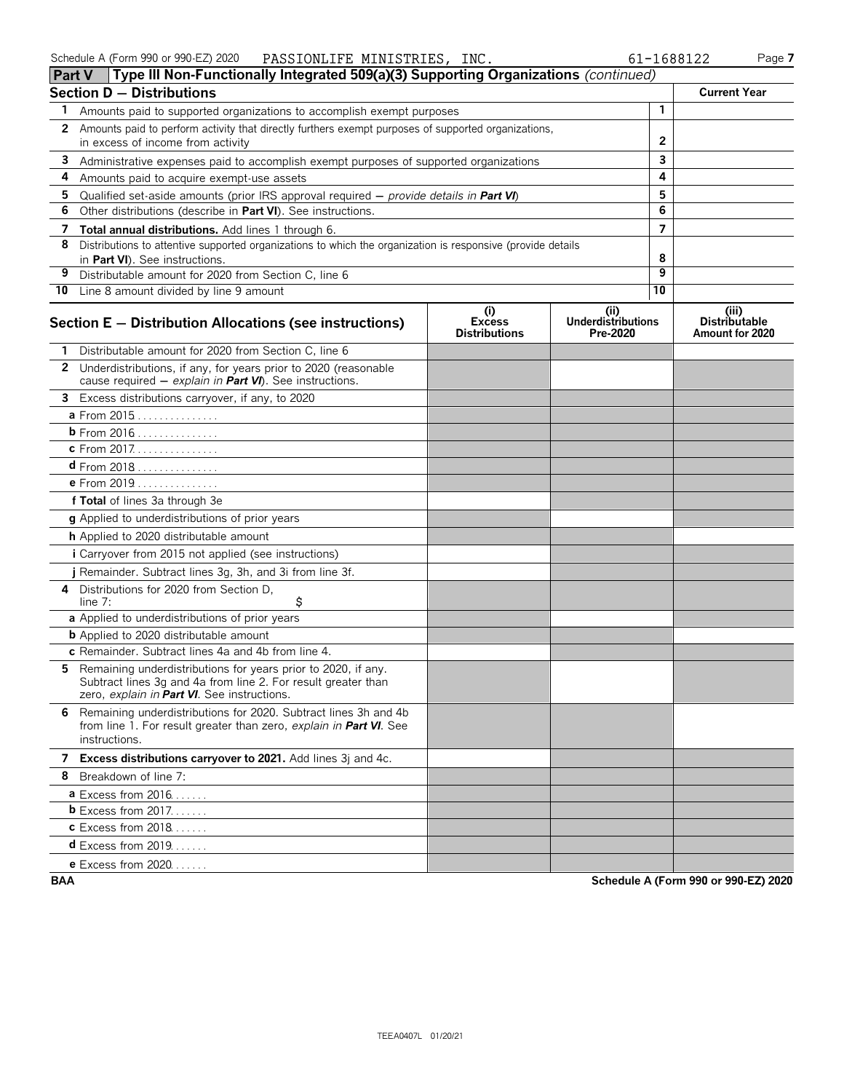|    | Type III Non-Functionally Integrated 509(a)(3) Supporting Organizations (continued)<br><b>Part V</b>                                                                          |                                              |                                              |    |                                                  |
|----|-------------------------------------------------------------------------------------------------------------------------------------------------------------------------------|----------------------------------------------|----------------------------------------------|----|--------------------------------------------------|
|    | <b>Section D - Distributions</b>                                                                                                                                              |                                              |                                              |    | <b>Current Year</b>                              |
| 1  | Amounts paid to supported organizations to accomplish exempt purposes                                                                                                         |                                              |                                              | 1  |                                                  |
| 2  | Amounts paid to perform activity that directly furthers exempt purposes of supported organizations,<br>in excess of income from activity                                      |                                              | 2                                            |    |                                                  |
| 3  |                                                                                                                                                                               |                                              | 3                                            |    |                                                  |
| 4  | Administrative expenses paid to accomplish exempt purposes of supported organizations<br>Amounts paid to acquire exempt-use assets                                            |                                              | 4                                            |    |                                                  |
| 5  | Qualified set-aside amounts (prior IRS approval required – provide details in Part VI)                                                                                        |                                              |                                              | 5  |                                                  |
| 6  | Other distributions (describe in Part VI). See instructions.                                                                                                                  |                                              |                                              | 6  |                                                  |
| 7  | Total annual distributions. Add lines 1 through 6.                                                                                                                            |                                              |                                              | 7  |                                                  |
| 8  | Distributions to attentive supported organizations to which the organization is responsive (provide details                                                                   |                                              |                                              |    |                                                  |
|    | in Part VI). See instructions.                                                                                                                                                |                                              |                                              | 8  |                                                  |
| 9  | Distributable amount for 2020 from Section C, line 6                                                                                                                          |                                              |                                              | 9  |                                                  |
|    | 10 Line 8 amount divided by line 9 amount                                                                                                                                     |                                              |                                              | 10 |                                                  |
|    | Section E - Distribution Allocations (see instructions)                                                                                                                       | (i)<br><b>Excess</b><br><b>Distributions</b> | (i)<br><b>Underdistributions</b><br>Pre-2020 |    | (iii)<br><b>Distributable</b><br>Amount for 2020 |
|    | Distributable amount for 2020 from Section C, line 6                                                                                                                          |                                              |                                              |    |                                                  |
|    | 2 Underdistributions, if any, for years prior to 2020 (reasonable<br>cause required - explain in Part VI). See instructions.                                                  |                                              |                                              |    |                                                  |
|    | 3 Excess distributions carryover, if any, to 2020                                                                                                                             |                                              |                                              |    |                                                  |
|    | a From 2015                                                                                                                                                                   |                                              |                                              |    |                                                  |
|    | b From 2016                                                                                                                                                                   |                                              |                                              |    |                                                  |
|    | c From 2017.                                                                                                                                                                  |                                              |                                              |    |                                                  |
|    | <b>d</b> From 2018                                                                                                                                                            |                                              |                                              |    |                                                  |
|    | e From 2019                                                                                                                                                                   |                                              |                                              |    |                                                  |
|    | f Total of lines 3a through 3e                                                                                                                                                |                                              |                                              |    |                                                  |
|    | g Applied to underdistributions of prior years                                                                                                                                |                                              |                                              |    |                                                  |
|    | h Applied to 2020 distributable amount                                                                                                                                        |                                              |                                              |    |                                                  |
|    | <i>i</i> Carryover from 2015 not applied (see instructions)                                                                                                                   |                                              |                                              |    |                                                  |
|    | j Remainder. Subtract lines 3g, 3h, and 3i from line 3f.                                                                                                                      |                                              |                                              |    |                                                  |
| 4  | Distributions for 2020 from Section D.<br>\$<br>line 7:                                                                                                                       |                                              |                                              |    |                                                  |
|    | a Applied to underdistributions of prior years                                                                                                                                |                                              |                                              |    |                                                  |
|    | <b>b</b> Applied to 2020 distributable amount                                                                                                                                 |                                              |                                              |    |                                                  |
|    | c Remainder. Subtract lines 4a and 4b from line 4.                                                                                                                            |                                              |                                              |    |                                                  |
| 5. | Remaining underdistributions for years prior to 2020, if any.<br>Subtract lines 3g and 4a from line 2. For result greater than<br>zero, explain in Part VI. See instructions. |                                              |                                              |    |                                                  |
|    | 6 Remaining underdistributions for 2020. Subtract lines 3h and 4b<br>from line 1. For result greater than zero, explain in Part VI. See<br>instructions.                      |                                              |                                              |    |                                                  |
|    | 7 Excess distributions carryover to 2021. Add lines 3j and 4c.                                                                                                                |                                              |                                              |    |                                                  |
|    | 8 Breakdown of line 7:                                                                                                                                                        |                                              |                                              |    |                                                  |
|    | <b>a</b> Excess from $2016$                                                                                                                                                   |                                              |                                              |    |                                                  |
|    | $b$ Excess from 2017.                                                                                                                                                         |                                              |                                              |    |                                                  |
|    | <b>c</b> Excess from 2018                                                                                                                                                     |                                              |                                              |    |                                                  |
|    | <b>d</b> Excess from 2019                                                                                                                                                     |                                              |                                              |    |                                                  |
|    | <b>e</b> Excess from 2020                                                                                                                                                     |                                              |                                              |    |                                                  |

**BAA Schedule A (Form 990 or 990-EZ) 2020**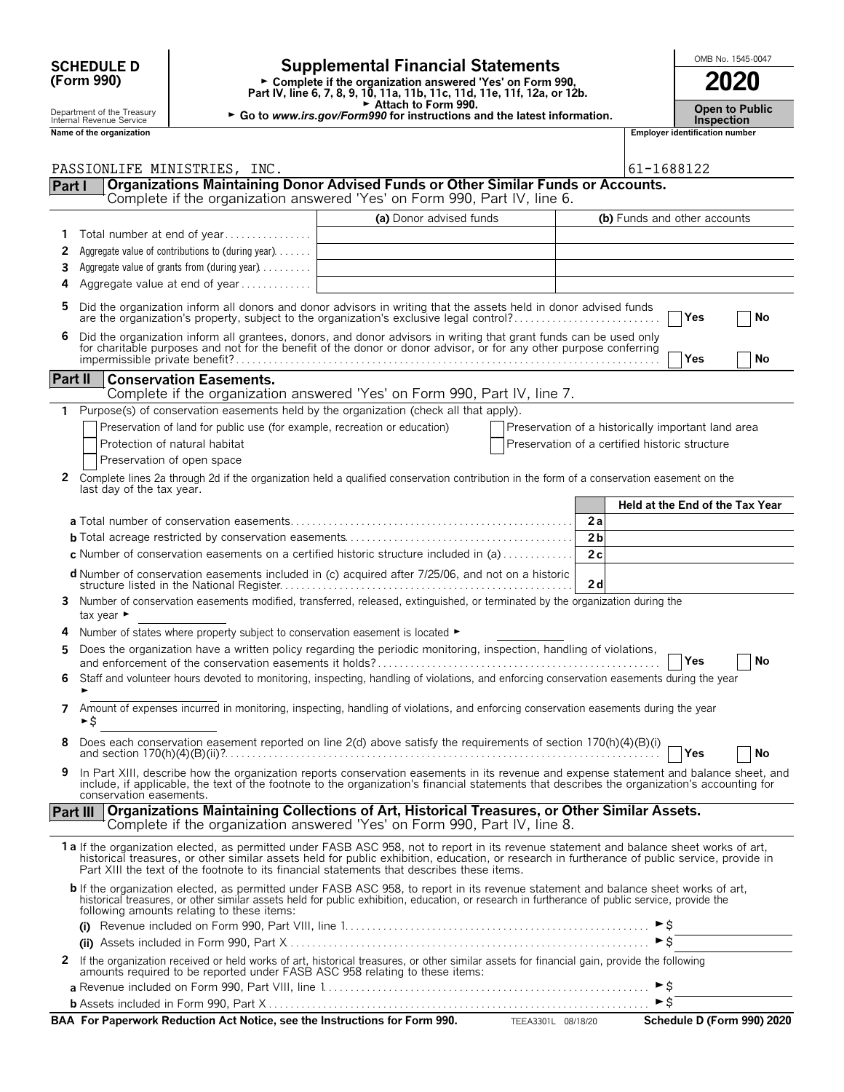| <b>SCHEDULE D</b> |  |
|-------------------|--|
| (Form 990)        |  |

## OMB No. 1545-0047 **SCHEDULE D Supplemental Financial Statements (Form 990)**

**Part IV, line 6, 7, 8, 9, 10, 11a, 11b, 11c, 11d, 11e, 11f, 12a, or 12b. 2020** 

Attach to Form 990.

Department of the Treasury **Department of the Treasury <b>Department** of the Treasury **Department of the Treasury <b>I** Go to *www.irs.gov/Form990* for instructions and the latest information.<br>Name of the organization number

|                 | Name of the organization                                                                                                                                                                                                                                                                                                           |                         | <b>Employer identification number</b>          |                                                    |  |
|-----------------|------------------------------------------------------------------------------------------------------------------------------------------------------------------------------------------------------------------------------------------------------------------------------------------------------------------------------------|-------------------------|------------------------------------------------|----------------------------------------------------|--|
|                 |                                                                                                                                                                                                                                                                                                                                    |                         |                                                |                                                    |  |
| Part I          | PASSIONLIFE MINISTRIES, INC.<br>Organizations Maintaining Donor Advised Funds or Other Similar Funds or Accounts.                                                                                                                                                                                                                  |                         |                                                | 61-1688122                                         |  |
|                 | Complete if the organization answered 'Yes' on Form 990, Part IV, line 6.                                                                                                                                                                                                                                                          |                         |                                                |                                                    |  |
|                 |                                                                                                                                                                                                                                                                                                                                    | (a) Donor advised funds |                                                | (b) Funds and other accounts                       |  |
| 1               | Total number at end of year                                                                                                                                                                                                                                                                                                        |                         |                                                |                                                    |  |
| 2               | Aggregate value of contributions to (during year).                                                                                                                                                                                                                                                                                 |                         |                                                |                                                    |  |
| 3               | Aggregate value of grants from (during year)                                                                                                                                                                                                                                                                                       |                         |                                                |                                                    |  |
| 4               | Aggregate value at end of year                                                                                                                                                                                                                                                                                                     |                         |                                                |                                                    |  |
|                 |                                                                                                                                                                                                                                                                                                                                    |                         |                                                |                                                    |  |
| 5               | Did the organization inform all donors and donor advisors in writing that the assets held in donor advised funds<br>are the organization's property, subject to the organization's exclusive legal control?                                                                                                                        |                         |                                                | Yes<br>No                                          |  |
| 6               | Did the organization inform all grantees, donors, and donor advisors in writing that grant funds can be used only for charitable purposes and not for the benefit of the donor or donor advisor, or for any other purpose conf                                                                                                     |                         |                                                |                                                    |  |
|                 |                                                                                                                                                                                                                                                                                                                                    |                         |                                                | <b>Yes</b><br>No                                   |  |
| Part II         | <b>Conservation Easements.</b>                                                                                                                                                                                                                                                                                                     |                         |                                                |                                                    |  |
|                 | Complete if the organization answered 'Yes' on Form 990, Part IV, line 7.                                                                                                                                                                                                                                                          |                         |                                                |                                                    |  |
| 1.              | Purpose(s) of conservation easements held by the organization (check all that apply).                                                                                                                                                                                                                                              |                         |                                                |                                                    |  |
|                 | Preservation of land for public use (for example, recreation or education)                                                                                                                                                                                                                                                         |                         |                                                | Preservation of a historically important land area |  |
|                 | Protection of natural habitat                                                                                                                                                                                                                                                                                                      |                         | Preservation of a certified historic structure |                                                    |  |
|                 | Preservation of open space                                                                                                                                                                                                                                                                                                         |                         |                                                |                                                    |  |
| 2               | Complete lines 2a through 2d if the organization held a qualified conservation contribution in the form of a conservation easement on the                                                                                                                                                                                          |                         |                                                |                                                    |  |
|                 | last day of the tax year.                                                                                                                                                                                                                                                                                                          |                         |                                                |                                                    |  |
|                 |                                                                                                                                                                                                                                                                                                                                    |                         |                                                | Held at the End of the Tax Year                    |  |
|                 |                                                                                                                                                                                                                                                                                                                                    |                         | 2a                                             |                                                    |  |
|                 |                                                                                                                                                                                                                                                                                                                                    |                         | 2 <sub>b</sub>                                 |                                                    |  |
|                 | c Number of conservation easements on a certified historic structure included in (a)                                                                                                                                                                                                                                               |                         | 2c                                             |                                                    |  |
|                 | d Number of conservation easements included in (c) acquired after 7/25/06, and not on a historic                                                                                                                                                                                                                                   |                         |                                                |                                                    |  |
|                 |                                                                                                                                                                                                                                                                                                                                    |                         | 2d                                             |                                                    |  |
| 3               | Number of conservation easements modified, transferred, released, extinguished, or terminated by the organization during the<br>tax year $\blacktriangleright$                                                                                                                                                                     |                         |                                                |                                                    |  |
| 4               | Number of states where property subject to conservation easement is located $\blacktriangleright$                                                                                                                                                                                                                                  |                         |                                                |                                                    |  |
| 5               | Does the organization have a written policy regarding the periodic monitoring, inspection, handling of violations,                                                                                                                                                                                                                 |                         |                                                |                                                    |  |
|                 |                                                                                                                                                                                                                                                                                                                                    |                         |                                                | Yes<br>No                                          |  |
| 6               | Staff and volunteer hours devoted to monitoring, inspecting, handling of violations, and enforcing conservation easements during the year                                                                                                                                                                                          |                         |                                                |                                                    |  |
|                 |                                                                                                                                                                                                                                                                                                                                    |                         |                                                |                                                    |  |
| 7               | Amount of expenses incurred in monitoring, inspecting, handling of violations, and enforcing conservation easements during the year                                                                                                                                                                                                |                         |                                                |                                                    |  |
|                 | ►\$                                                                                                                                                                                                                                                                                                                                |                         |                                                |                                                    |  |
|                 | Does each conservation easement reported on line 2(d) above satisfy the requirements of section 170(h)(4)(B)(i)                                                                                                                                                                                                                    |                         |                                                | No<br>Yes                                          |  |
| 9               |                                                                                                                                                                                                                                                                                                                                    |                         |                                                |                                                    |  |
|                 | In Part XIII, describe how the organization reports conservation easements in its revenue and expense statement and balance sheet, and<br>include, if applicable, the text of the footnote to the organization's financial statements that describes the organization's accounting for                                             |                         |                                                |                                                    |  |
|                 | conservation easements.                                                                                                                                                                                                                                                                                                            |                         |                                                |                                                    |  |
| <b>Part III</b> | Organizations Maintaining Collections of Art, Historical Treasures, or Other Similar Assets.                                                                                                                                                                                                                                       |                         |                                                |                                                    |  |
|                 | Complete if the organization answered 'Yes' on Form 990, Part IV, line 8.                                                                                                                                                                                                                                                          |                         |                                                |                                                    |  |
|                 | 1a If the organization elected, as permitted under FASB ASC 958, not to report in its revenue statement and balance sheet works of art,<br>historical treasures, or other similar assets held for public exhibition, education, or research in furtherance of public service, provide in                                           |                         |                                                |                                                    |  |
|                 | Part XIII the text of the footnote to its financial statements that describes these items.                                                                                                                                                                                                                                         |                         |                                                |                                                    |  |
|                 | b If the organization elected, as permitted under FASB ASC 958, to report in its revenue statement and balance sheet works of art,<br>historical treasures, or other similar assets held for public exhibition, education, or research in furtherance of public service, provide the<br>following amounts relating to these items: |                         |                                                |                                                    |  |
|                 |                                                                                                                                                                                                                                                                                                                                    |                         |                                                | ► s                                                |  |
|                 |                                                                                                                                                                                                                                                                                                                                    |                         |                                                | ►Ŝ                                                 |  |
| 2               | If the organization received or held works of art, historical treasures, or other similar assets for financial gain, provide the following amounts required to be reported under FASB ASC 958 relating to these items:                                                                                                             |                         |                                                |                                                    |  |
|                 |                                                                                                                                                                                                                                                                                                                                    |                         |                                                | $\blacktriangleright$ \$                           |  |
|                 |                                                                                                                                                                                                                                                                                                                                    |                         |                                                | $\triangleright$ \$                                |  |
|                 | BAA For Paperwork Reduction Act Notice, see the Instructions for Form 990. TEEA3301L 08/18/20                                                                                                                                                                                                                                      |                         |                                                | Schedule D (Form 990) 2020                         |  |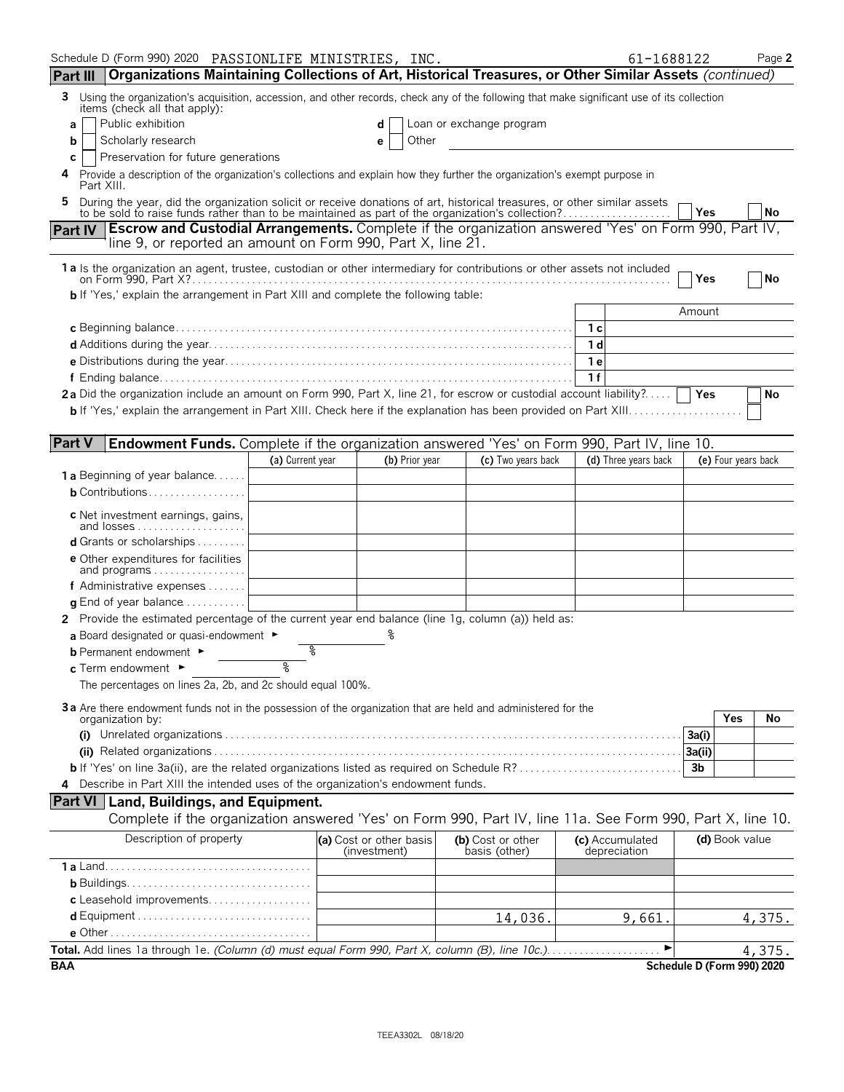| Schedule D (Form 990) 2020 PASSIONLIFE MINISTRIES, INC.                                                                                                                                                                   |                  |                                         |                |                                    | 61-1688122                      |                            | Page 2 |
|---------------------------------------------------------------------------------------------------------------------------------------------------------------------------------------------------------------------------|------------------|-----------------------------------------|----------------|------------------------------------|---------------------------------|----------------------------|--------|
| Organizations Maintaining Collections of Art, Historical Treasures, or Other Similar Assets (continued)<br>Part III                                                                                                       |                  |                                         |                |                                    |                                 |                            |        |
| Using the organization's acquisition, accession, and other records, check any of the following that make significant use of its collection<br>3<br>items (check all that apply):                                          |                  |                                         |                |                                    |                                 |                            |        |
| Public exhibition<br>a                                                                                                                                                                                                    |                  | d                                       |                | Loan or exchange program           |                                 |                            |        |
| Scholarly research<br>b                                                                                                                                                                                                   |                  | е                                       | Other          |                                    |                                 |                            |        |
| Preservation for future generations<br>С                                                                                                                                                                                  |                  |                                         |                |                                    |                                 |                            |        |
| Provide a description of the organization's collections and explain how they further the organization's exempt purpose in<br>4<br>Part XIII.                                                                              |                  |                                         |                |                                    |                                 |                            |        |
| During the year, did the organization solicit or receive donations of art, historical treasures, or other similar assets to be sold to raise funds rather than to be maintained as part of the organization's collection? |                  |                                         |                |                                    |                                 | Yes                        | No     |
| Part IV Escrow and Custodial Arrangements. Complete if the organization answered 'Yes' on Form 990, Part IV,<br>line 9, or reported an amount on Form 990, Part X, line 21.                                               |                  |                                         |                |                                    |                                 |                            |        |
| 1a Is the organization an agent, trustee, custodian or other intermediary for contributions or other assets not included                                                                                                  |                  |                                         |                |                                    |                                 |                            |        |
|                                                                                                                                                                                                                           |                  |                                         |                |                                    |                                 | Yes                        | No     |
| <b>b</b> If 'Yes,' explain the arrangement in Part XIII and complete the following table:                                                                                                                                 |                  |                                         |                |                                    |                                 | Amount                     |        |
|                                                                                                                                                                                                                           |                  |                                         |                |                                    | 1 с                             |                            |        |
|                                                                                                                                                                                                                           |                  |                                         |                |                                    | 1 d                             |                            |        |
|                                                                                                                                                                                                                           |                  |                                         |                |                                    | 1е                              |                            |        |
|                                                                                                                                                                                                                           |                  |                                         |                |                                    | 1f                              |                            |        |
| 2a Did the organization include an amount on Form 990, Part X, line 21, for escrow or custodial account liability?                                                                                                        |                  |                                         |                |                                    |                                 | Yes                        | No     |
|                                                                                                                                                                                                                           |                  |                                         |                |                                    |                                 |                            |        |
|                                                                                                                                                                                                                           |                  |                                         |                |                                    |                                 |                            |        |
| <b>Part V</b><br><b>Endowment Funds.</b> Complete if the organization answered 'Yes' on Form 990, Part IV, line 10.                                                                                                       |                  |                                         |                |                                    |                                 |                            |        |
|                                                                                                                                                                                                                           | (a) Current year |                                         | (b) Prior year | (c) Two years back                 | (d) Three years back            | (e) Four years back        |        |
| <b>1 a</b> Beginning of year balance                                                                                                                                                                                      |                  |                                         |                |                                    |                                 |                            |        |
| <b>b</b> Contributions                                                                                                                                                                                                    |                  |                                         |                |                                    |                                 |                            |        |
| c Net investment earnings, gains,<br>and losses                                                                                                                                                                           |                  |                                         |                |                                    |                                 |                            |        |
| <b>d</b> Grants or scholarships $\ldots$                                                                                                                                                                                  |                  |                                         |                |                                    |                                 |                            |        |
| <b>e</b> Other expenditures for facilities<br>and programs                                                                                                                                                                |                  |                                         |                |                                    |                                 |                            |        |
| f Administrative expenses                                                                                                                                                                                                 |                  |                                         |                |                                    |                                 |                            |        |
| <b>g</b> End of year balance $\ldots \ldots \ldots$                                                                                                                                                                       |                  |                                         |                |                                    |                                 |                            |        |
| 2 Provide the estimated percentage of the current year end balance (line 1g, column (a)) held as:                                                                                                                         |                  |                                         |                |                                    |                                 |                            |        |
| a Board designated or quasi-endowment $\blacktriangleright$                                                                                                                                                               |                  |                                         |                |                                    |                                 |                            |        |
| <b>b</b> Permanent endowment ►                                                                                                                                                                                            |                  |                                         |                |                                    |                                 |                            |        |
| c Term endowment ►                                                                                                                                                                                                        | ୭                |                                         |                |                                    |                                 |                            |        |
| The percentages on lines 2a, 2b, and 2c should equal 100%.                                                                                                                                                                |                  |                                         |                |                                    |                                 |                            |        |
| 3a Are there endowment funds not in the possession of the organization that are held and administered for the                                                                                                             |                  |                                         |                |                                    |                                 |                            |        |
| organization by:                                                                                                                                                                                                          |                  |                                         |                |                                    |                                 | <b>Yes</b>                 | No     |
|                                                                                                                                                                                                                           |                  |                                         |                |                                    |                                 | 3a(i)                      |        |
|                                                                                                                                                                                                                           |                  |                                         |                |                                    |                                 | 3a(ii)                     |        |
|                                                                                                                                                                                                                           |                  |                                         |                |                                    |                                 | 3b                         |        |
| Describe in Part XIII the intended uses of the organization's endowment funds.<br>4                                                                                                                                       |                  |                                         |                |                                    |                                 |                            |        |
| Part VI   Land, Buildings, and Equipment.                                                                                                                                                                                 |                  |                                         |                |                                    |                                 |                            |        |
| Complete if the organization answered 'Yes' on Form 990, Part IV, line 11a. See Form 990, Part X, line 10.                                                                                                                |                  |                                         |                |                                    |                                 |                            |        |
| Description of property                                                                                                                                                                                                   |                  | (a) Cost or other basis<br>(investment) |                | (b) Cost or other<br>basis (other) | (c) Accumulated<br>depreciation | (d) Book value             |        |
|                                                                                                                                                                                                                           |                  |                                         |                |                                    |                                 |                            |        |
|                                                                                                                                                                                                                           |                  |                                         |                |                                    |                                 |                            |        |
| c Leasehold improvements                                                                                                                                                                                                  |                  |                                         |                |                                    |                                 |                            |        |
|                                                                                                                                                                                                                           |                  |                                         |                | 14,036.                            | 9,661.                          |                            | 4,375. |
|                                                                                                                                                                                                                           |                  |                                         |                |                                    | ▶                               |                            |        |
| <b>BAA</b>                                                                                                                                                                                                                |                  |                                         |                |                                    |                                 | Schedule D (Form 990) 2020 | 4,375. |
|                                                                                                                                                                                                                           |                  |                                         |                |                                    |                                 |                            |        |

TEEA3302L 08/18/20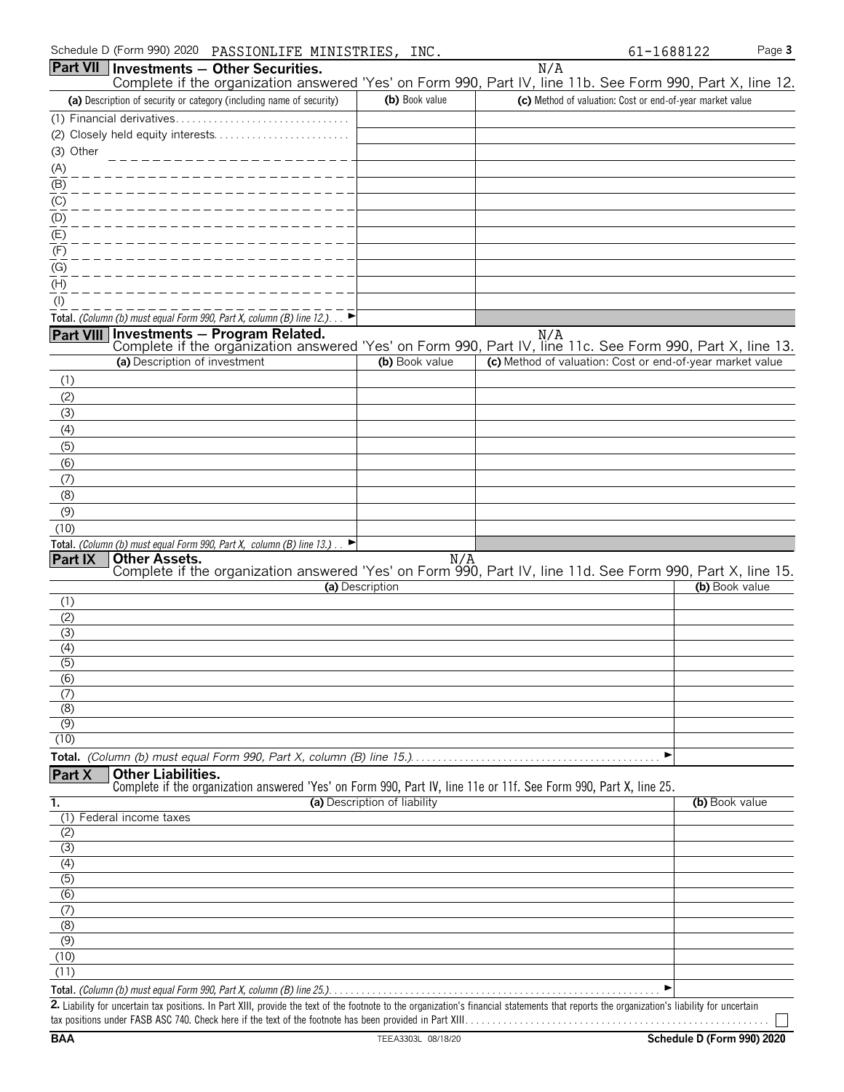| Schedule D (Form 990) 2020<br>PASSIONLIFE MINISTRIES, INC.                                                                                               |                              |                                                           | Page 3<br>61-1688122 |
|----------------------------------------------------------------------------------------------------------------------------------------------------------|------------------------------|-----------------------------------------------------------|----------------------|
| Part VII   Investments - Other Securities.<br>Complete if the organization answered 'Yes' on Form 990, Part IV, line 11b. See Form 990, Part X, line 12. |                              | N/A                                                       |                      |
| (a) Description of security or category (including name of security)                                                                                     | (b) Book value               | (c) Method of valuation: Cost or end-of-year market value |                      |
| (1) Financial derivatives                                                                                                                                |                              |                                                           |                      |
| (2) Closely held equity interests                                                                                                                        |                              |                                                           |                      |
| (3) Other                                                                                                                                                |                              |                                                           |                      |
| (A)                                                                                                                                                      |                              |                                                           |                      |
| (B)                                                                                                                                                      |                              |                                                           |                      |
| (C)                                                                                                                                                      |                              |                                                           |                      |
| (D)<br>(E)                                                                                                                                               |                              |                                                           |                      |
| (F)                                                                                                                                                      |                              |                                                           |                      |
| (G)                                                                                                                                                      |                              |                                                           |                      |
| (H)                                                                                                                                                      |                              |                                                           |                      |
| $($ l $)$                                                                                                                                                |                              |                                                           |                      |
| Total. (Column (b) must equal Form 990, Part X, column (B) line 12.)                                                                                     |                              |                                                           |                      |
| Part VIII Investments - Program Related.                                                                                                                 |                              | N/A                                                       |                      |
| Complete if the organization answered 'Yes' on Form 990, Part IV, line 11c. See Form 990, Part X, line 13.                                               |                              |                                                           |                      |
| (a) Description of investment                                                                                                                            | (b) Book value               | (c) Method of valuation: Cost or end-of-year market value |                      |
| (1)                                                                                                                                                      |                              |                                                           |                      |
| (2)                                                                                                                                                      |                              |                                                           |                      |
| (3)                                                                                                                                                      |                              |                                                           |                      |
| (4)                                                                                                                                                      |                              |                                                           |                      |
| (5)<br>(6)                                                                                                                                               |                              |                                                           |                      |
| (7)                                                                                                                                                      |                              |                                                           |                      |
| (8)                                                                                                                                                      |                              |                                                           |                      |
| (9)                                                                                                                                                      |                              |                                                           |                      |
| (10)                                                                                                                                                     |                              |                                                           |                      |
| Total. (Column (b) must equal Form 990, Part X, column (B) line 13.).                                                                                    |                              |                                                           |                      |
| Part IX<br><b>Other Assets.</b><br>Complete if the organization answered 'Yes' on Form 990, Part IV, line 11d. See Form 990, Part X, line 15.            | N/A                          |                                                           |                      |
|                                                                                                                                                          | (a) Description              |                                                           | (b) Book value       |
| (1)                                                                                                                                                      |                              |                                                           |                      |
| (2)                                                                                                                                                      |                              |                                                           |                      |
| (3)                                                                                                                                                      |                              |                                                           |                      |
| (4)                                                                                                                                                      |                              |                                                           |                      |
| $\overline{(5)}$                                                                                                                                         |                              |                                                           |                      |
| (6)<br>(7)                                                                                                                                               |                              |                                                           |                      |
| (8)                                                                                                                                                      |                              |                                                           |                      |
| (9)                                                                                                                                                      |                              |                                                           |                      |
| (10)                                                                                                                                                     |                              |                                                           |                      |
|                                                                                                                                                          |                              |                                                           | ▶                    |
| <b>Other Liabilities.</b><br>Part X<br>Complete if the organization answered 'Yes' on Form 990, Part IV, line 11e or 11f. See Form 990, Part X, line 25. |                              |                                                           |                      |
| 1.                                                                                                                                                       | (a) Description of liability |                                                           | (b) Book value       |
| (1) Federal income taxes                                                                                                                                 |                              |                                                           |                      |
| (2)                                                                                                                                                      |                              |                                                           |                      |
| (3)                                                                                                                                                      |                              |                                                           |                      |
| (4)<br>$\overline{(5)}$                                                                                                                                  |                              |                                                           |                      |
| (6)                                                                                                                                                      |                              |                                                           |                      |
| (7)                                                                                                                                                      |                              |                                                           |                      |
| (8)                                                                                                                                                      |                              |                                                           |                      |
| (9)                                                                                                                                                      |                              |                                                           |                      |
| (10)                                                                                                                                                     |                              |                                                           |                      |
| (11)                                                                                                                                                     |                              |                                                           |                      |
| augl Form 000, Dart V, solumn (D) ling 25                                                                                                                |                              |                                                           |                      |

**Total.** *(Column (b) must equal Form 990, Part X, column (B) line 25.)*. . . . . . . . . . . . . . . . . . . . . . . . . . . . . . . . . . . . . . . . . . . . . . . . . . . . . . . . . . . . . G

**2.** Liability for uncertain tax positions. In Part XIII, provide the text of the footnote to the organization's financial statements that reports the organization's liability for uncertain tax positions under FASB ASC 740. Check here if the text of the footnote has been provided in Part XIII. . . . . . . . . . . . . . . . . . . . . . . . . . . . . . . . . . . . . . . . . . . . . . . . . . . . . . . .

 $\Box$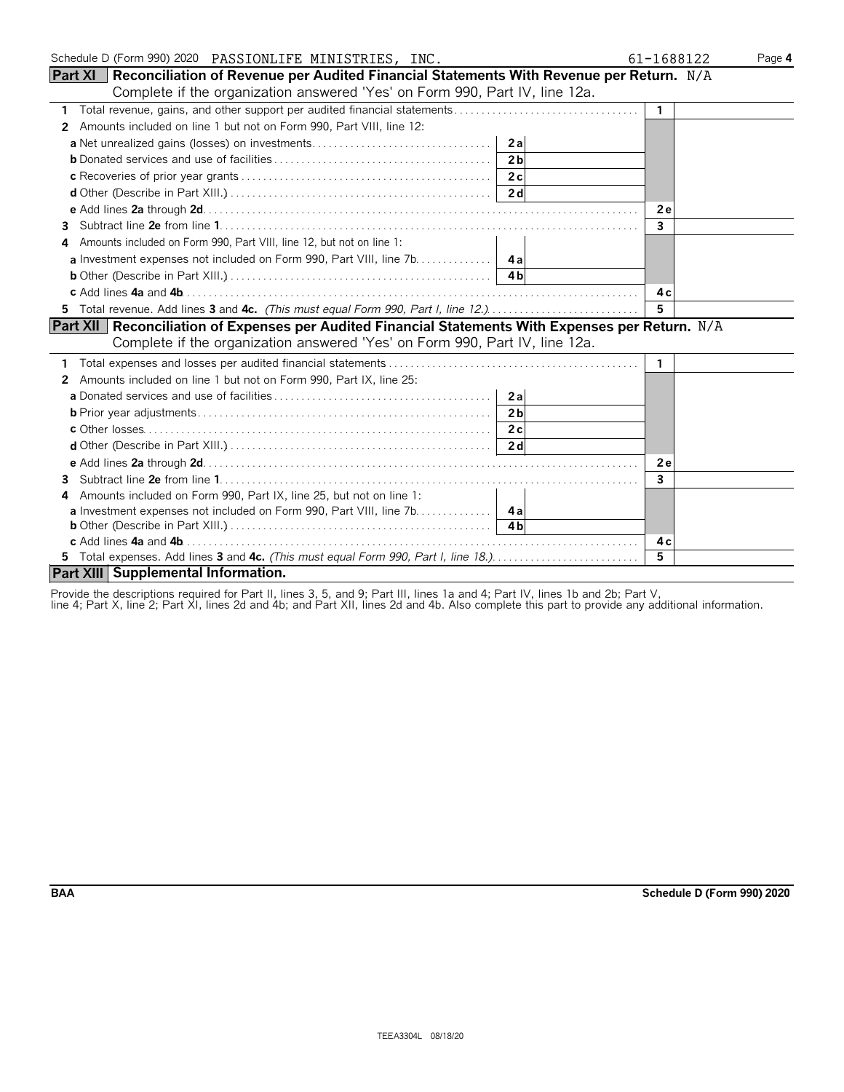| Schedule D (Form 990) 2020  PASSIONLIFE MINISTRIES, INC.                                                 | 61-1688122     | Page 4 |
|----------------------------------------------------------------------------------------------------------|----------------|--------|
| <b>Part XI</b> Reconciliation of Revenue per Audited Financial Statements With Revenue per Return. $N/A$ |                |        |
| Complete if the organization answered 'Yes' on Form 990, Part IV, line 12a.                              |                |        |
| 1 Total revenue, gains, and other support per audited financial statements                               | $\mathbf{1}$   |        |
| Amounts included on line 1 but not on Form 990, Part VIII, line 12:<br>2                                 |                |        |
|                                                                                                          |                |        |
| 2 <sub>h</sub>                                                                                           |                |        |
|                                                                                                          |                |        |
|                                                                                                          |                |        |
|                                                                                                          | 2e             |        |
| 3.                                                                                                       | $\overline{3}$ |        |
| Amounts included on Form 990, Part VIII, line 12, but not on line 1:<br>4                                |                |        |
|                                                                                                          |                |        |
|                                                                                                          |                |        |
|                                                                                                          | 4 c            |        |
| 5 Total revenue. Add lines 3 and 4c. (This must equal Form 990, Part I, line 12.)                        | 5              |        |
| Part XII   Reconciliation of Expenses per Audited Financial Statements With Expenses per Return. N/A     |                |        |
| Complete if the organization answered 'Yes' on Form 990, Part IV, line 12a.                              |                |        |
|                                                                                                          | -1             |        |
| 2 Amounts included on line 1 but not on Form 990, Part IX, line 25:                                      |                |        |
|                                                                                                          |                |        |
| 2 <sub>h</sub>                                                                                           |                |        |
|                                                                                                          |                |        |
|                                                                                                          |                |        |
|                                                                                                          | 2e             |        |
| 3                                                                                                        | 3              |        |
| Amounts included on Form 990, Part IX, line 25, but not on line 1:<br>4                                  |                |        |
| <b>a</b> Investment expenses not included on Form 990, Part VIII, line 7b. 4a                            |                |        |
|                                                                                                          |                |        |
|                                                                                                          | 4 c            |        |
| 5 Total expenses. Add lines 3 and 4c. (This must equal Form 990, Part I, line 18.)                       | $\overline{5}$ |        |
| Part XIII Supplemental Information.                                                                      |                |        |

Provide the descriptions required for Part II, lines 3, 5, and 9; Part III, lines 1a and 4; Part IV, lines 1b and 2b; Part V,

line 4; Part X, line 2; Part XI, lines 2d and 4b; and Part XII, lines 2d and 4b. Also complete this part to provide any additional information.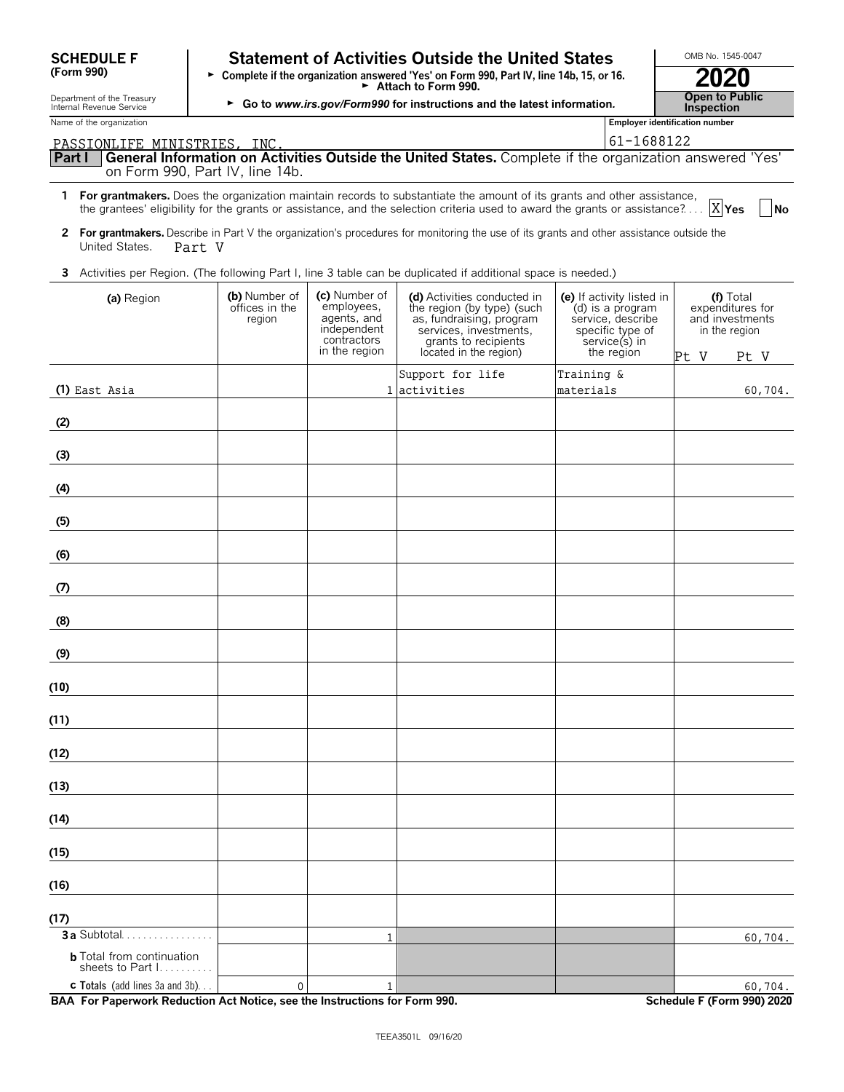| <b>SCHEDULE F</b> |  |
|-------------------|--|
| (Form 990)        |  |

### **Statement of Activities Outside the United States LECTIONB No. 1545-0047**

| SUMEDULE F<br>(Form 990)                               | Statement of Activities Outside the United States<br>Complete if the organization answered 'Yes' on Form 990, Part IV, line 14b, 15, or 16.<br>$\blacktriangleright$ Attach to Form 990. | U<br>2020                                  |
|--------------------------------------------------------|------------------------------------------------------------------------------------------------------------------------------------------------------------------------------------------|--------------------------------------------|
| Department of the Treasury<br>Internal Revenue Service | Go to www.irs.gov/Form990 for instructions and the latest information.                                                                                                                   | <b>Open to Public</b><br><b>Inspection</b> |
| Name of the organization                               |                                                                                                                                                                                          | <b>Employer identification number</b>      |

|                                                                                                                             | 61-1688122<br>PASSIONLIFE MINISTRIES. INC. |                                                                                           |                                                                                                                                                                                                                                                                  |                                                                                                                       |                                                                                   |  |  |
|-----------------------------------------------------------------------------------------------------------------------------|--------------------------------------------|-------------------------------------------------------------------------------------------|------------------------------------------------------------------------------------------------------------------------------------------------------------------------------------------------------------------------------------------------------------------|-----------------------------------------------------------------------------------------------------------------------|-----------------------------------------------------------------------------------|--|--|
| Part I<br>on Form 990, Part IV, line 14b.                                                                                   |                                            |                                                                                           | General Information on Activities Outside the United States. Complete if the organization answered 'Yes'                                                                                                                                                         |                                                                                                                       |                                                                                   |  |  |
|                                                                                                                             |                                            |                                                                                           | 1 For grantmakers. Does the organization maintain records to substantiate the amount of its grants and other assistance,<br>the grantees' eligibility for the grants or assistance, and the selection criteria used to award the grants or assistance? $[X]$ Yes |                                                                                                                       | $\vert$ No                                                                        |  |  |
| United States.<br>Part V                                                                                                    |                                            |                                                                                           | 2 For grantmakers. Describe in Part V the organization's procedures for monitoring the use of its grants and other assistance outside the                                                                                                                        |                                                                                                                       |                                                                                   |  |  |
|                                                                                                                             |                                            |                                                                                           | 3 Activities per Region. (The following Part I, line 3 table can be duplicated if additional space is needed.)                                                                                                                                                   |                                                                                                                       |                                                                                   |  |  |
| (a) Region                                                                                                                  | (b) Number of<br>offices in the<br>region  | (c) Number of<br>employees,<br>agents, and<br>independent<br>contractors<br>in the region | (d) Activities conducted in<br>the region (by type) (such<br>as, fundraising, program<br>services, investments,<br>grants to recipients<br>located in the region)                                                                                                | (e) If activity listed in<br>(d) is a program<br>service, describe<br>specific type of<br>service(s) in<br>the region | (f) Total<br>expenditures for<br>and investments<br>in the region<br>Pt V<br>Pt V |  |  |
|                                                                                                                             |                                            |                                                                                           | Support for life                                                                                                                                                                                                                                                 | Training &                                                                                                            |                                                                                   |  |  |
| (1) East Asia                                                                                                               |                                            |                                                                                           | 1 activities                                                                                                                                                                                                                                                     | materials                                                                                                             | 60,704.                                                                           |  |  |
| (2)                                                                                                                         |                                            |                                                                                           |                                                                                                                                                                                                                                                                  |                                                                                                                       |                                                                                   |  |  |
| (3)                                                                                                                         |                                            |                                                                                           |                                                                                                                                                                                                                                                                  |                                                                                                                       |                                                                                   |  |  |
| (4)<br><u> 1989 - Jan Stein Stein Stein Stein Stein Stein Stein Stein Stein Stein Stein Stein Stein Stein Stein Stein S</u> |                                            |                                                                                           |                                                                                                                                                                                                                                                                  |                                                                                                                       |                                                                                   |  |  |
| (5)                                                                                                                         |                                            |                                                                                           |                                                                                                                                                                                                                                                                  |                                                                                                                       |                                                                                   |  |  |
| (6)                                                                                                                         |                                            |                                                                                           |                                                                                                                                                                                                                                                                  |                                                                                                                       |                                                                                   |  |  |
| (7)                                                                                                                         |                                            |                                                                                           |                                                                                                                                                                                                                                                                  |                                                                                                                       |                                                                                   |  |  |
| (8)<br><u> 1989 - Jan Stein Stein Stein Stein Stein Stein Stein Stein Stein Stein Stein Stein Stein Stein Stein Stein S</u> |                                            |                                                                                           |                                                                                                                                                                                                                                                                  |                                                                                                                       |                                                                                   |  |  |
| (9)<br><u> 1989 - Jan Stein Stein Stein Stein Stein Stein Stein Stein Stein Stein Stein Stein Stein Stein Stein Stein S</u> |                                            |                                                                                           |                                                                                                                                                                                                                                                                  |                                                                                                                       |                                                                                   |  |  |
| (10)<br><u> 1989 - Jan Barnett, politik e</u>                                                                               |                                            |                                                                                           |                                                                                                                                                                                                                                                                  |                                                                                                                       |                                                                                   |  |  |
| (11)                                                                                                                        |                                            |                                                                                           |                                                                                                                                                                                                                                                                  |                                                                                                                       |                                                                                   |  |  |
| (12)                                                                                                                        |                                            |                                                                                           |                                                                                                                                                                                                                                                                  |                                                                                                                       |                                                                                   |  |  |
| (13)                                                                                                                        |                                            |                                                                                           |                                                                                                                                                                                                                                                                  |                                                                                                                       |                                                                                   |  |  |
| (14)                                                                                                                        |                                            |                                                                                           |                                                                                                                                                                                                                                                                  |                                                                                                                       |                                                                                   |  |  |
| (15)                                                                                                                        |                                            |                                                                                           |                                                                                                                                                                                                                                                                  |                                                                                                                       |                                                                                   |  |  |
| (16)                                                                                                                        |                                            |                                                                                           |                                                                                                                                                                                                                                                                  |                                                                                                                       |                                                                                   |  |  |
| (17)                                                                                                                        |                                            |                                                                                           |                                                                                                                                                                                                                                                                  |                                                                                                                       |                                                                                   |  |  |
| 3 a Subtotal.                                                                                                               |                                            | 1                                                                                         |                                                                                                                                                                                                                                                                  |                                                                                                                       | 60,704.                                                                           |  |  |
| <b>b</b> Total from continuation<br>sheets to Part I.                                                                       |                                            |                                                                                           |                                                                                                                                                                                                                                                                  |                                                                                                                       |                                                                                   |  |  |

**BAA For Paperwork Reduction Act Notice, see the Instructions for Form 990. Schedule F (Form 990) 2020**

**c Totals** (add lines 3a and 3b). . .

0  $1$  60,704.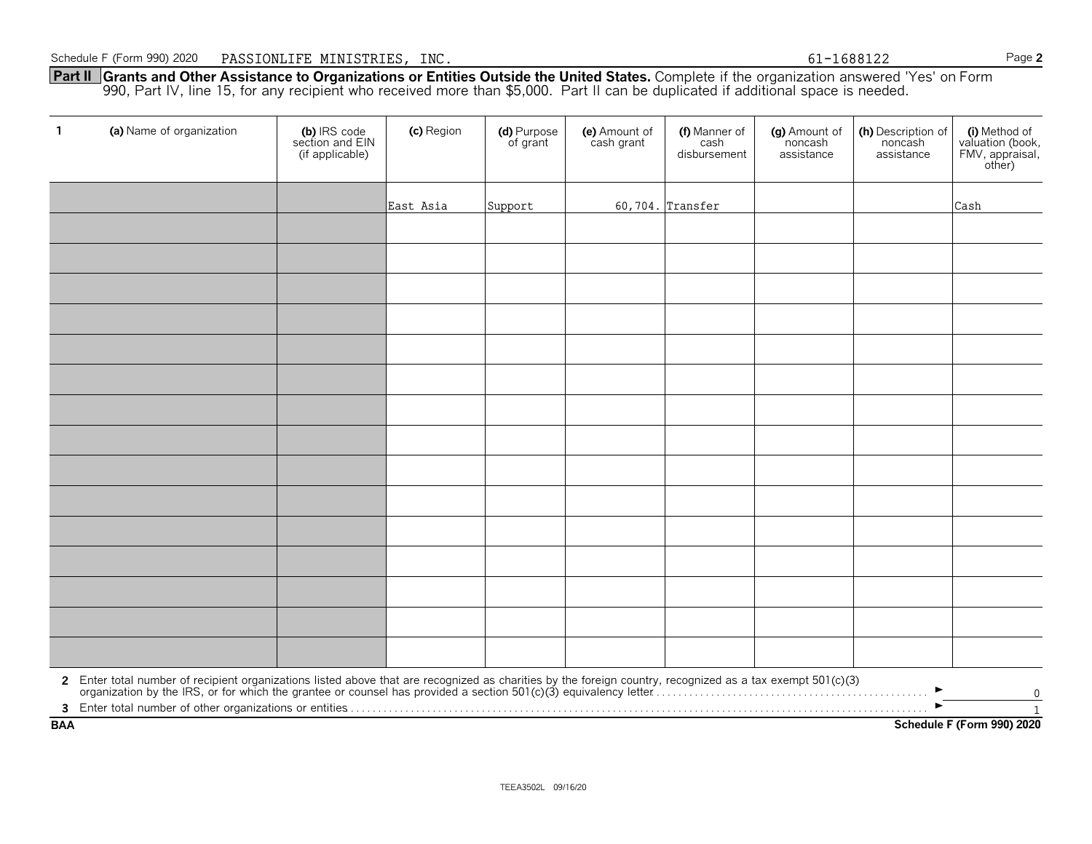**Part II Grants and Other Assistance to Organizations or Entities Outside the United States.** Complete if the organization answered 'Yes' on Form 990, Part IV, line 15, for any recipient who received more than \$5,000. Part II can be duplicated if additional space is needed.

| $\mathbf{1}$ | (a) Name of organization                                                                                                                                                                                                       | (b) IRS code<br>section and EIN<br>(if applicable) | (c) Region | (d) Purpose<br>of grant | (e) Amount of<br>cash grant | (f) Manner of<br>cash<br>disbursement | (g) Amount of<br>noncash<br>assistance | (h) Description of<br>noncash<br>assistance | (i) Method of<br>valuation (book,<br>FMV, appraisal,<br>other) |
|--------------|--------------------------------------------------------------------------------------------------------------------------------------------------------------------------------------------------------------------------------|----------------------------------------------------|------------|-------------------------|-----------------------------|---------------------------------------|----------------------------------------|---------------------------------------------|----------------------------------------------------------------|
|              |                                                                                                                                                                                                                                |                                                    | East Asia  | Support                 |                             | 60,704. Transfer                      |                                        |                                             | Cash                                                           |
|              |                                                                                                                                                                                                                                |                                                    |            |                         |                             |                                       |                                        |                                             |                                                                |
|              |                                                                                                                                                                                                                                |                                                    |            |                         |                             |                                       |                                        |                                             |                                                                |
|              |                                                                                                                                                                                                                                |                                                    |            |                         |                             |                                       |                                        |                                             |                                                                |
|              |                                                                                                                                                                                                                                |                                                    |            |                         |                             |                                       |                                        |                                             |                                                                |
|              |                                                                                                                                                                                                                                |                                                    |            |                         |                             |                                       |                                        |                                             |                                                                |
|              |                                                                                                                                                                                                                                |                                                    |            |                         |                             |                                       |                                        |                                             |                                                                |
|              |                                                                                                                                                                                                                                |                                                    |            |                         |                             |                                       |                                        |                                             |                                                                |
|              |                                                                                                                                                                                                                                |                                                    |            |                         |                             |                                       |                                        |                                             |                                                                |
|              |                                                                                                                                                                                                                                |                                                    |            |                         |                             |                                       |                                        |                                             |                                                                |
|              |                                                                                                                                                                                                                                |                                                    |            |                         |                             |                                       |                                        |                                             |                                                                |
|              |                                                                                                                                                                                                                                |                                                    |            |                         |                             |                                       |                                        |                                             |                                                                |
|              |                                                                                                                                                                                                                                |                                                    |            |                         |                             |                                       |                                        |                                             |                                                                |
|              |                                                                                                                                                                                                                                |                                                    |            |                         |                             |                                       |                                        |                                             |                                                                |
|              |                                                                                                                                                                                                                                |                                                    |            |                         |                             |                                       |                                        |                                             |                                                                |
|              |                                                                                                                                                                                                                                |                                                    |            |                         |                             |                                       |                                        |                                             |                                                                |
|              | 2 Enter total number of recipient organizations listed above that are recognized as charities by the foreign country, recognized as a tax exempt 501(c)(3) organization by the IRS, or for which the grantee or counsel has pr |                                                    |            |                         |                             |                                       |                                        |                                             | $\pmb{0}$                                                      |
| <b>BAA</b>   |                                                                                                                                                                                                                                |                                                    |            |                         |                             |                                       |                                        |                                             | $\mathbf{1}$<br>Schedule F (Form 990) 2020                     |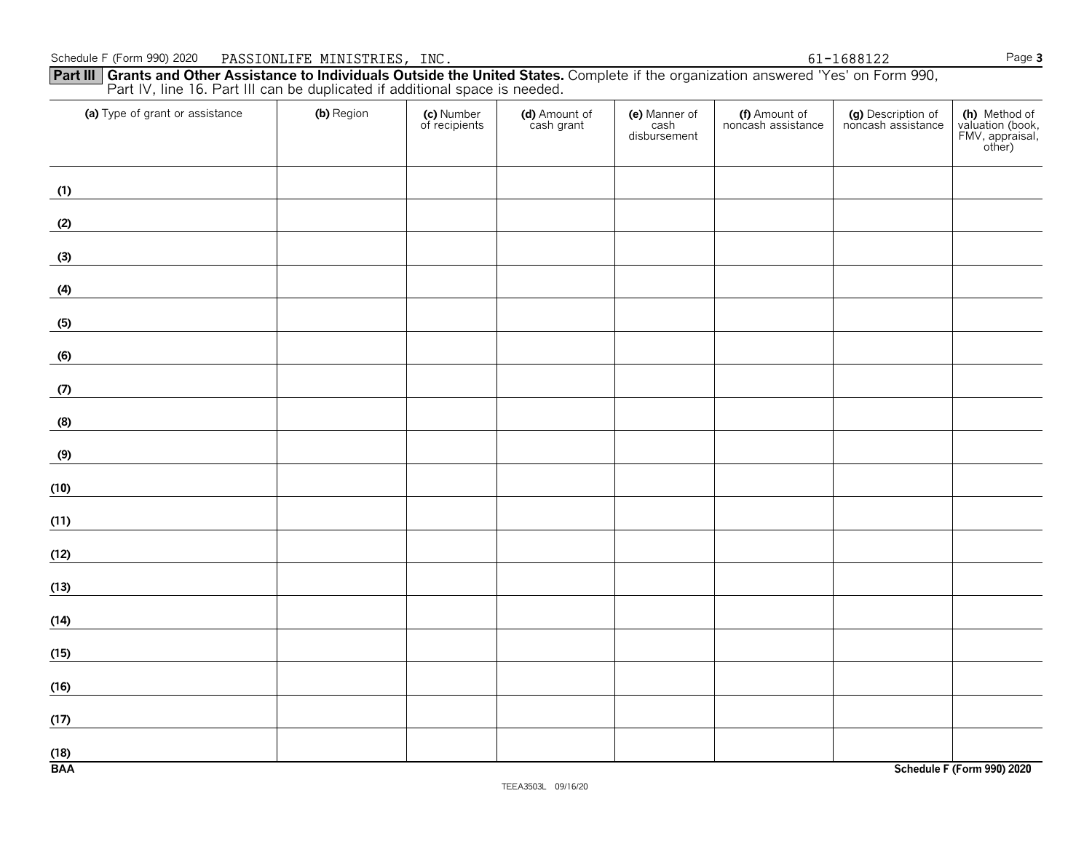#### Schedule F (Form 990) 2020 Page **3** PASSIONLIFE MINISTRIES, INC. 61-1688122

**Part III Grants and Other Assistance to Individuals Outside the United States.** Complete if the organization answered 'Yes' on Form 990, Part IV, line 16. Part III can be duplicated if additional space is needed.

| (a) Type of grant or assistance | (b) Region | (c) Number<br>of recipients | (d) Amount of<br>cash grant | (e) Manner of<br>cash<br>disbursement | (f) Amount of<br>noncash assistance | (g) Description of<br>noncash assistance | (h) Method of<br>valuation (book,<br>FMV, appraisal,<br>other) |
|---------------------------------|------------|-----------------------------|-----------------------------|---------------------------------------|-------------------------------------|------------------------------------------|----------------------------------------------------------------|
| (1)                             |            |                             |                             |                                       |                                     |                                          |                                                                |
| (2)                             |            |                             |                             |                                       |                                     |                                          |                                                                |
| (3)                             |            |                             |                             |                                       |                                     |                                          |                                                                |
| (4)                             |            |                             |                             |                                       |                                     |                                          |                                                                |
| (5)                             |            |                             |                             |                                       |                                     |                                          |                                                                |
| (6)                             |            |                             |                             |                                       |                                     |                                          |                                                                |
| (7)                             |            |                             |                             |                                       |                                     |                                          |                                                                |
| (8)                             |            |                             |                             |                                       |                                     |                                          |                                                                |
| (9)                             |            |                             |                             |                                       |                                     |                                          |                                                                |
| (10)                            |            |                             |                             |                                       |                                     |                                          |                                                                |
| (11)                            |            |                             |                             |                                       |                                     |                                          |                                                                |
| (12)                            |            |                             |                             |                                       |                                     |                                          |                                                                |
| (13)                            |            |                             |                             |                                       |                                     |                                          |                                                                |
| (14)                            |            |                             |                             |                                       |                                     |                                          |                                                                |
| (15)                            |            |                             |                             |                                       |                                     |                                          |                                                                |
| (16)                            |            |                             |                             |                                       |                                     |                                          |                                                                |
| (17)                            |            |                             |                             |                                       |                                     |                                          |                                                                |
| (18)<br><b>BAA</b>              |            |                             |                             |                                       |                                     |                                          | Schedule F (Form 990) 2020                                     |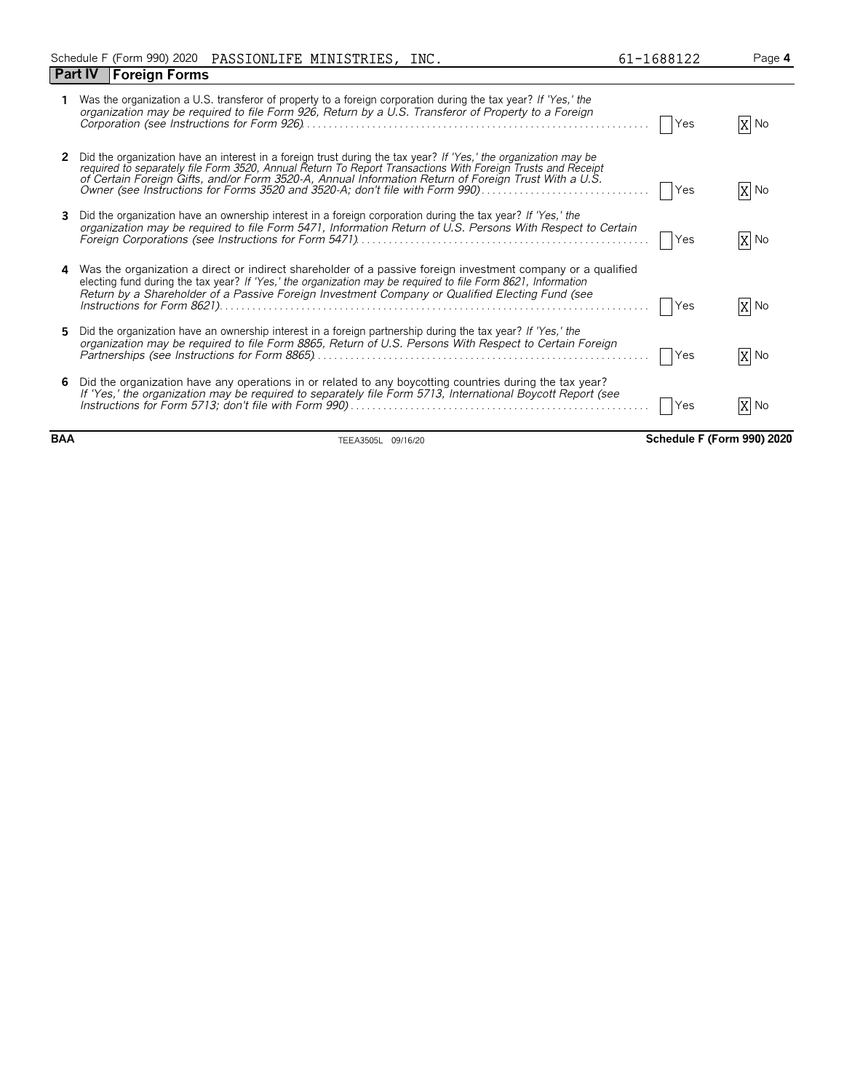|   | <b>Foreign Forms</b><br><b>Part IV</b>                                                                                                                                                                                                                                                                                                                                                                                 |            |      |
|---|------------------------------------------------------------------------------------------------------------------------------------------------------------------------------------------------------------------------------------------------------------------------------------------------------------------------------------------------------------------------------------------------------------------------|------------|------|
|   | Was the organization a U.S. transferor of property to a foreign corporation during the tax year? If 'Yes,' the<br>organization may be required to file Form 926, Return by a U.S. Transferor of Property to a Foreign                                                                                                                                                                                                  | Yes        | X No |
|   | Did the organization have an interest in a foreign trust during the tax year? If 'Yes,' the organization may be<br>required to separately file Form 3520, Annual Return To Report Transactions With Foreign Trusts and Receipt<br>of Certain Foreign Gifts, and/or Form 3520-A, Annual Information Return of Foreign Trust With a U.S.<br>Owner (see Instructions for Forms 3520 and 3520-A; don't file with Form 990) | Yes        | X No |
|   | Did the organization have an ownership interest in a foreign corporation during the tax year? If 'Yes,' the<br>organization may be required to file Form 5471, Information Return of U.S. Persons With Respect to Certain                                                                                                                                                                                              | Yes        | X No |
| 4 | Was the organization a direct or indirect shareholder of a passive foreign investment company or a qualified<br>electing fund during the tax year? If 'Yes,' the organization may be required to file Form 8621, Information<br>Return by a Shareholder of a Passive Foreign Investment Company or Qualified Electing Fund (see                                                                                        | <b>Yes</b> | X No |
| 5 | Did the organization have an ownership interest in a foreign partnership during the tax year? If 'Yes,' the<br>organization may be required to file Form 8865, Return of U.S. Persons With Respect to Certain Foreign                                                                                                                                                                                                  | <b>Yes</b> | X No |
| 6 | Did the organization have any operations in or related to any boycotting countries during the tax year?<br>If 'Yes,' the organization may be required to separately file Form 5713, International Boycott Report (see                                                                                                                                                                                                  | Yes        | No   |

**BAA** TEEA3505L 09/16/20 **Schedule F (Form 990) 2020**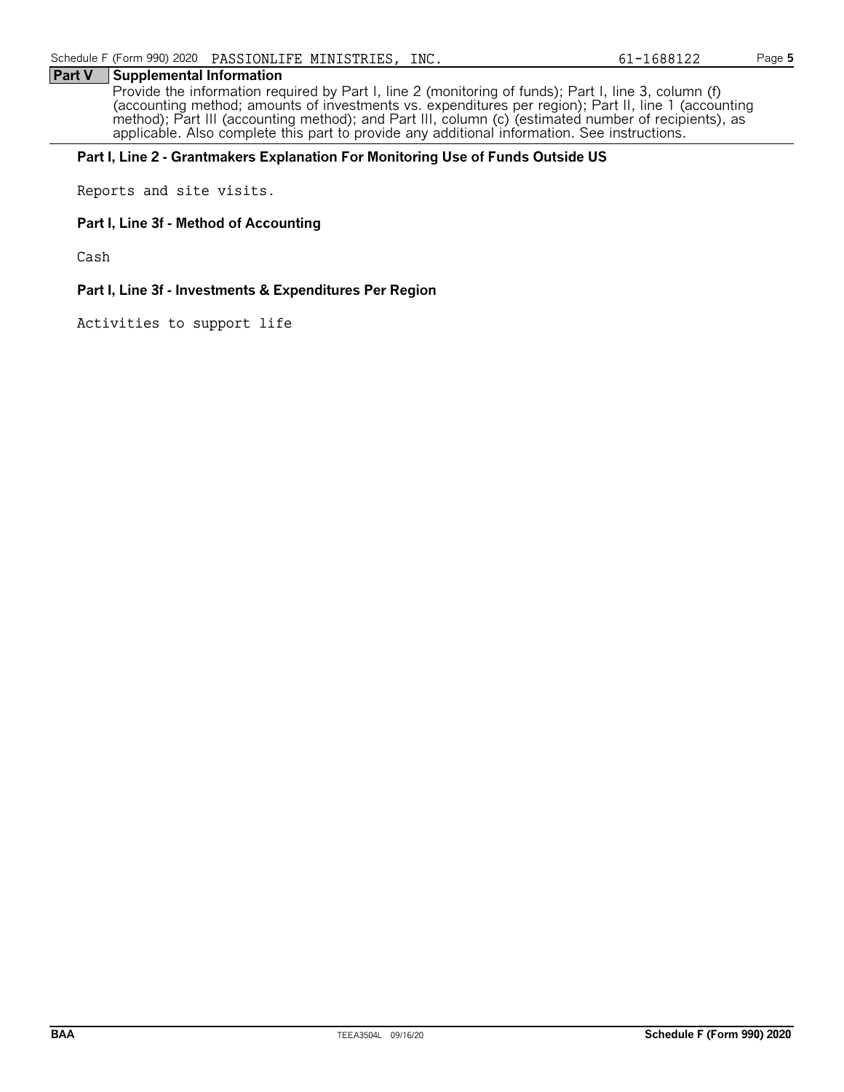#### **Part V Supplemental Information**

Provide the information required by Part I, line 2 (monitoring of funds); Part I, line 3, column (f) (accounting method; amounts of investments vs. expenditures per region); Part II, line 1 (accounting method); Part III (accounting method); and Part III, column (c) (estimated number of recipients), as applicable. Also complete this part to provide any additional information. See instructions.

#### **Part I, Line 2 - Grantmakers Explanation For Monitoring Use of Funds Outside US**

Reports and site visits.

#### **Part I, Line 3f - Method of Accounting**

Cash

#### **Part I, Line 3f - Investments & Expenditures Per Region**

Activities to support life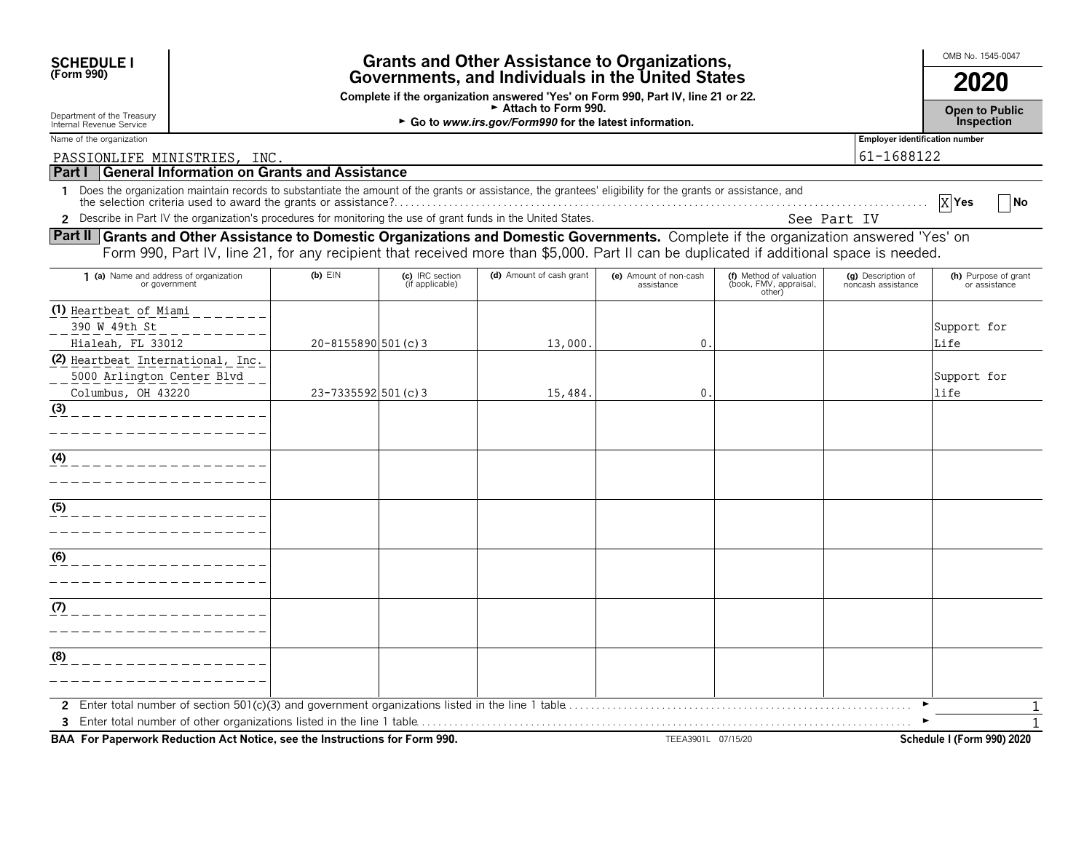| <b>SCHEDULE I</b><br>(Form 990)                                                                                                                                                                                                                                                   | <b>Grants and Other Assistance to Organizations,</b><br>Governments, and Individuals in the United States |                                    |                                                                                  |                                      |                                                             |                                          | OMB No. 1545-0047<br>2020             |
|-----------------------------------------------------------------------------------------------------------------------------------------------------------------------------------------------------------------------------------------------------------------------------------|-----------------------------------------------------------------------------------------------------------|------------------------------------|----------------------------------------------------------------------------------|--------------------------------------|-------------------------------------------------------------|------------------------------------------|---------------------------------------|
|                                                                                                                                                                                                                                                                                   |                                                                                                           |                                    | Complete if the organization answered 'Yes' on Form 990, Part IV, line 21 or 22. |                                      |                                                             |                                          |                                       |
| Department of the Treasury<br>Internal Revenue Service                                                                                                                                                                                                                            | Attach to Form 990.<br>► Go to www.irs.gov/Form990 for the latest information.                            |                                    |                                                                                  |                                      |                                                             |                                          |                                       |
| Name of the organization                                                                                                                                                                                                                                                          |                                                                                                           |                                    |                                                                                  |                                      |                                                             | <b>Employer identification number</b>    |                                       |
| PASSIONLIFE MINISTRIES, INC.                                                                                                                                                                                                                                                      |                                                                                                           |                                    |                                                                                  |                                      |                                                             | 61-1688122                               |                                       |
| Part I General Information on Grants and Assistance                                                                                                                                                                                                                               |                                                                                                           |                                    |                                                                                  |                                      |                                                             |                                          |                                       |
| 1 Does the organization maintain records to substantiate the amount of the grants or assistance, the grantees' eligibility for the grants or assistance, and                                                                                                                      |                                                                                                           |                                    |                                                                                  |                                      |                                                             | See Part IV                              | $X$ Yes<br> No                        |
| 2 Describe in Part IV the organization's procedures for monitoring the use of grant funds in the United States.                                                                                                                                                                   |                                                                                                           |                                    |                                                                                  |                                      |                                                             |                                          |                                       |
| Part II Grants and Other Assistance to Domestic Organizations and Domestic Governments. Complete if the organization answered 'Yes' on<br>Form 990, Part IV, line 21, for any recipient that received more than \$5,000. Part II can be duplicated if additional space is needed. |                                                                                                           |                                    |                                                                                  |                                      |                                                             |                                          |                                       |
| 1 (a) Name and address of organization<br>or government                                                                                                                                                                                                                           | $(b)$ $E$ IN                                                                                              | (c) IRC section<br>(if applicable) | (d) Amount of cash grant                                                         | (e) Amount of non-cash<br>assistance | (f) Method of valuation<br>(book, FMV, appraisal,<br>other) | (q) Description of<br>noncash assistance | (h) Purpose of grant<br>or assistance |
| (1) Heartbeat of Miami<br>390 W 49th St<br>Hialeah, FL 33012                                                                                                                                                                                                                      | 20-8155890 501 (c) 3                                                                                      |                                    | 13,000.                                                                          | $\mathbf 0$ .                        |                                                             |                                          | Support for<br>Life                   |
| (2) Heartbeat International, Inc.<br>5000 Arlington Center Blvd<br>Columbus, OH 43220                                                                                                                                                                                             | 23-7335592 501 (c) 3                                                                                      |                                    | 15,484.                                                                          | $\mathbf 0$                          |                                                             |                                          | Support for<br>life                   |
| (3)                                                                                                                                                                                                                                                                               |                                                                                                           |                                    |                                                                                  |                                      |                                                             |                                          |                                       |
| (4)                                                                                                                                                                                                                                                                               |                                                                                                           |                                    |                                                                                  |                                      |                                                             |                                          |                                       |
| (5)                                                                                                                                                                                                                                                                               |                                                                                                           |                                    |                                                                                  |                                      |                                                             |                                          |                                       |
| (6)                                                                                                                                                                                                                                                                               |                                                                                                           |                                    |                                                                                  |                                      |                                                             |                                          |                                       |
| (7)                                                                                                                                                                                                                                                                               |                                                                                                           |                                    |                                                                                  |                                      |                                                             |                                          |                                       |
| (8)                                                                                                                                                                                                                                                                               |                                                                                                           |                                    |                                                                                  |                                      |                                                             |                                          |                                       |
|                                                                                                                                                                                                                                                                                   |                                                                                                           |                                    |                                                                                  |                                      |                                                             |                                          | $\mathbf{1}$                          |

**BAA For Paperwork Reduction Act Notice, see the Instructions for Form 990.** TEEA3901L 07/15/20 **TEEA3901L 07/15/20**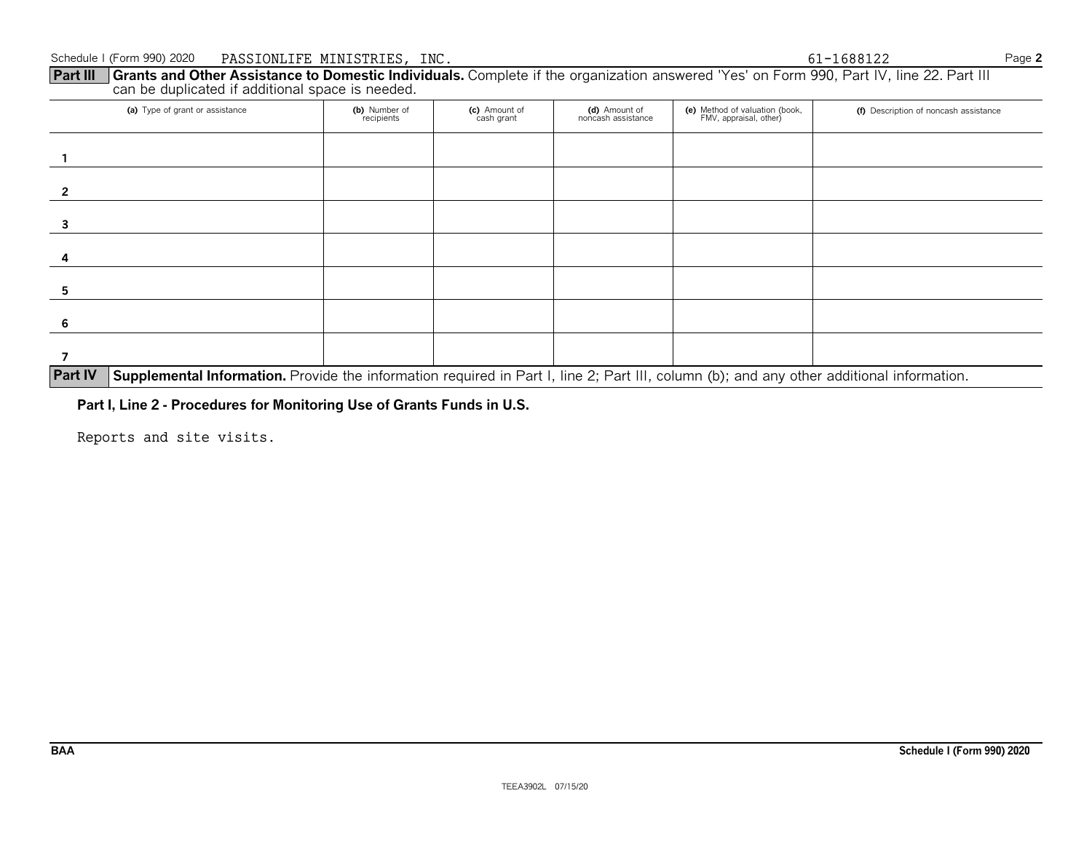**Part III Grants and Other Assistance to Domestic Individuals.** Complete if the organization answered 'Yes' on Form 990, Part IV, line 22. Part III can be duplicated if additional space is needed.

| (a) Type of grant or assistance                                                                                                                             | (b) Number of<br>recipients | (c) Amount of<br>cash grant | (d) Amount of<br>noncash assistance | (e) Method of valuation (book,<br>FMV, appraisal, other) | (f) Description of noncash assistance |  |
|-------------------------------------------------------------------------------------------------------------------------------------------------------------|-----------------------------|-----------------------------|-------------------------------------|----------------------------------------------------------|---------------------------------------|--|
|                                                                                                                                                             |                             |                             |                                     |                                                          |                                       |  |
|                                                                                                                                                             |                             |                             |                                     |                                                          |                                       |  |
|                                                                                                                                                             |                             |                             |                                     |                                                          |                                       |  |
|                                                                                                                                                             |                             |                             |                                     |                                                          |                                       |  |
|                                                                                                                                                             |                             |                             |                                     |                                                          |                                       |  |
|                                                                                                                                                             |                             |                             |                                     |                                                          |                                       |  |
|                                                                                                                                                             |                             |                             |                                     |                                                          |                                       |  |
| <b>Part IV</b><br>Supplemental Information. Provide the information required in Part I, line 2; Part III, column (b); and any other additional information. |                             |                             |                                     |                                                          |                                       |  |

**Part I, Line 2 - Procedures for Monitoring Use of Grants Funds in U.S.**

Reports and site visits.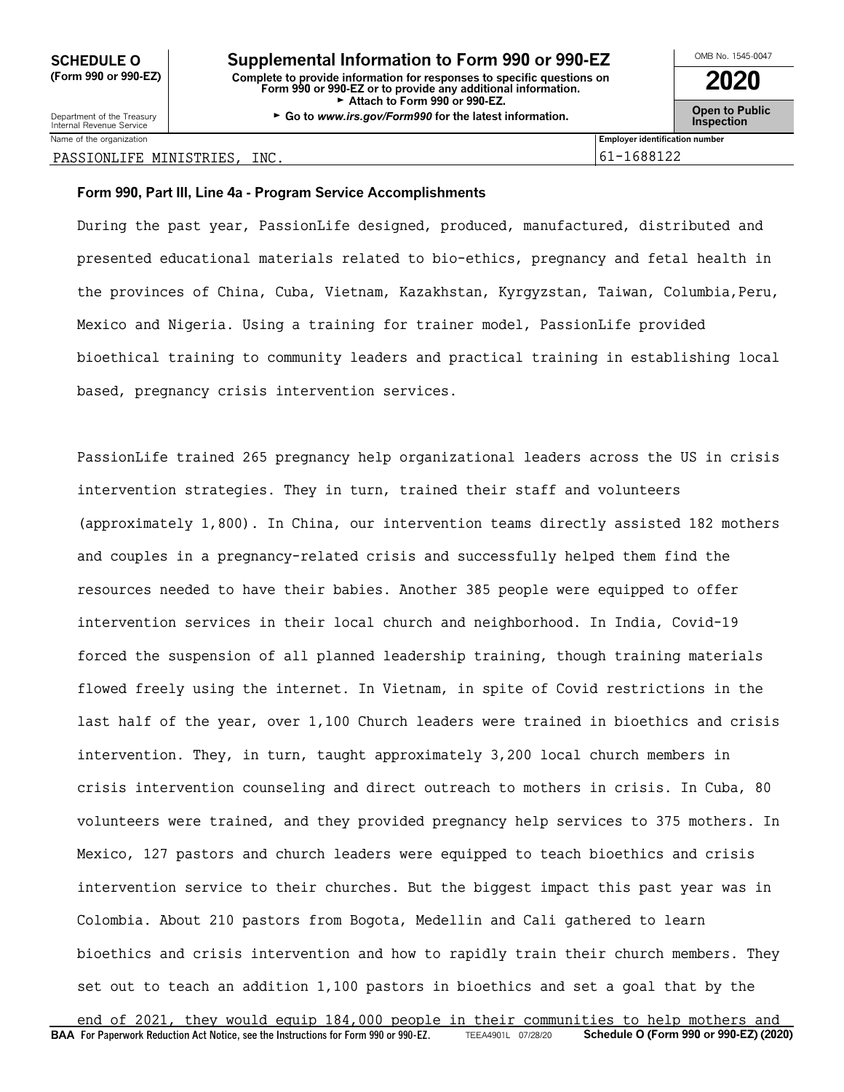Department of the Treasury **Constant Comment of the Collaboration Constant Constant Comment Constant Constant Constant Constant Constant Constant Constant Constant Constant Constant Constant Constant Constant Constant C** 

Name of the organization **Employer identification number Employer identification number** 

#### PASSIONLIFE MINISTRIES, INC. 61-1688122

#### **Form 990, Part III, Line 4a - Program Service Accomplishments**

During the past year, PassionLife designed, produced, manufactured, distributed and presented educational materials related to bio-ethics, pregnancy and fetal health in the provinces of China, Cuba, Vietnam, Kazakhstan, Kyrgyzstan, Taiwan, Columbia,Peru, Mexico and Nigeria. Using a training for trainer model, PassionLife provided bioethical training to community leaders and practical training in establishing local based, pregnancy crisis intervention services.

PassionLife trained 265 pregnancy help organizational leaders across the US in crisis intervention strategies. They in turn, trained their staff and volunteers (approximately 1,800). In China, our intervention teams directly assisted 182 mothers and couples in a pregnancy-related crisis and successfully helped them find the resources needed to have their babies. Another 385 people were equipped to offer intervention services in their local church and neighborhood. In India, Covid-19 forced the suspension of all planned leadership training, though training materials flowed freely using the internet. In Vietnam, in spite of Covid restrictions in the last half of the year, over 1,100 Church leaders were trained in bioethics and crisis intervention. They, in turn, taught approximately 3,200 local church members in crisis intervention counseling and direct outreach to mothers in crisis. In Cuba, 80 volunteers were trained, and they provided pregnancy help services to 375 mothers. In Mexico, 127 pastors and church leaders were equipped to teach bioethics and crisis intervention service to their churches. But the biggest impact this past year was in Colombia. About 210 pastors from Bogota, Medellin and Cali gathered to learn bioethics and crisis intervention and how to rapidly train their church members. They set out to teach an addition 1,100 pastors in bioethics and set a goal that by the